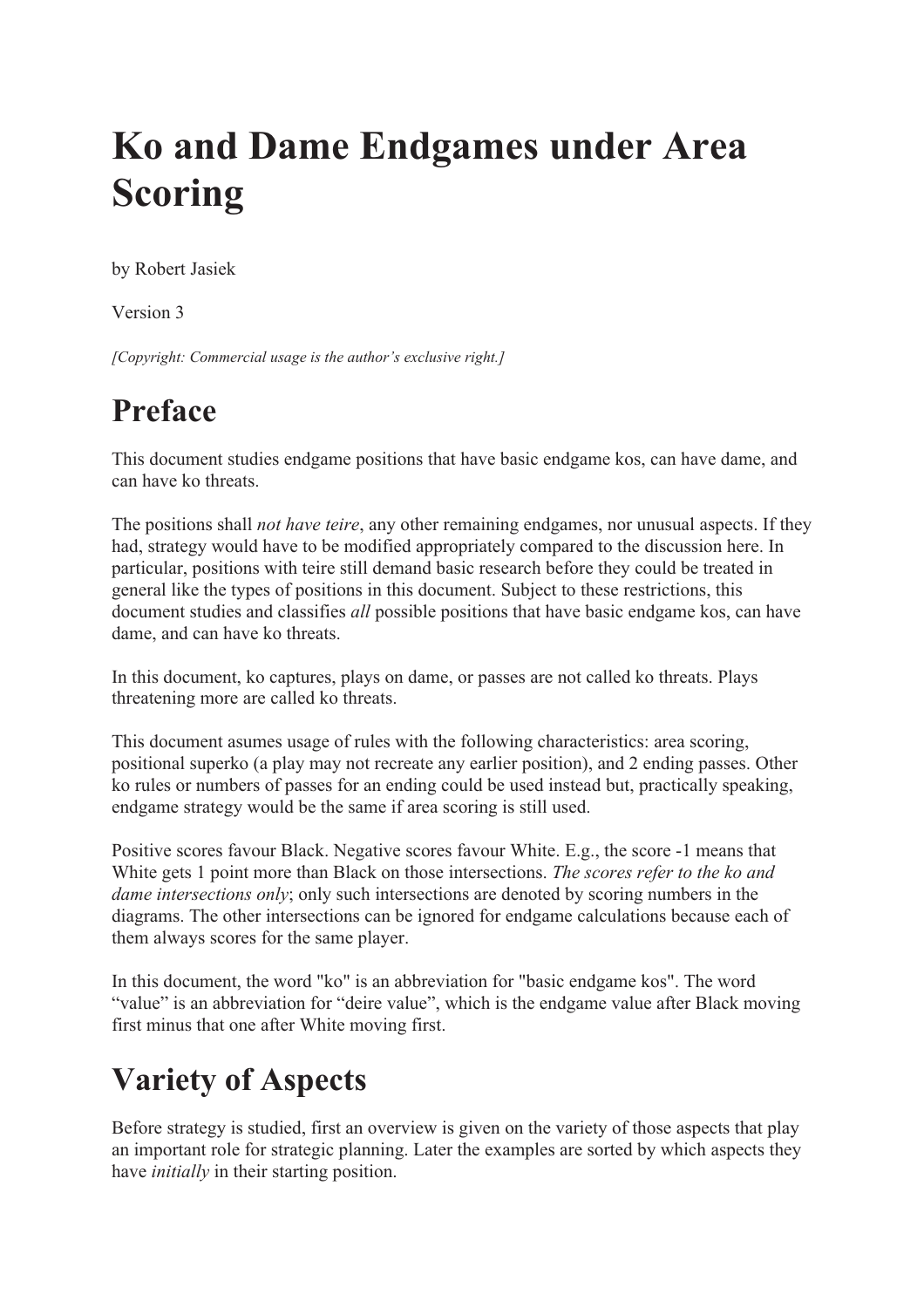# **Ko and Dame Endgames under Area Scoring**

by Robert Jasiek

Version 3

*[Copyright: Commercial usage is the author's exclusive right.]*

# **Preface**

This document studies endgame positions that have basic endgame kos, can have dame, and can have ko threats.

The positions shall *not have teire*, any other remaining endgames, nor unusual aspects. If they had, strategy would have to be modified appropriately compared to the discussion here. In particular, positions with teire still demand basic research before they could be treated in general like the types of positions in this document. Subject to these restrictions, this document studies and classifies *all* possible positions that have basic endgame kos, can have dame, and can have ko threats.

In this document, ko captures, plays on dame, or passes are not called ko threats. Plays threatening more are called ko threats.

This document asumes usage of rules with the following characteristics: area scoring, positional superko (a play may not recreate any earlier position), and 2 ending passes. Other ko rules or numbers of passes for an ending could be used instead but, practically speaking, endgame strategy would be the same if area scoring is still used.

Positive scores favour Black. Negative scores favour White. E.g., the score -1 means that White gets 1 point more than Black on those intersections. *The scores refer to the ko and dame intersections only*; only such intersections are denoted by scoring numbers in the diagrams. The other intersections can be ignored for endgame calculations because each of them always scores for the same player.

In this document, the word "ko" is an abbreviation for "basic endgame kos". The word "value" is an abbreviation for "deire value", which is the endgame value after Black moving first minus that one after White moving first.

# **Variety of Aspects**

Before strategy is studied, first an overview is given on the variety of those aspects that play an important role for strategic planning. Later the examples are sorted by which aspects they have *initially* in their starting position.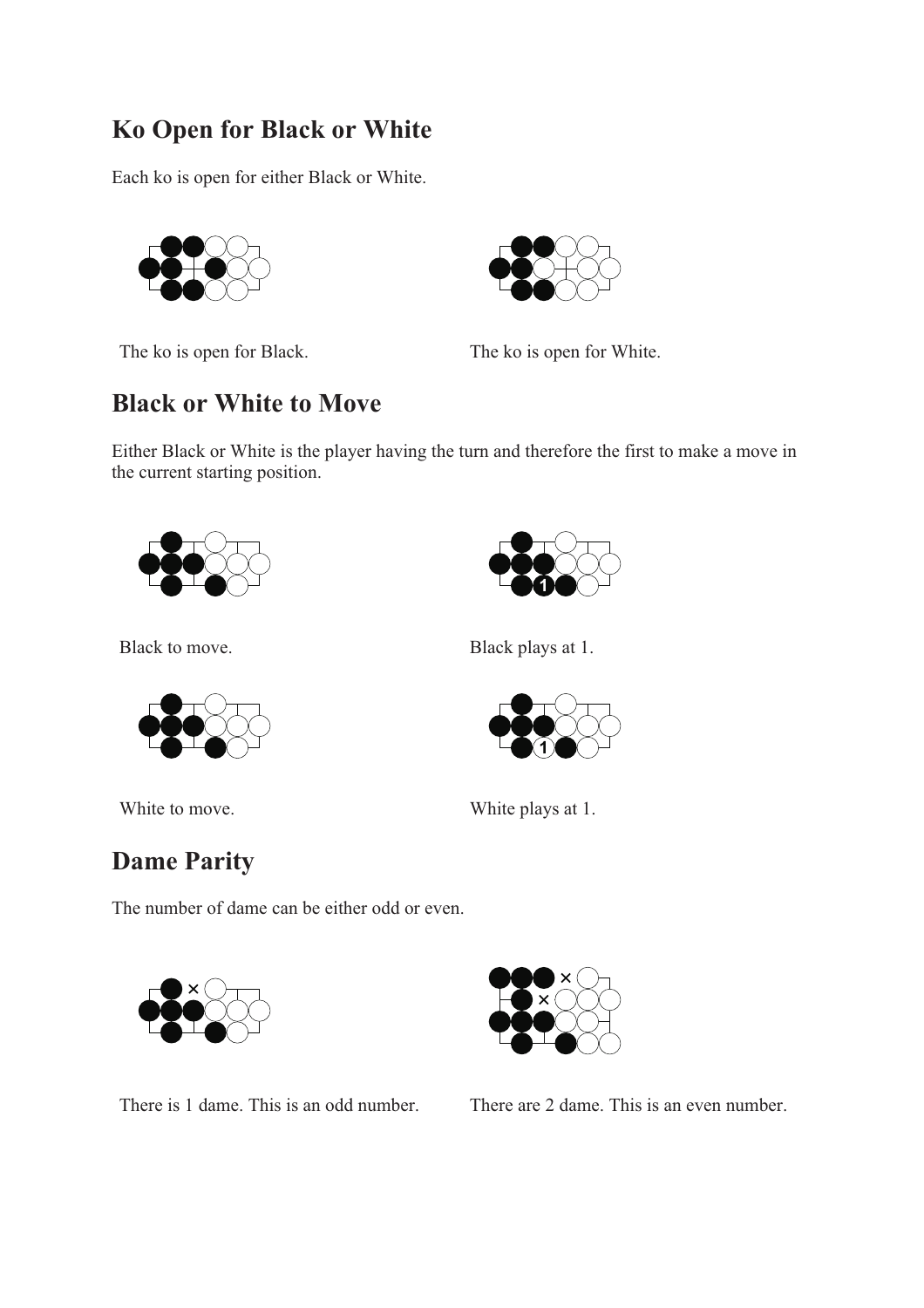### **Ko Open for Black or White**

Each ko is open for either Black or White.



The ko is open for Black. The ko is open for White.



### **Black or White to Move**

Either Black or White is the player having the turn and therefore the first to make a move in the current starting position.





### **Dame Parity**

The number of dame can be either odd or even.





Black to move. Black plays at 1.



White to move. White plays at 1.



There is 1 dame. This is an odd number. There are 2 dame. This is an even number.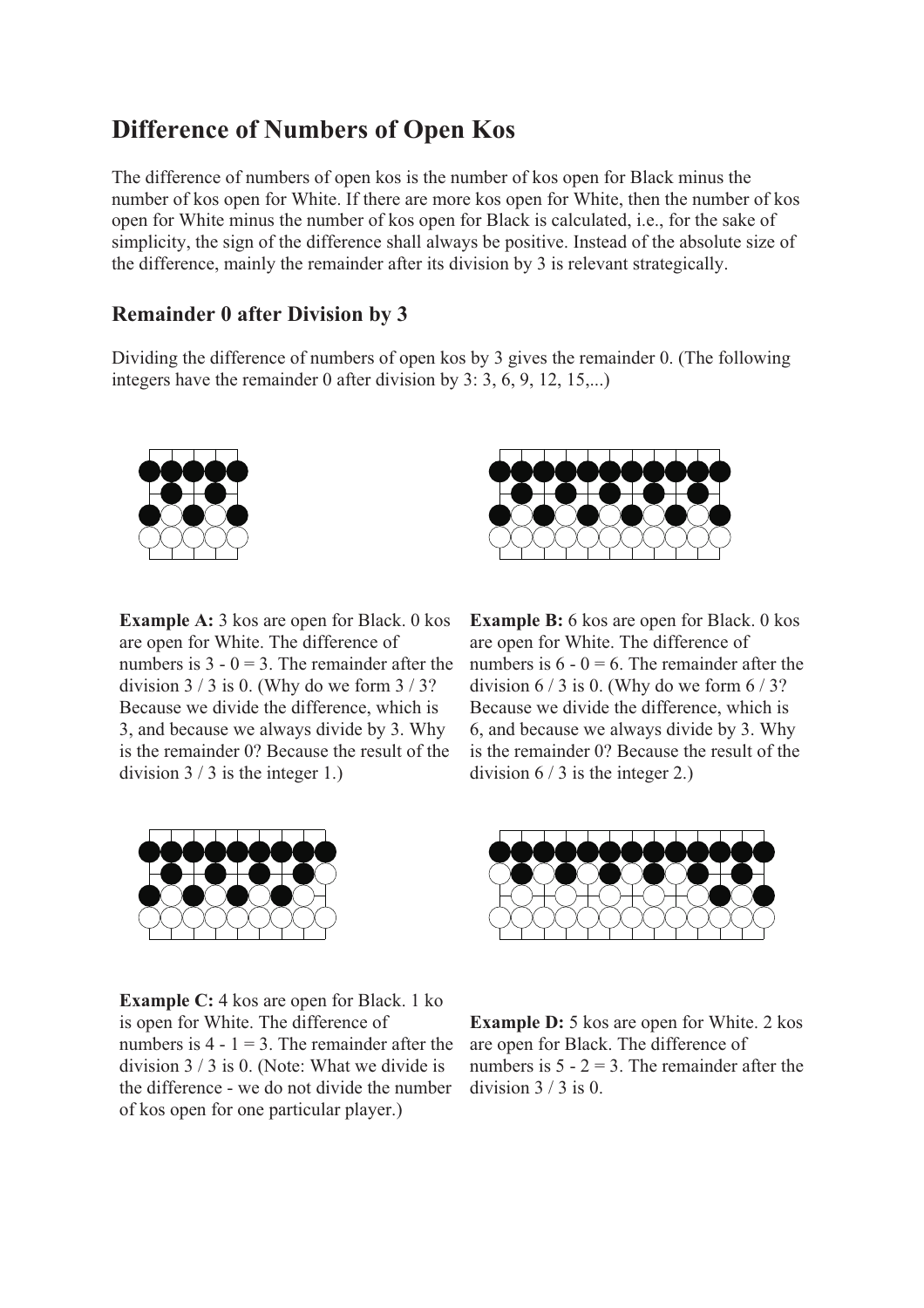### **Difference of Numbers of Open Kos**

The difference of numbers of open kos is the number of kos open for Black minus the number of kos open for White. If there are more kos open for White, then the number of kos open for White minus the number of kos open for Black is calculated, i.e., for the sake of simplicity, the sign of the difference shall always be positive. Instead of the absolute size of the difference, mainly the remainder after its division by 3 is relevant strategically.

#### **Remainder 0 after Division by 3**

Dividing the difference of numbers of open kos by 3 gives the remainder 0. (The following integers have the remainder 0 after division by 3: 3, 6, 9, 12, 15,...)



**Example A:** 3 kos are open for Black. 0 kos are open for White. The difference of numbers is  $3 - 0 = 3$ . The remainder after the division  $3/3$  is 0. (Why do we form  $3/3$ ? Because we divide the difference, which is 3, and because we always divide by 3. Why is the remainder 0? Because the result of the division  $3 / 3$  is the integer 1.)



**Example B:** 6 kos are open for Black. 0 kos are open for White. The difference of numbers is  $6 - 0 = 6$ . The remainder after the division  $6/3$  is 0. (Why do we form  $6/3$ ? Because we divide the difference, which is 6, and because we always divide by 3. Why is the remainder 0? Because the result of the division  $6/3$  is the integer 2.)



**Example C:** 4 kos are open for Black. 1 ko is open for White. The difference of numbers is  $4 - 1 = 3$ . The remainder after the division 3 / 3 is 0. (Note: What we divide is the difference - we do not divide the number of kos open for one particular player.)



**Example D:** 5 kos are open for White. 2 kos are open for Black. The difference of numbers is  $5 - 2 = 3$ . The remainder after the division  $3/3$  is 0.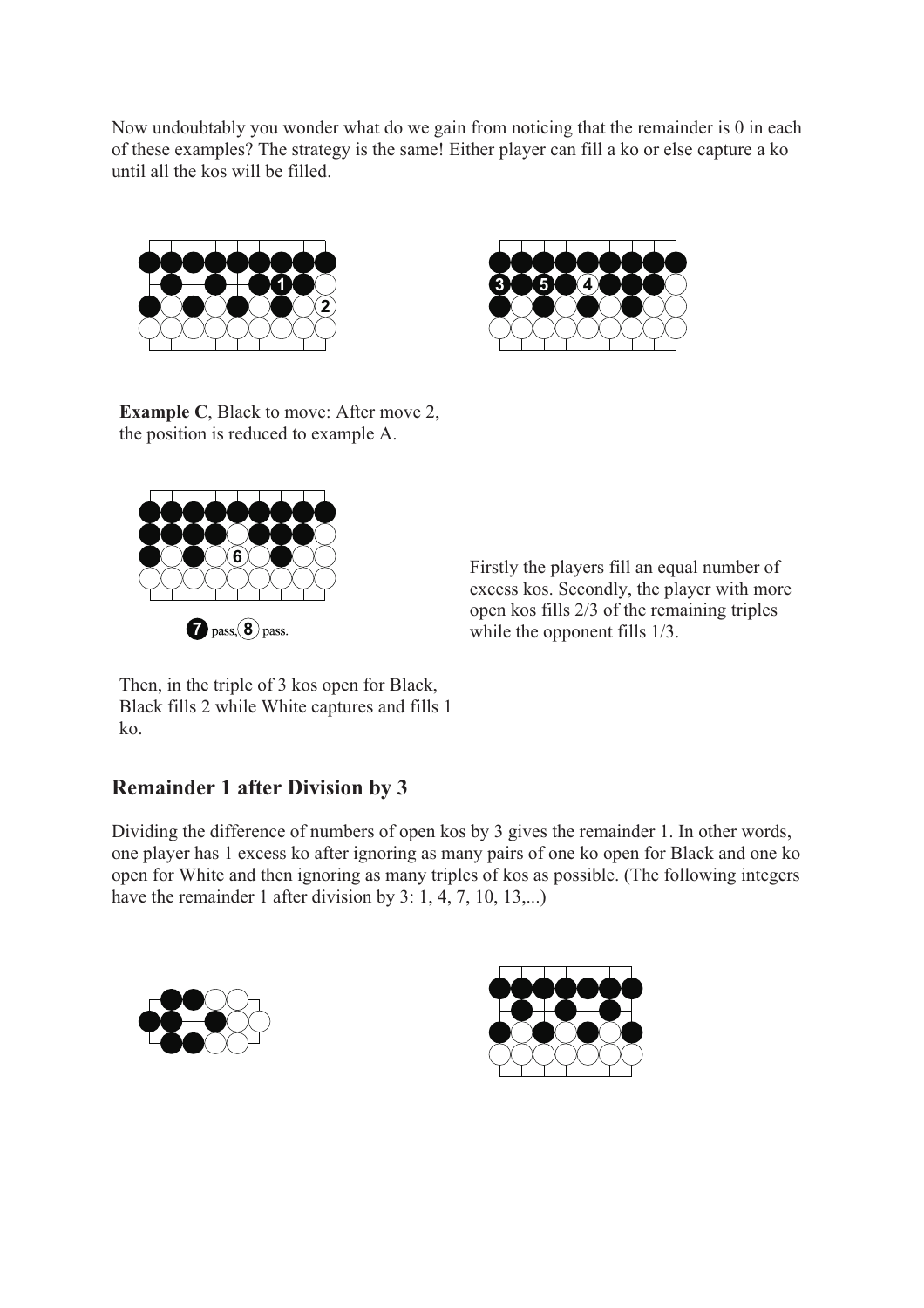Now undoubtably you wonder what do we gain from noticing that the remainder is 0 in each of these examples? The strategy is the same! Either player can fill a ko or else capture a ko until all the kos will be filled.



**Example C**, Black to move: After move 2, the position is reduced to example A.





Firstly the players fill an equal number of excess kos. Secondly, the player with more open kos fills 2/3 of the remaining triples while the opponent fills 1/3.

Then, in the triple of 3 kos open for Black, Black fills 2 while White captures and fills 1 ko.

#### **Remainder 1 after Division by 3**

Dividing the difference of numbers of open kos by 3 gives the remainder 1. In other words, one player has 1 excess ko after ignoring as many pairs of one ko open for Black and one ko open for White and then ignoring as many triples of kos as possible. (The following integers have the remainder 1 after division by 3: 1, 4, 7, 10, 13,...)



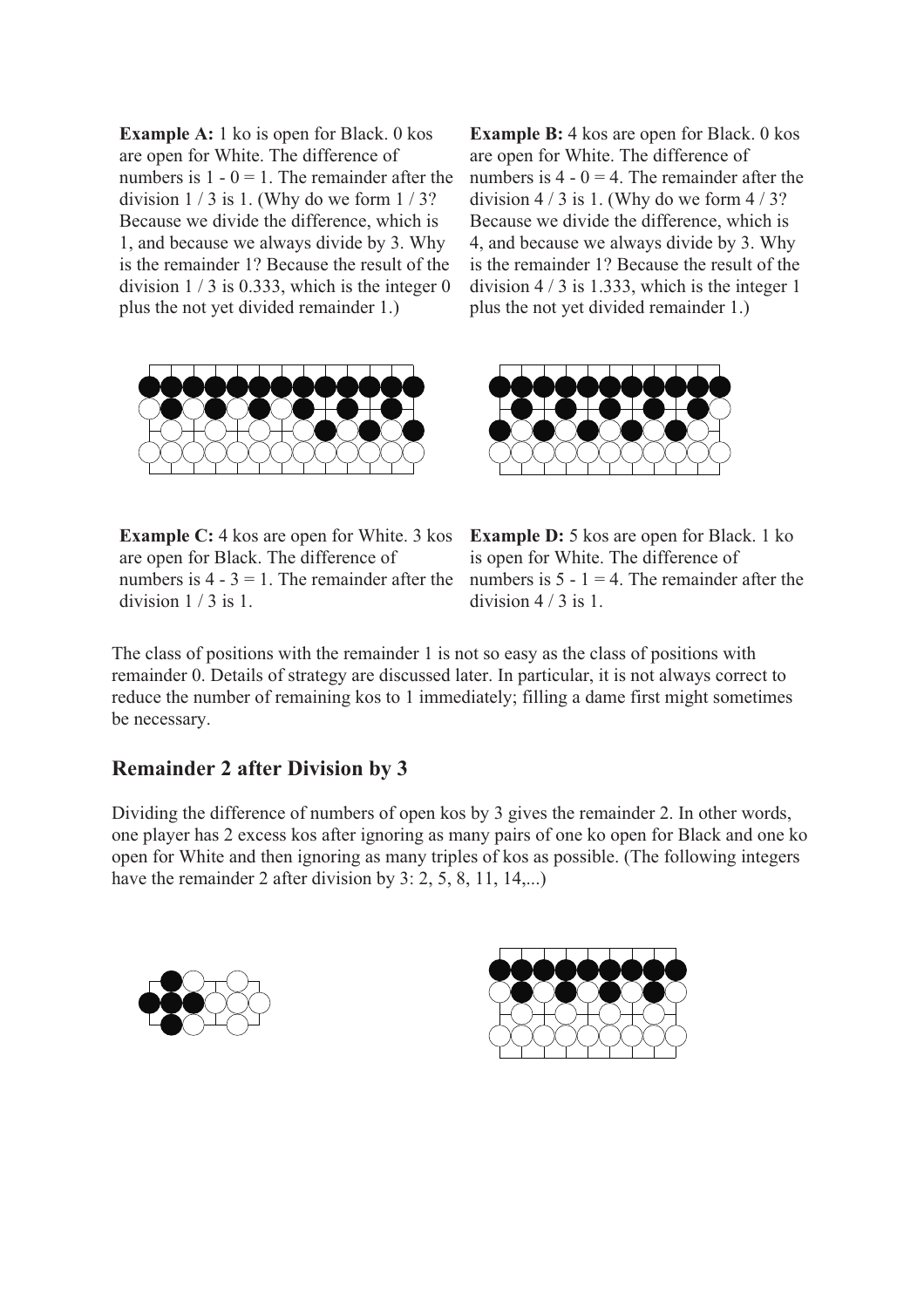**Example A:** 1 ko is open for Black. 0 kos are open for White. The difference of numbers is  $1 - 0 = 1$ . The remainder after the division  $1/3$  is 1. (Why do we form  $1/3$ ? Because we divide the difference, which is 1, and because we always divide by 3. Why is the remainder 1? Because the result of the division  $1/3$  is 0.333, which is the integer 0 plus the not yet divided remainder 1.)



**Example C:** 4 kos are open for White. 3 kos are open for Black. The difference of numbers is  $4 - 3 = 1$ . The remainder after the division  $1/3$  is 1.

**Example B:** 4 kos are open for Black. 0 kos are open for White. The difference of numbers is  $4 - 0 = 4$ . The remainder after the division  $4/3$  is 1. (Why do we form  $4/3$ ? Because we divide the difference, which is 4, and because we always divide by 3. Why is the remainder 1? Because the result of the division  $4/3$  is 1.333, which is the integer 1 plus the not yet divided remainder 1.)





The class of positions with the remainder 1 is not so easy as the class of positions with remainder 0. Details of strategy are discussed later. In particular, it is not always correct to reduce the number of remaining kos to 1 immediately; filling a dame first might sometimes be necessary.

#### **Remainder 2 after Division by 3**

Dividing the difference of numbers of open kos by 3 gives the remainder 2. In other words, one player has 2 excess kos after ignoring as many pairs of one ko open for Black and one ko open for White and then ignoring as many triples of kos as possible. (The following integers have the remainder 2 after division by 3: 2, 5, 8, 11, 14,...)



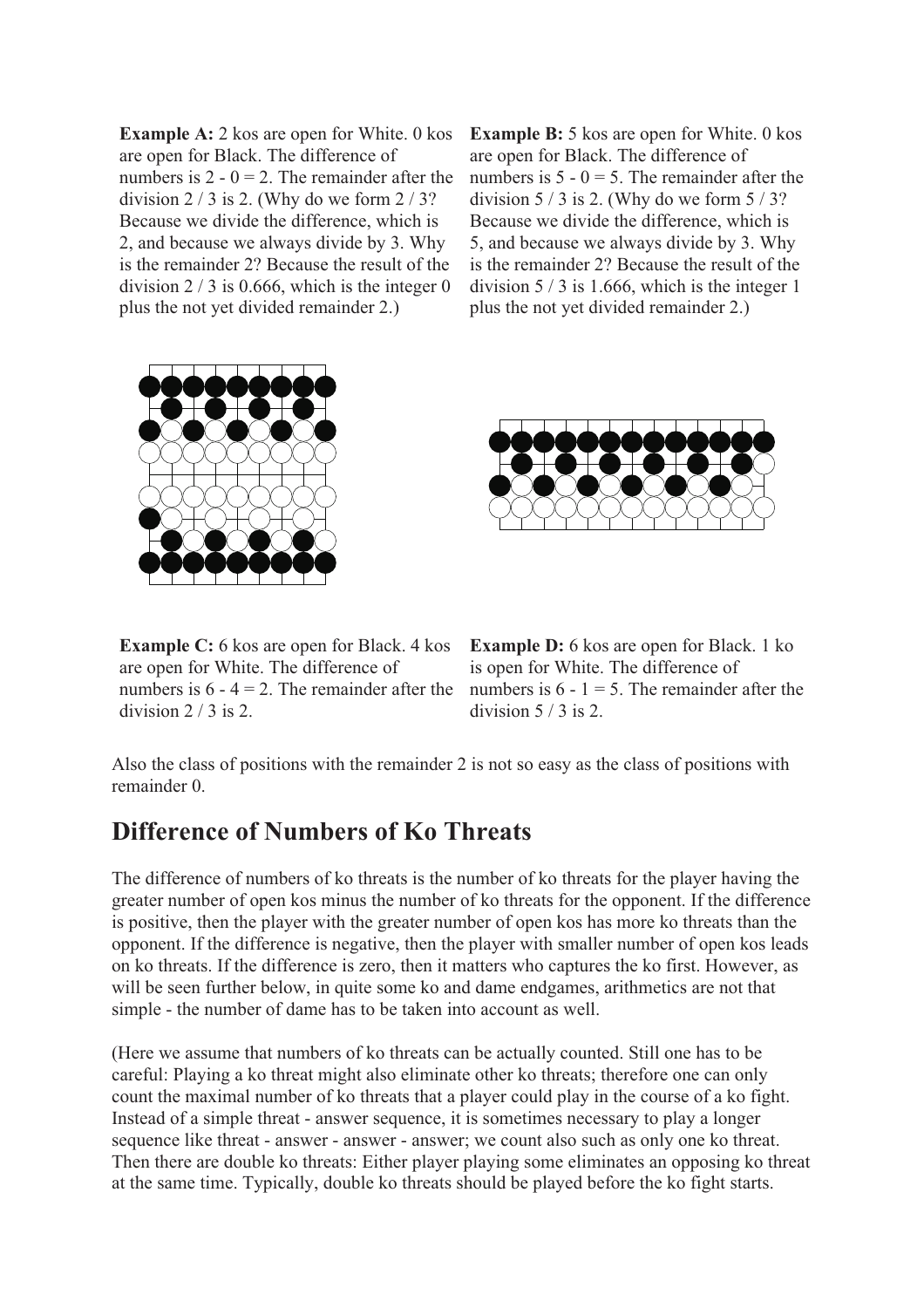**Example A:** 2 kos are open for White. 0 kos are open for Black. The difference of numbers is  $2 - 0 = 2$ . The remainder after the division  $2/3$  is 2. (Why do we form  $2/3$ ? Because we divide the difference, which is 2, and because we always divide by 3. Why is the remainder 2? Because the result of the division  $2/3$  is 0.666, which is the integer 0 plus the not yet divided remainder 2.)

**Example B:** 5 kos are open for White. 0 kos are open for Black. The difference of numbers is  $5 - 0 = 5$ . The remainder after the division  $5/3$  is 2. (Why do we form  $5/3$ ? Because we divide the difference, which is 5, and because we always divide by 3. Why is the remainder 2? Because the result of the division  $5/3$  is 1.666, which is the integer 1 plus the not yet divided remainder 2.)





**Example C:** 6 kos are open for Black. 4 kos are open for White. The difference of numbers is  $6 - 4 = 2$ . The remainder after the division  $2/3$  is  $2$ .

**Example D:** 6 kos are open for Black. 1 ko is open for White. The difference of numbers is  $6 - 1 = 5$ . The remainder after the division  $5/3$  is 2.

Also the class of positions with the remainder 2 is not so easy as the class of positions with remainder 0.

### **Difference of Numbers of Ko Threats**

The difference of numbers of ko threats is the number of ko threats for the player having the greater number of open kos minus the number of ko threats for the opponent. If the difference is positive, then the player with the greater number of open kos has more ko threats than the opponent. If the difference is negative, then the player with smaller number of open kos leads on ko threats. If the difference is zero, then it matters who captures the ko first. However, as will be seen further below, in quite some ko and dame endgames, arithmetics are not that simple - the number of dame has to be taken into account as well.

(Here we assume that numbers of ko threats can be actually counted. Still one has to be careful: Playing a ko threat might also eliminate other ko threats; therefore one can only count the maximal number of ko threats that a player could play in the course of a ko fight. Instead of a simple threat - answer sequence, it is sometimes necessary to play a longer sequence like threat - answer - answer - answer; we count also such as only one ko threat. Then there are double ko threats: Either player playing some eliminates an opposing ko threat at the same time. Typically, double ko threats should be played before the ko fight starts.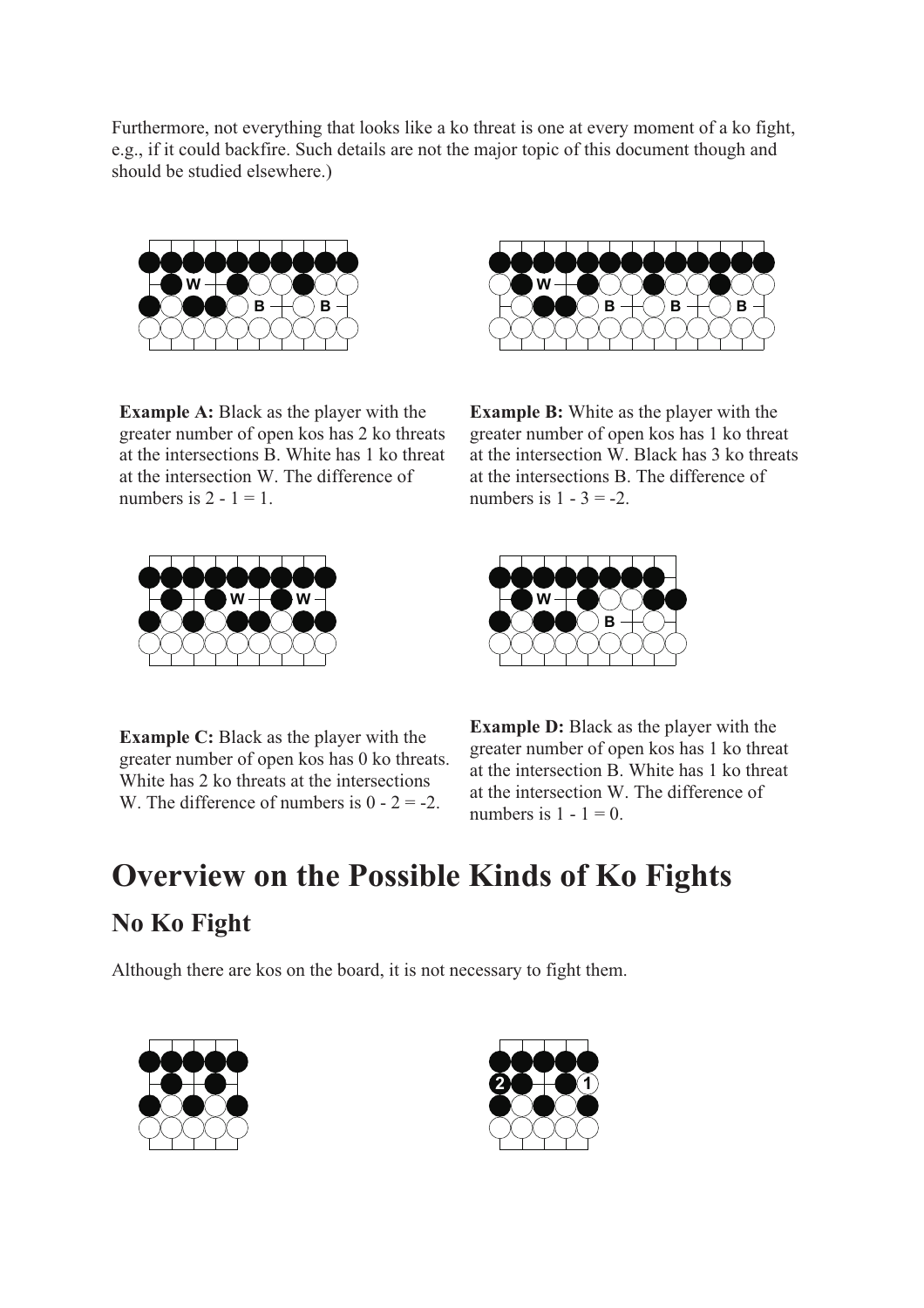Furthermore, not everything that looks like a ko threat is one at every moment of a ko fight, e.g., if it could backfire. Such details are not the major topic of this document though and should be studied elsewhere.)



**Example A:** Black as the player with the greater number of open kos has 2 ko threats at the intersections B. White has 1 ko threat at the intersection W. The difference of numbers is  $2 - 1 = 1$ .



**Example C:** Black as the player with the greater number of open kos has 0 ko threats. White has 2 ko threats at the intersections W. The difference of numbers is  $0 - 2 = -2$ .



**Example B:** White as the player with the greater number of open kos has 1 ko threat at the intersection W. Black has 3 ko threats at the intersections B. The difference of numbers is  $1 - 3 = -2$ .



**Example D:** Black as the player with the greater number of open kos has 1 ko threat at the intersection B. White has 1 ko threat at the intersection W. The difference of numbers is  $1 - 1 = 0$ .

# **Overview on the Possible Kinds of Ko Fights No Ko Fight**

Although there are kos on the board, it is not necessary to fight them.



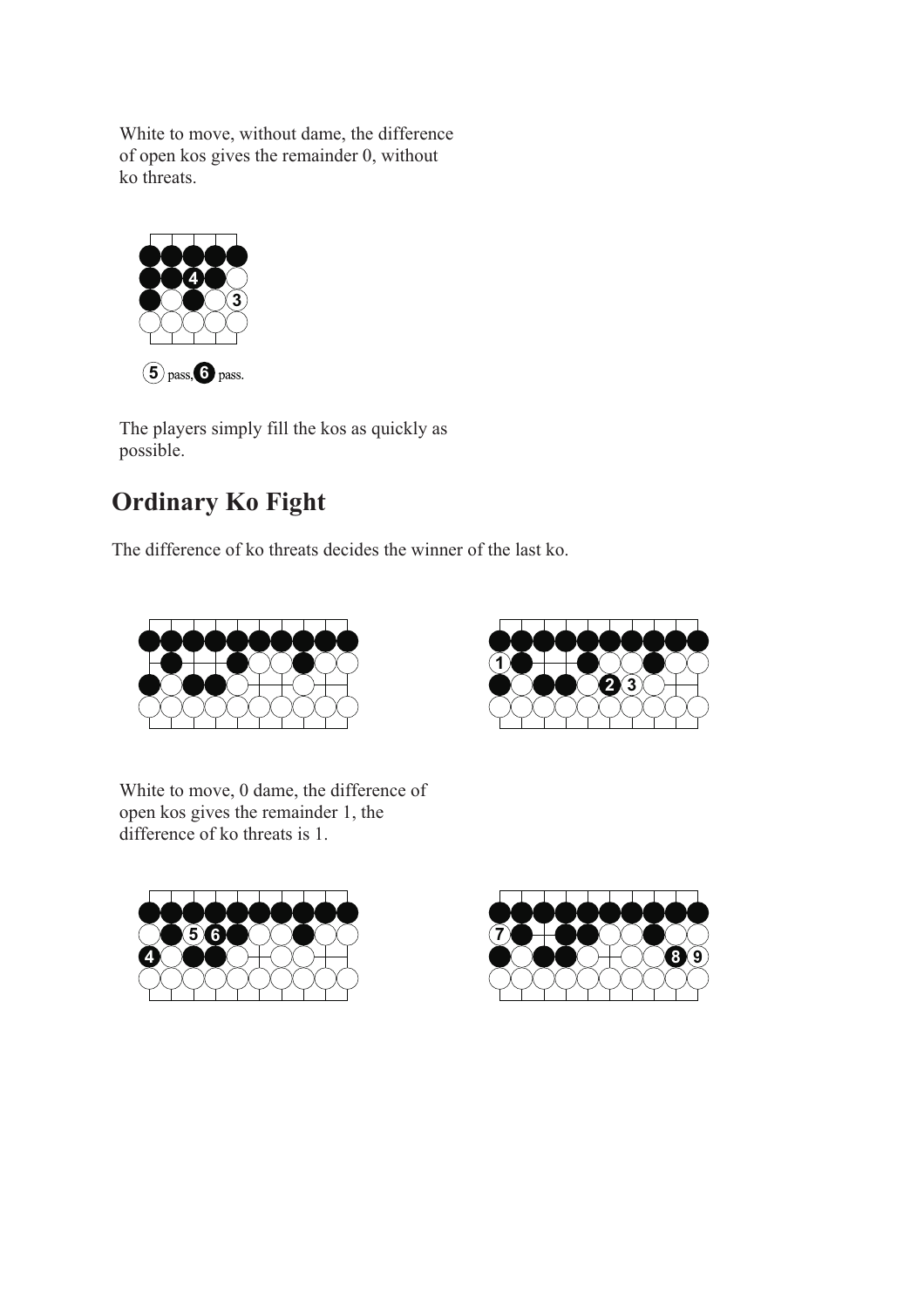White to move, without dame, the difference of open kos gives the remainder 0, without ko threats.



The players simply fill the kos as quickly as possible.

## **Ordinary Ko Fight**

The difference of ko threats decides the winner of the last ko.





White to move, 0 dame, the difference of open kos gives the remainder 1, the difference of ko threats is 1.



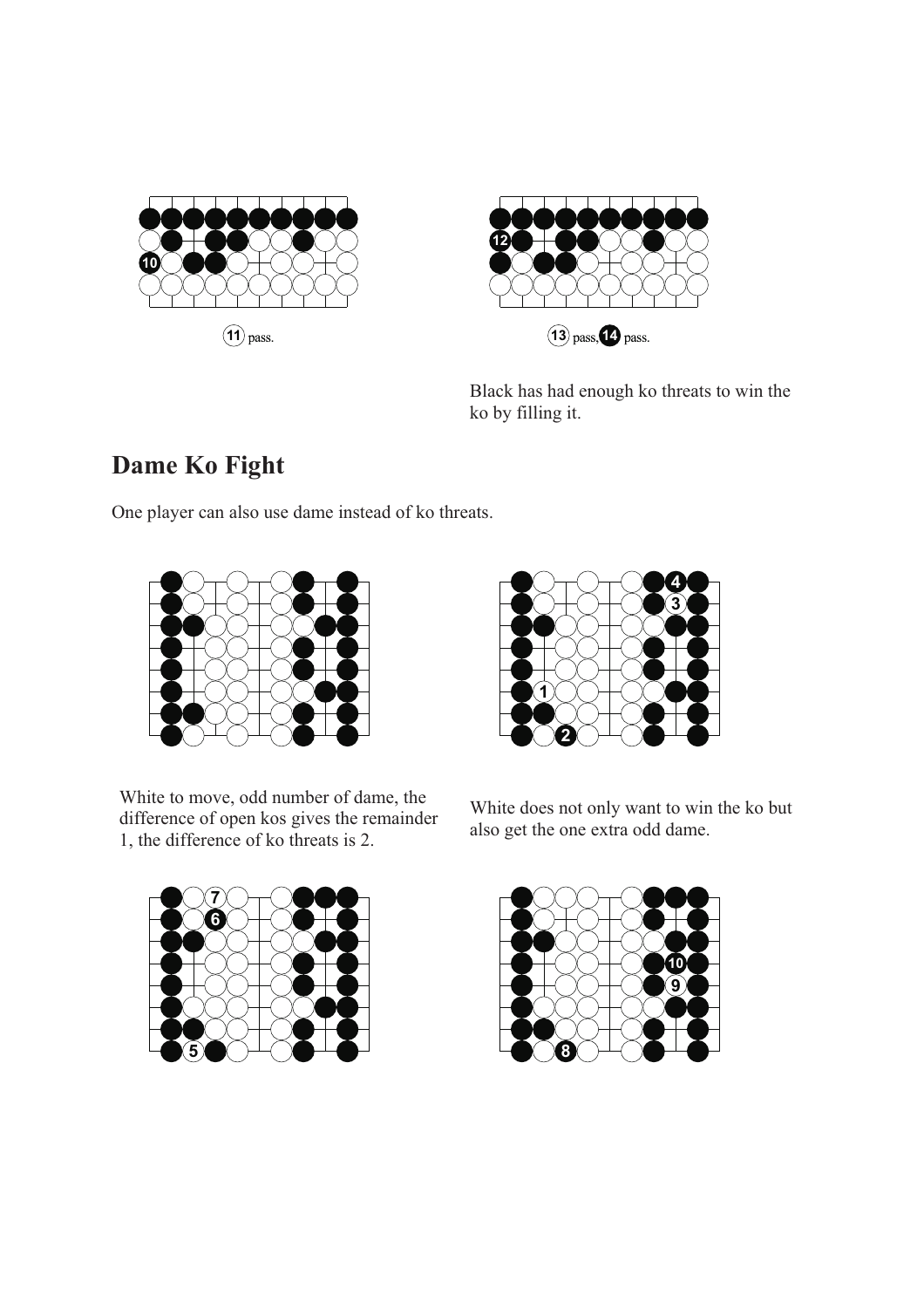



Black has had enough ko threats to win the ko by filling it.

## **Dame Ko Fight**

One player can also use dame instead of ko threats.



White to move, odd number of dame, the difference of open kos gives the remainder 1, the difference of ko threats is 2.



White does not only want to win the ko but also get the one extra odd dame.



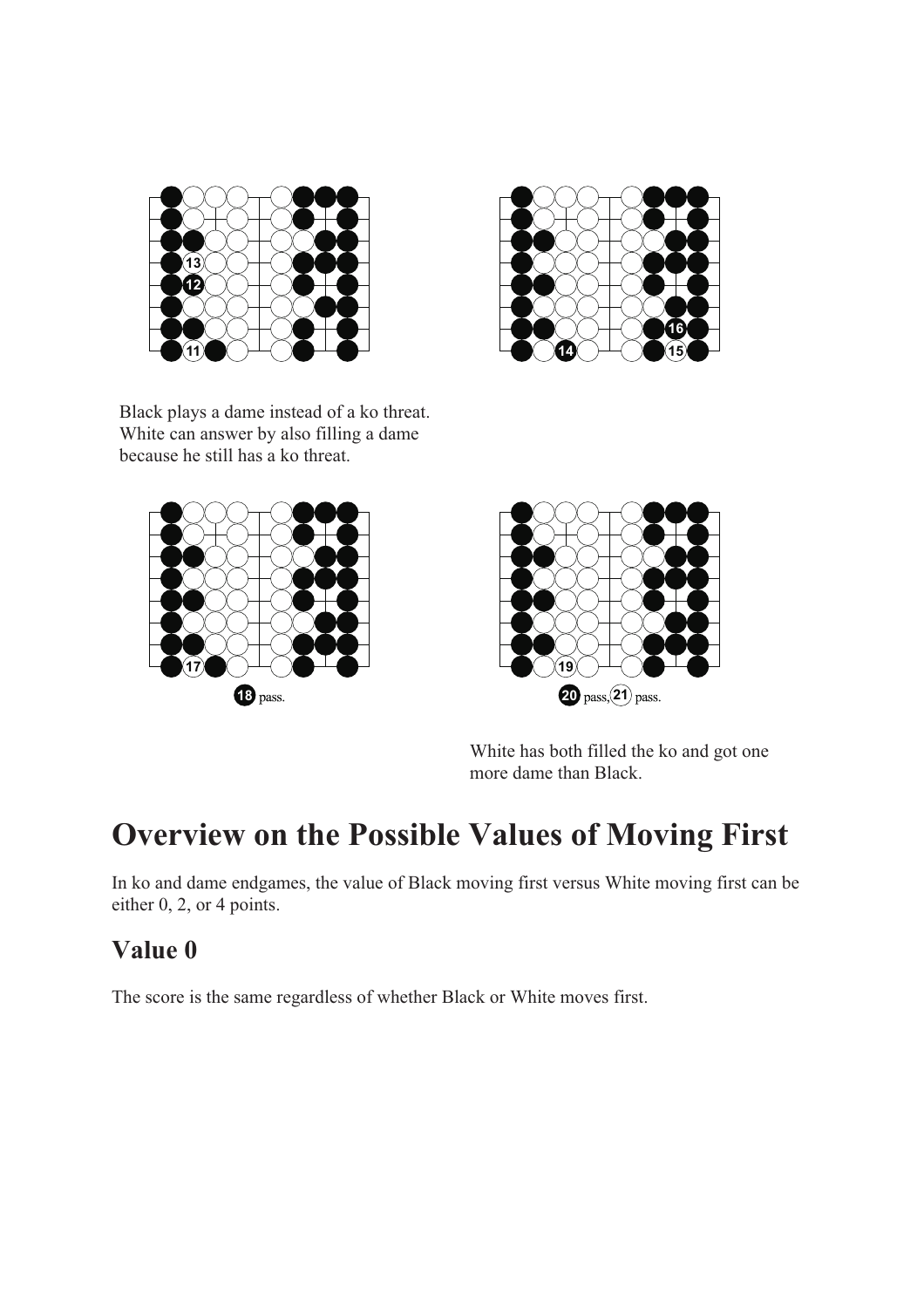



Black plays a dame instead of a ko threat. White can answer by also filling a dame because he still has a ko threat.





White has both filled the ko and got one more dame than Black.

# **Overview on the Possible Values of Moving First**

In ko and dame endgames, the value of Black moving first versus White moving first can be either 0, 2, or 4 points.

### **Value 0**

The score is the same regardless of whether Black or White moves first.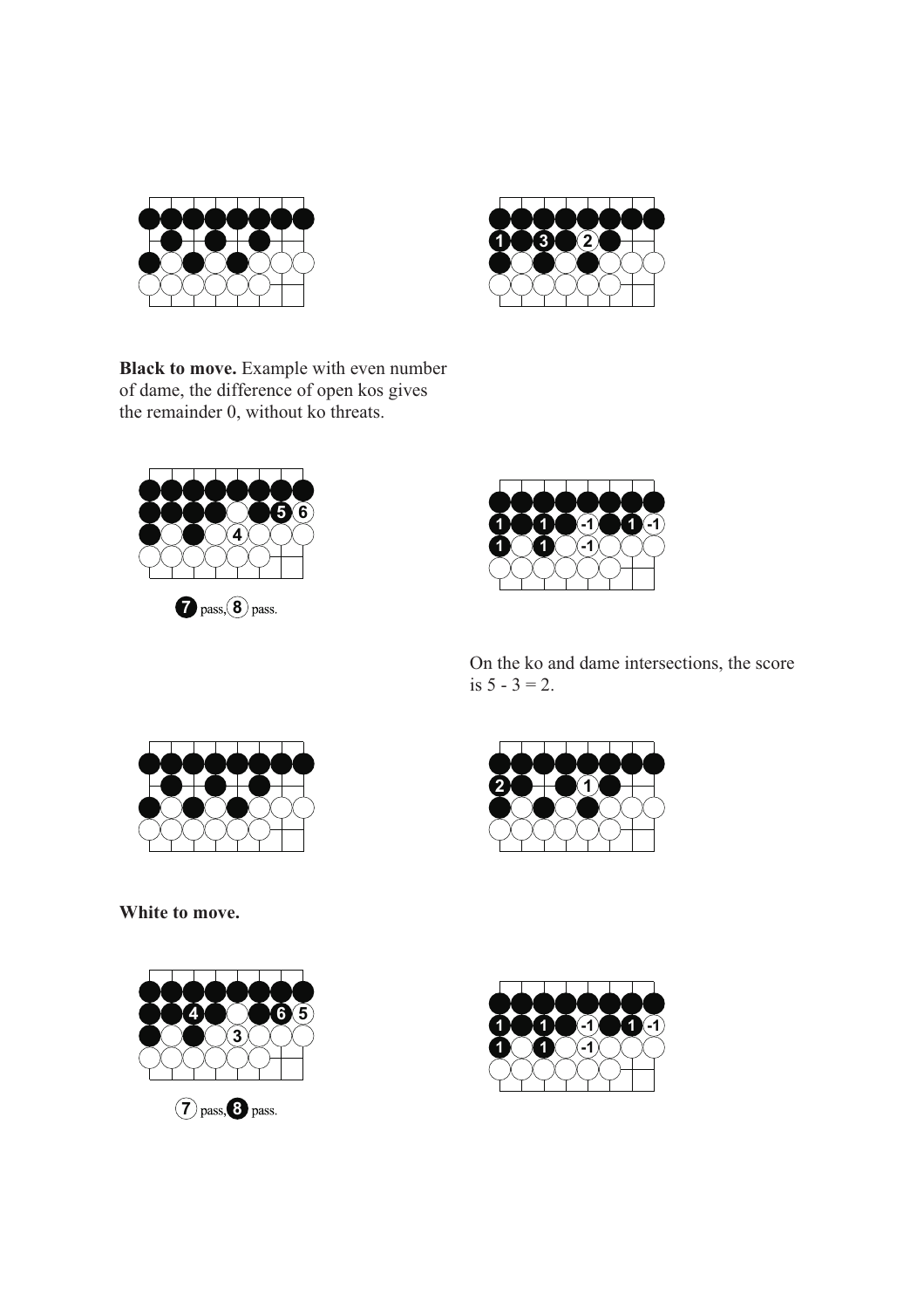



**Black to move.** Example with even number of dame, the difference of open kos gives the remainder 0, without ko threats.





On the ko and dame intersections, the score is  $5 - 3 = 2$ .



**White to move.**





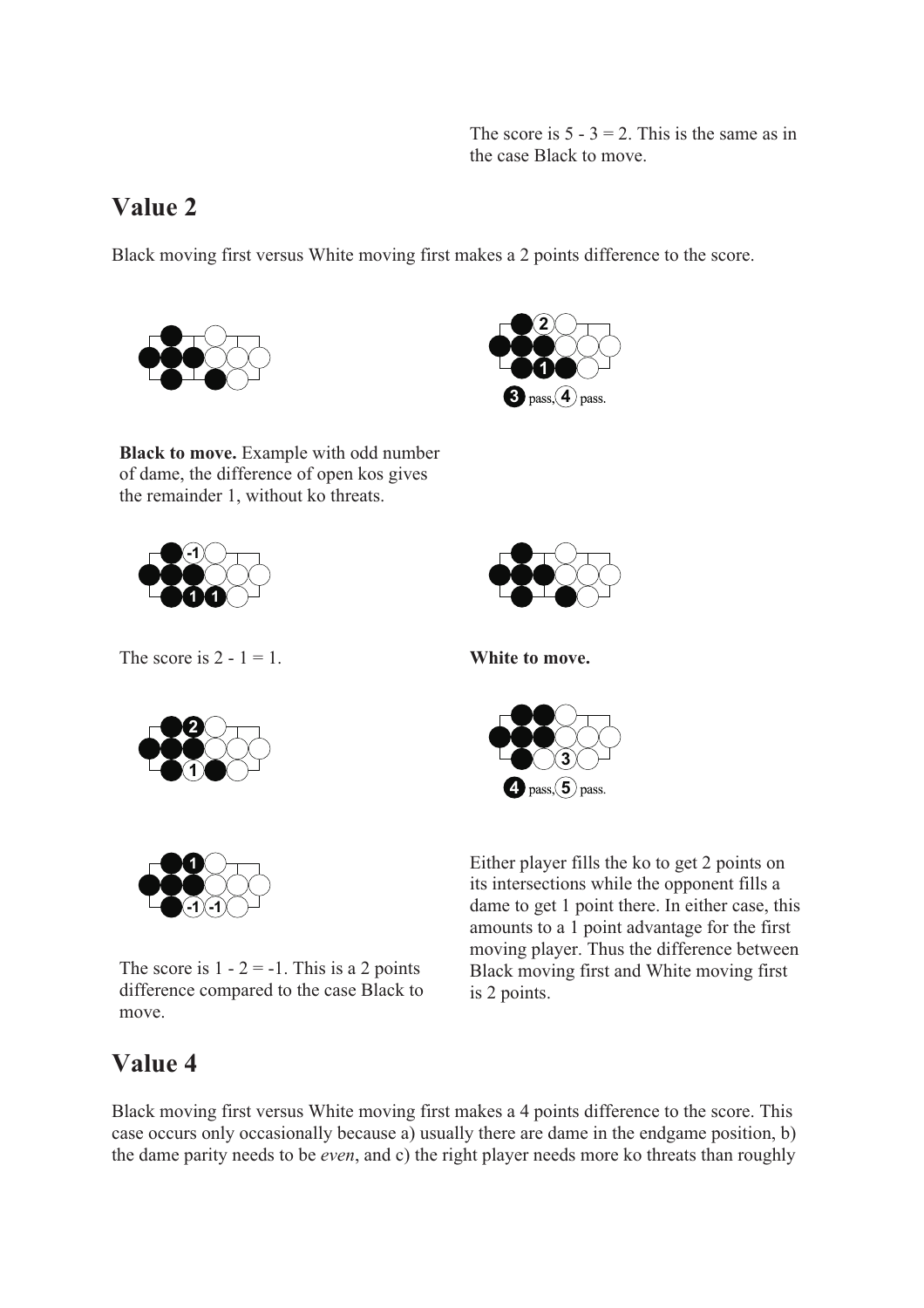The score is  $5 - 3 = 2$ . This is the same as in the case Black to move.

### **Value 2**

Black moving first versus White moving first makes a 2 points difference to the score.



**Black to move.** Example with odd number of dame, the difference of open kos gives the remainder 1, without ko threats.



The score is  $2 - 1 = 1$ . White to move.





The score is  $1 - 2 = -1$ . This is a 2 points difference compared to the case Black to move.







Either player fills the ko to get 2 points on its intersections while the opponent fills a dame to get 1 point there. In either case, this amounts to a 1 point advantage for the first moving player. Thus the difference between Black moving first and White moving first is 2 points.

## **Value 4**

Black moving first versus White moving first makes a 4 points difference to the score. This case occurs only occasionally because a) usually there are dame in the endgame position, b) the dame parity needs to be *even*, and c) the right player needs more ko threats than roughly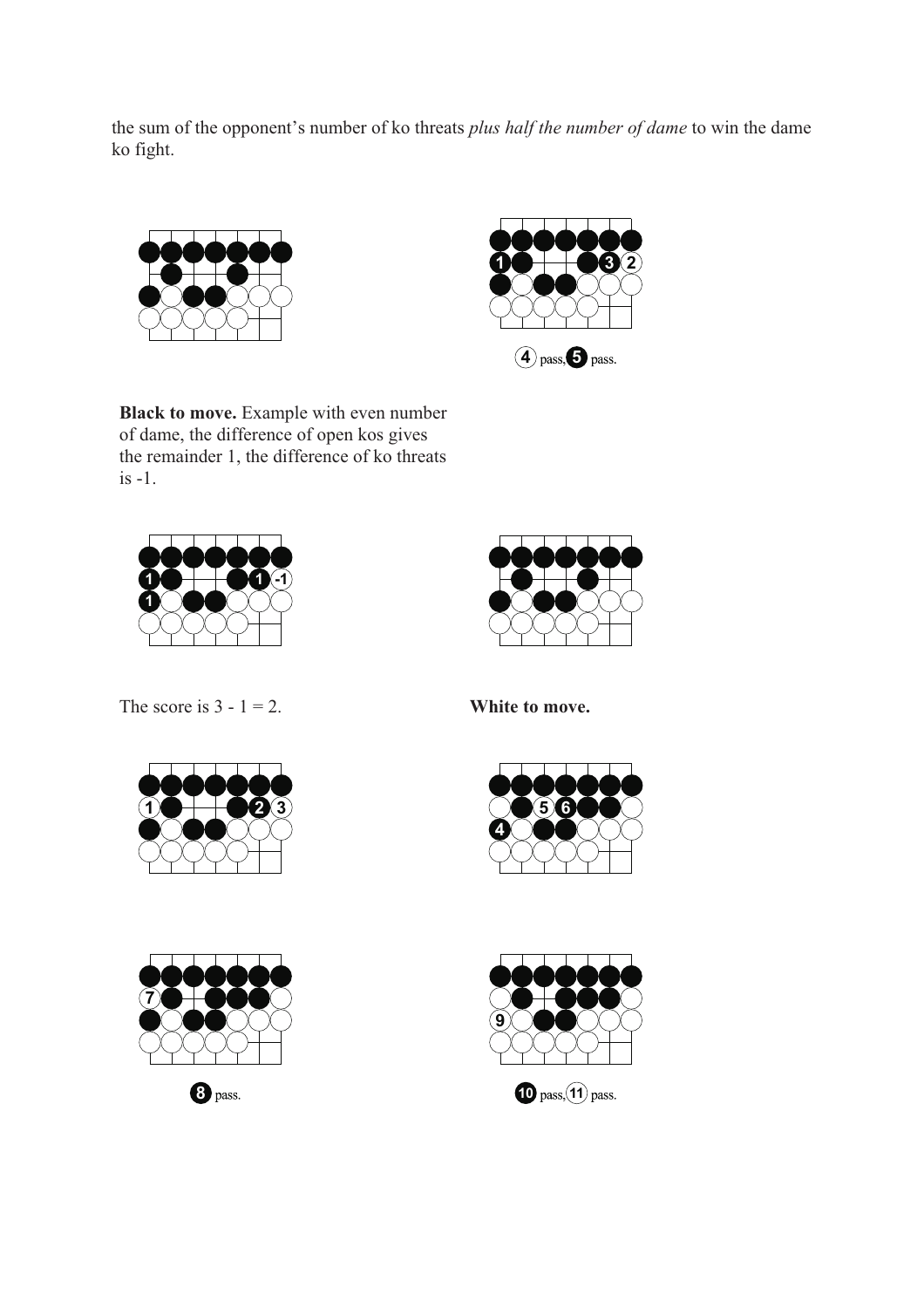the sum of the opponent's number of ko threats *plus half the number of dame* to win the dame ko fight.





**Black to move.** Example with even number of dame, the difference of open kos gives the remainder 1, the difference of ko threats is -1.















**6**

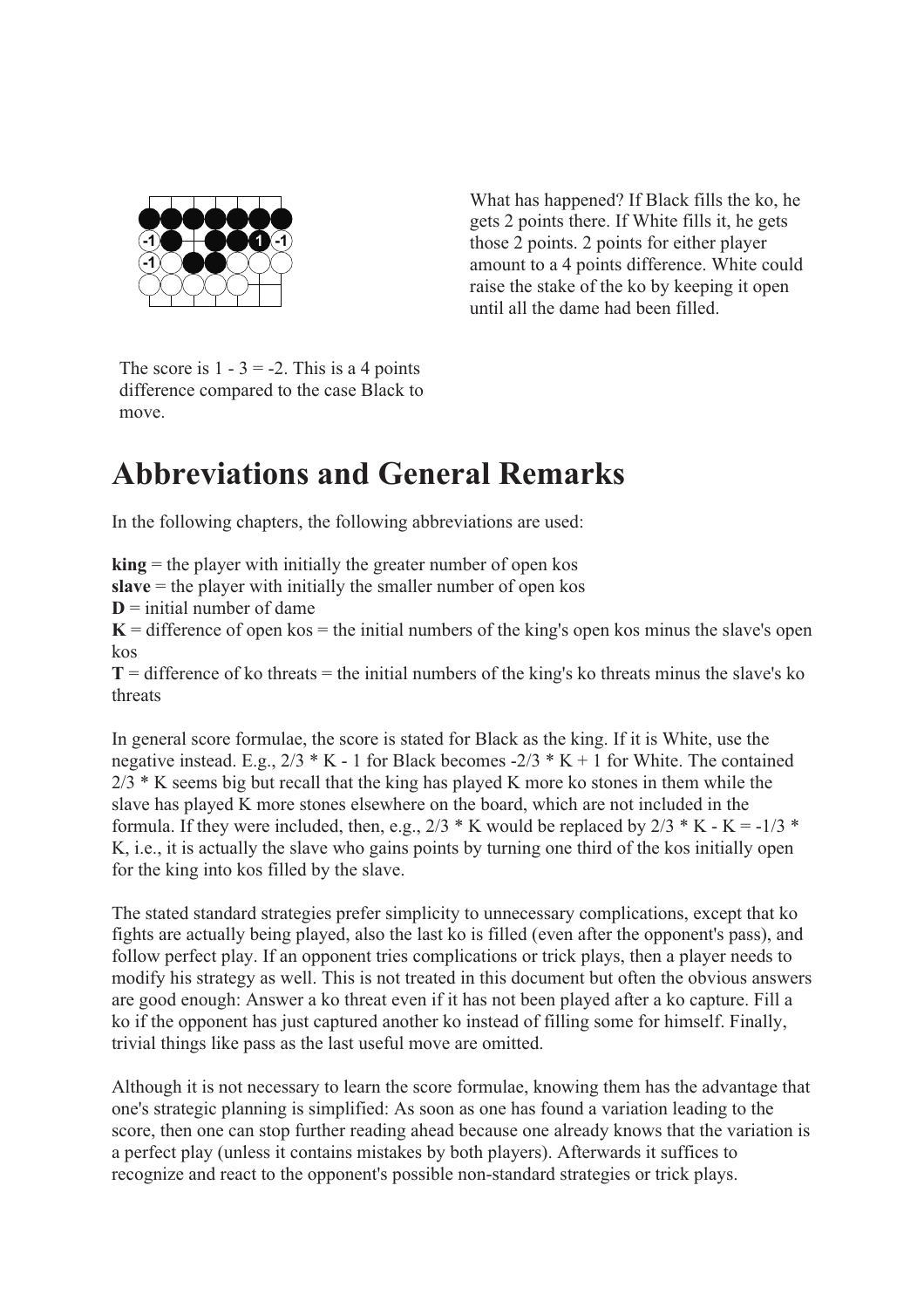

What has happened? If Black fills the ko, he gets 2 points there. If White fills it, he gets those 2 points. 2 points for either player amount to a 4 points difference. White could raise the stake of the ko by keeping it open until all the dame had been filled.

The score is  $1 - 3 = -2$ . This is a 4 points difference compared to the case Black to move.

# **Abbreviations and General Remarks**

In the following chapters, the following abbreviations are used:

**king** = the player with initially the greater number of open kos

**slave** = the player with initially the smaller number of open kos

 $D =$  initial number of dame

 $K =$  difference of open kos = the initial numbers of the king's open kos minus the slave's open kos

 $T =$  difference of ko threats  $=$  the initial numbers of the king's ko threats minus the slave's ko threats

In general score formulae, the score is stated for Black as the king. If it is White, use the negative instead. E.g.,  $2/3 * K - 1$  for Black becomes  $-2/3 * K + 1$  for White. The contained  $2/3$  \* K seems big but recall that the king has played K more ko stones in them while the slave has played K more stones elsewhere on the board, which are not included in the formula. If they were included, then, e.g.,  $2/3 * K$  would be replaced by  $2/3 * K - K = -1/3 *$ K, i.e., it is actually the slave who gains points by turning one third of the kos initially open for the king into kos filled by the slave.

The stated standard strategies prefer simplicity to unnecessary complications, except that ko fights are actually being played, also the last ko is filled (even after the opponent's pass), and follow perfect play. If an opponent tries complications or trick plays, then a player needs to modify his strategy as well. This is not treated in this document but often the obvious answers are good enough: Answer a ko threat even if it has not been played after a ko capture. Fill a ko if the opponent has just captured another ko instead of filling some for himself. Finally, trivial things like pass as the last useful move are omitted.

Although it is not necessary to learn the score formulae, knowing them has the advantage that one's strategic planning is simplified: As soon as one has found a variation leading to the score, then one can stop further reading ahead because one already knows that the variation is a perfect play (unless it contains mistakes by both players). Afterwards it suffices to recognize and react to the opponent's possible non-standard strategies or trick plays.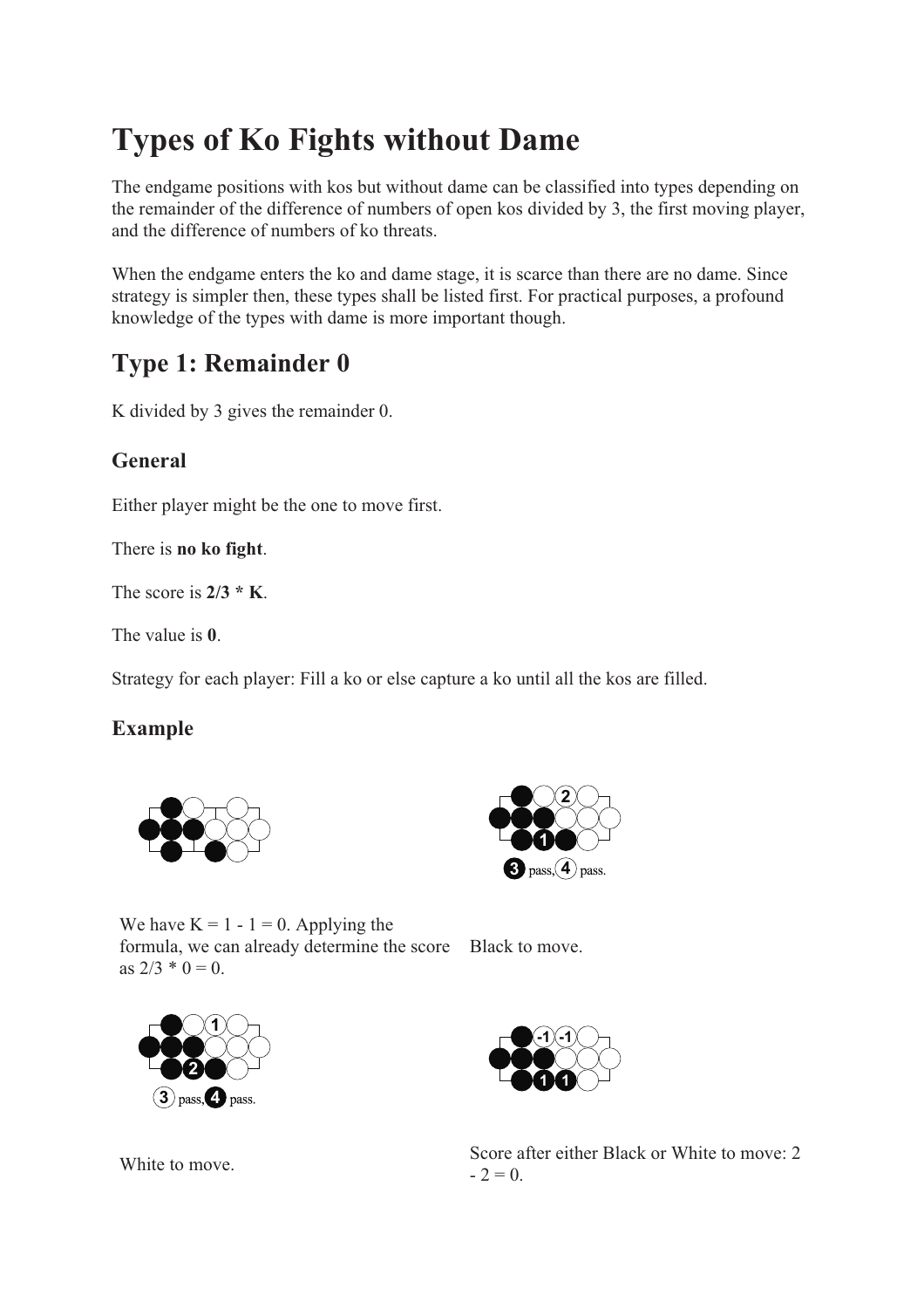# **Types of Ko Fights without Dame**

The endgame positions with kos but without dame can be classified into types depending on the remainder of the difference of numbers of open kos divided by 3, the first moving player, and the difference of numbers of ko threats.

When the endgame enters the ko and dame stage, it is scarce than there are no dame. Since strategy is simpler then, these types shall be listed first. For practical purposes, a profound knowledge of the types with dame is more important though.

## **Type 1: Remainder 0**

K divided by 3 gives the remainder 0.

### **General**

Either player might be the one to move first.

There is **no ko fight**.

The score is **2/3 \* K**.

The value is **0**.

Strategy for each player: Fill a ko or else capture a ko until all the kos are filled.

### **Example**





We have  $K = 1 - 1 = 0$ . Applying the formula, we can already determine the score Black to move. as  $2/3 * 0 = 0$ .







White to move.<br>
White to move: 2  $- 2 = 0.$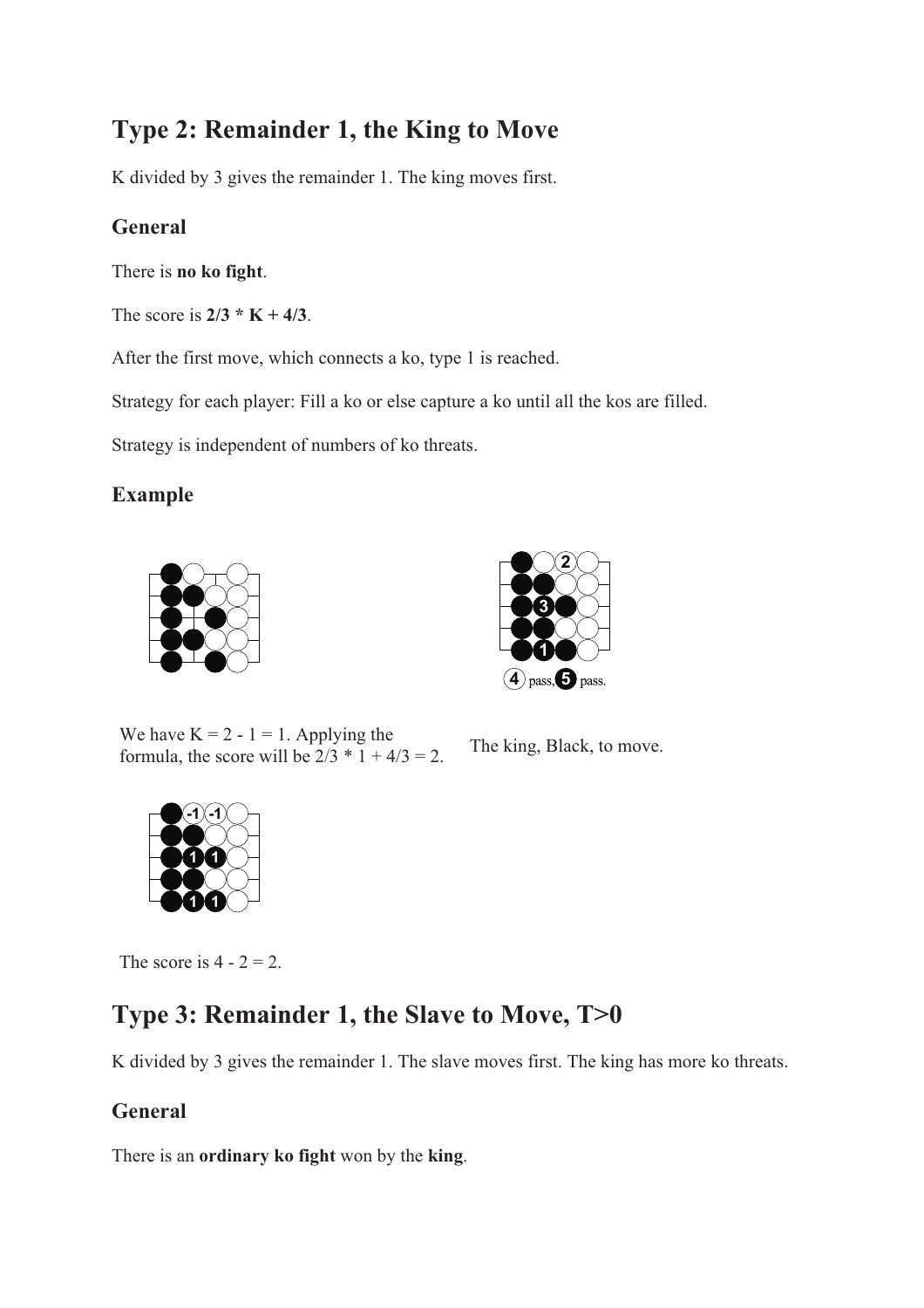### **Type 2: Remainder 1, the King to Move**

K divided by 3 gives the remainder 1. The king moves first.

#### **General**

There is **no ko fight**.

The score is  $2/3 * K + 4/3$ .

After the first move, which connects a ko, type 1 is reached.

Strategy for each player: Fill a ko or else capture a ko until all the kos are filled.

Strategy is independent of numbers of ko threats.

#### **Example**





We have  $K = 2 - 1 = 1$ . Applying the we have  $K = 2 - 1 - 1$ . Applying the<br>formula, the score will be  $2/3 * 1 + 4/3 = 2$ . The king, Black, to move.



The score is  $4 - 2 = 2$ .

## **Type 3: Remainder 1, the Slave to Move, T>0**

K divided by 3 gives the remainder 1. The slave moves first. The king has more ko threats.

#### **General**

There is an **ordinary ko fight** won by the **king**.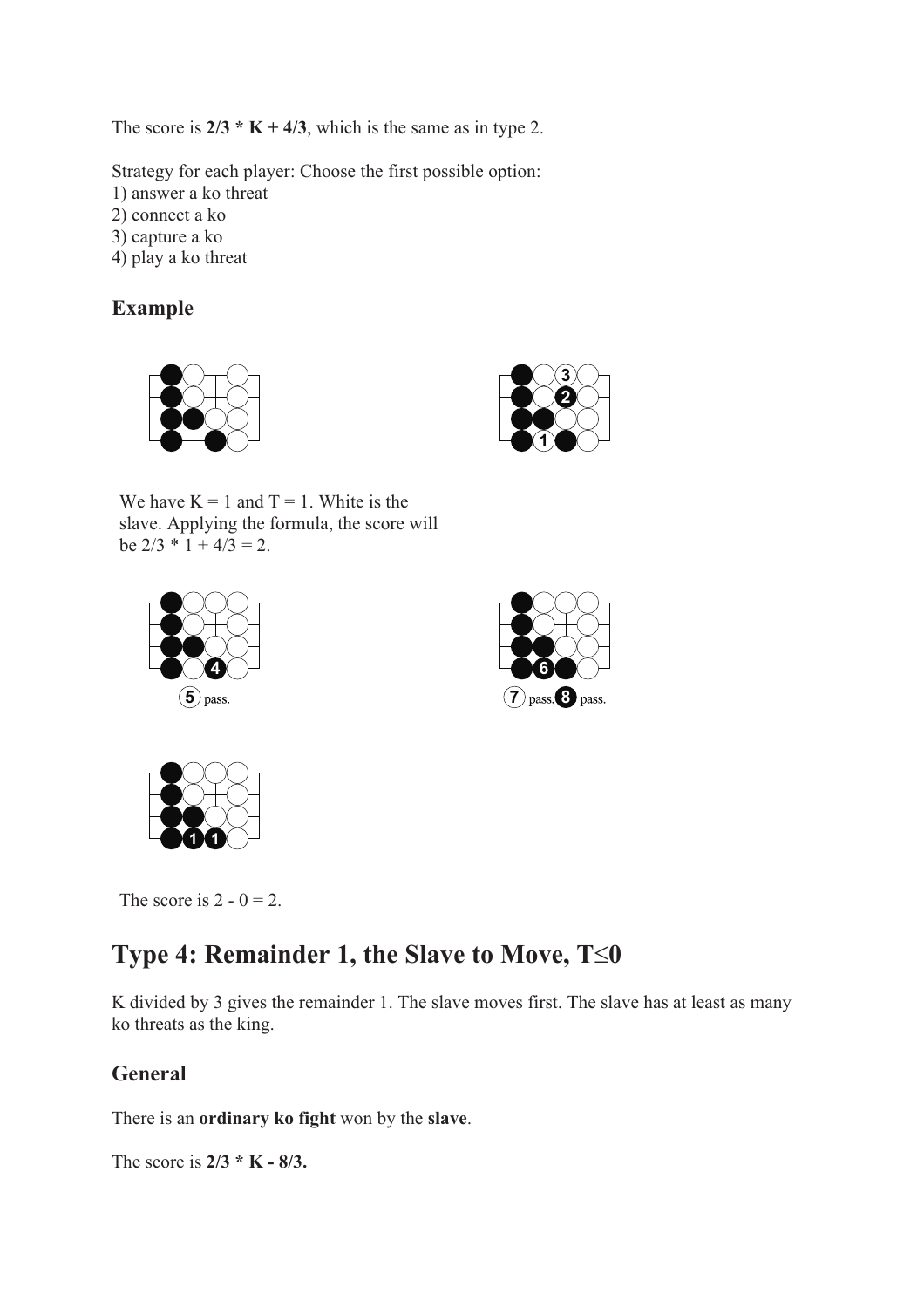The score is  $2/3$  \*  $K + 4/3$ , which is the same as in type 2.

Strategy for each player: Choose the first possible option: 1) answer a ko threat 2) connect a ko 3) capture a ko 4) play a ko threat

### **Example**





We have  $K = 1$  and  $T = 1$ . White is the slave. Applying the formula, the score will be  $2/3 * 1 + 4/3 = 2$ .







The score is  $2 - 0 = 2$ .

## Type 4: Remainder 1, the Slave to Move,  $T \le 0$

K divided by 3 gives the remainder 1. The slave moves first. The slave has at least as many ko threats as the king.

### **General**

There is an **ordinary ko fight** won by the **slave**.

The score is **2/3 \* K - 8/3.**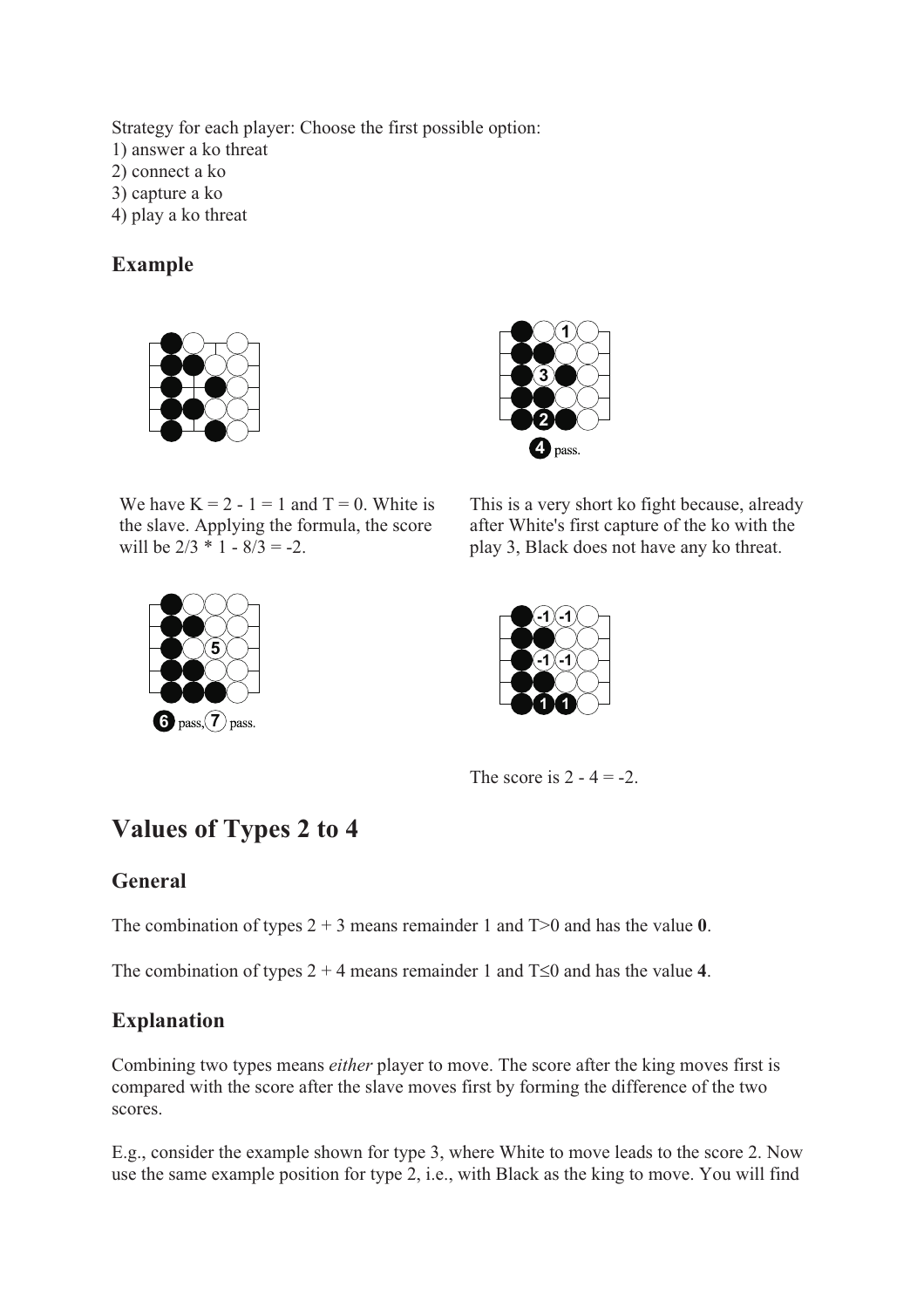Strategy for each player: Choose the first possible option: 1) answer a ko threat 2) connect a ko 3) capture a ko 4) play a ko threat

#### **Example**





We have  $K = 2 - 1 = 1$  and  $T = 0$ . White is the slave. Applying the formula, the score will be  $2/3 * 1 - 8/3 = -2$ .

This is a very short ko fight because, already after White's first capture of the ko with the play 3, Black does not have any ko threat.





The score is  $2 - 4 = -2$ .

## **Values of Types 2 to 4**

### **General**

The combination of types  $2 + 3$  means remainder 1 and  $T>0$  and has the value 0.

The combination of types  $2 + 4$  means remainder 1 and  $T \le 0$  and has the value 4.

### **Explanation**

Combining two types means *either* player to move. The score after the king moves first is compared with the score after the slave moves first by forming the difference of the two scores.

E.g., consider the example shown for type 3, where White to move leads to the score 2. Now use the same example position for type 2, i.e., with Black as the king to move. You will find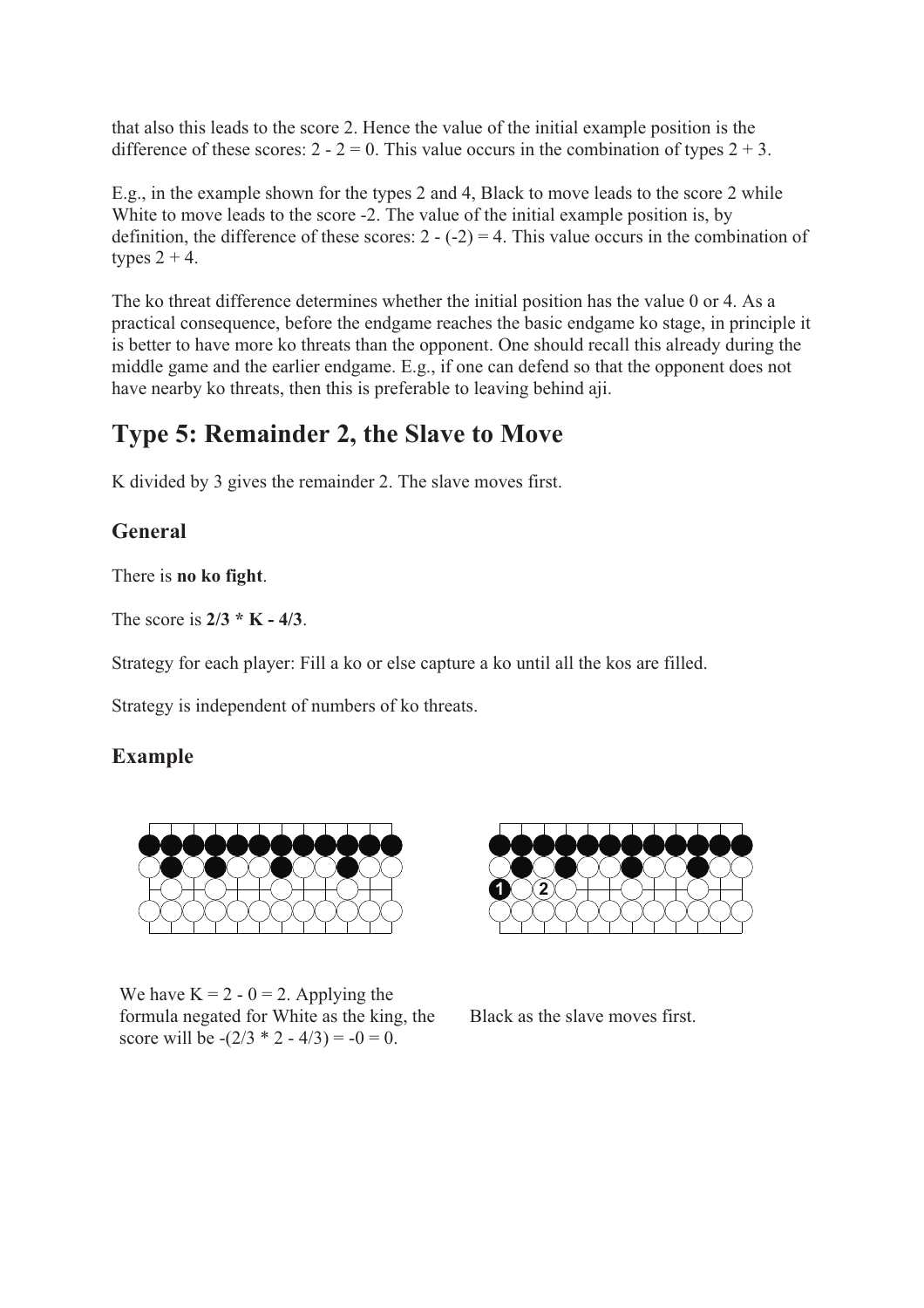that also this leads to the score 2. Hence the value of the initial example position is the difference of these scores:  $2 - 2 = 0$ . This value occurs in the combination of types  $2 + 3$ .

E.g., in the example shown for the types 2 and 4, Black to move leads to the score 2 while White to move leads to the score -2. The value of the initial example position is, by definition, the difference of these scores:  $2 - (-2) = 4$ . This value occurs in the combination of types  $2 + 4$ .

The ko threat difference determines whether the initial position has the value 0 or 4. As a practical consequence, before the endgame reaches the basic endgame ko stage, in principle it is better to have more ko threats than the opponent. One should recall this already during the middle game and the earlier endgame. E.g., if one can defend so that the opponent does not have nearby ko threats, then this is preferable to leaving behind aji.

### **Type 5: Remainder 2, the Slave to Move**

K divided by 3 gives the remainder 2. The slave moves first.

#### **General**

There is **no ko fight**.

The score is **2/3 \* K - 4/3**.

Strategy for each player: Fill a ko or else capture a ko until all the kos are filled.

Strategy is independent of numbers of ko threats.

#### **Example**



We have  $K = 2 - 0 = 2$ . Applying the formula negated for White as the king, the score will be  $-(2/3 * 2 - 4/3) = -0 = 0$ .



Black as the slave moves first.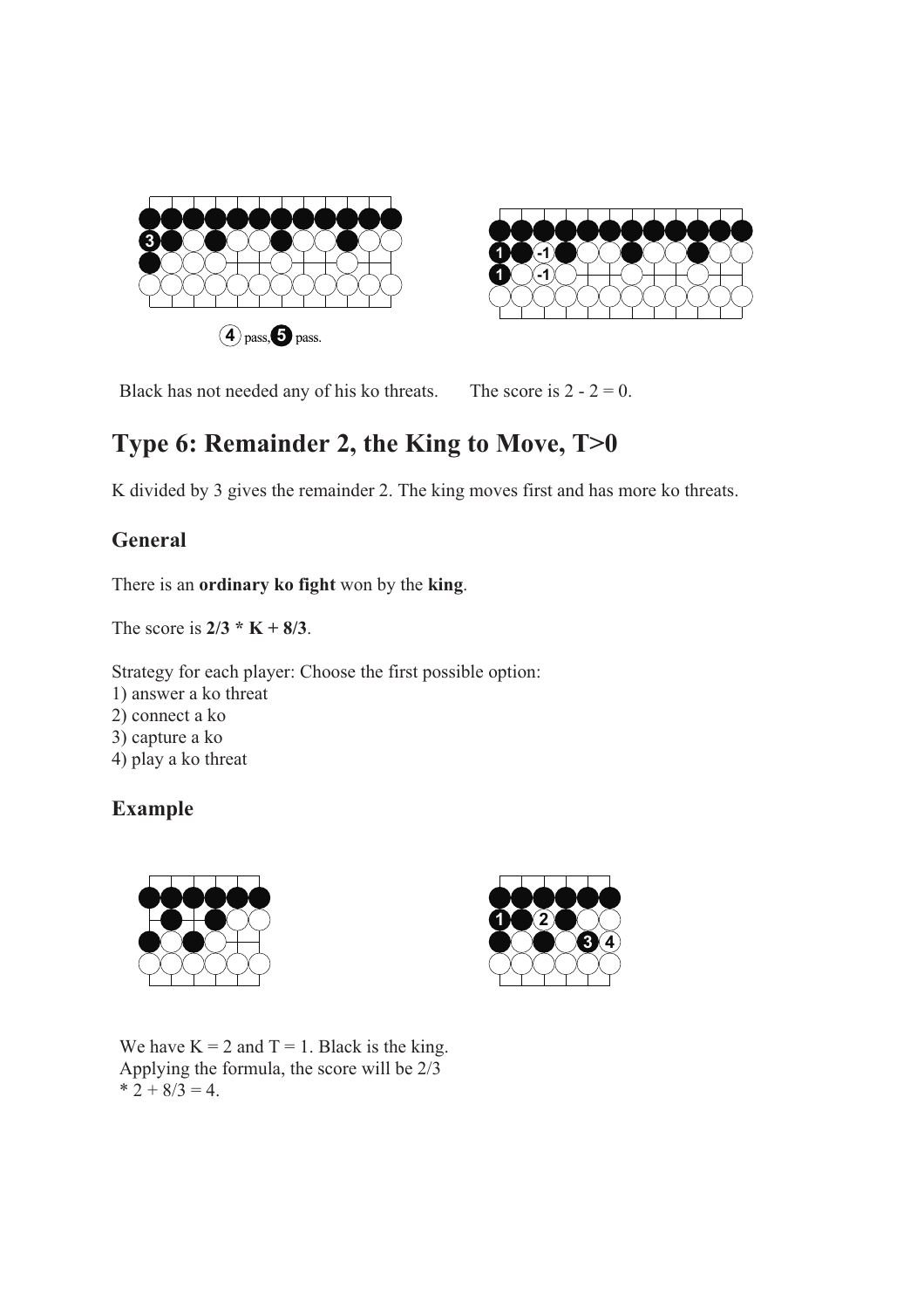



Black has not needed any of his ko threats. The score is  $2 - 2 = 0$ .

## **Type 6: Remainder 2, the King to Move, T>0**

K divided by 3 gives the remainder 2. The king moves first and has more ko threats.

### **General**

There is an **ordinary ko fight** won by the **king**.

The score is  $2/3 * K + 8/3$ .

Strategy for each player: Choose the first possible option: 1) answer a ko threat 2) connect a ko 3) capture a ko 4) play a ko threat

### **Example**





We have  $K = 2$  and  $T = 1$ . Black is the king. Applying the formula, the score will be 2/3  $*$  2 +  $8/3$  = 4.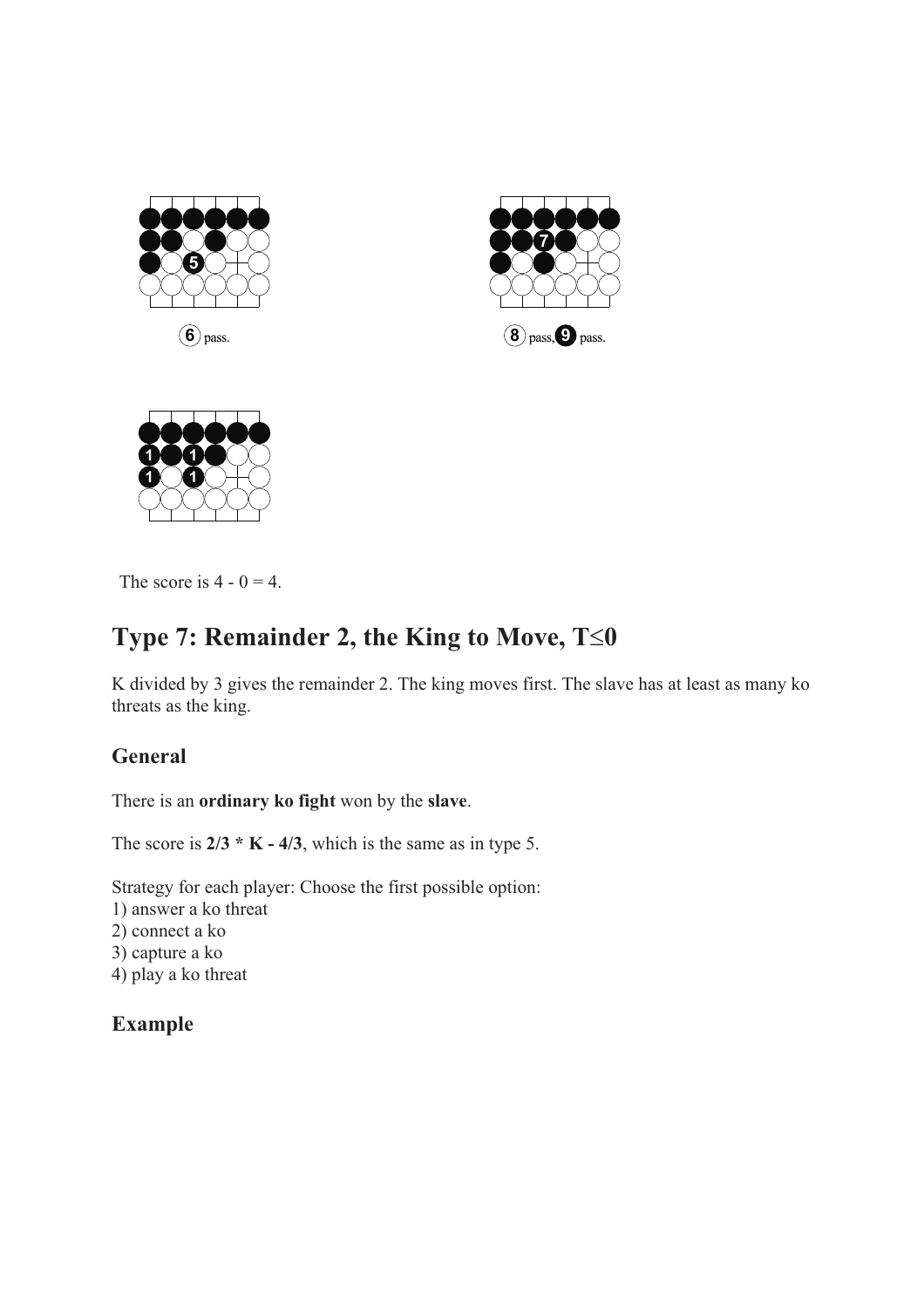

**6** pass.





The score is  $4 - 0 = 4$ .

## **Type 7: Remainder 2, the King to Move,**  $T \le 0$

K divided by 3 gives the remainder 2. The king moves first. The slave has at least as many ko threats as the king.

### **General**

There is an **ordinary ko fight** won by the **slave**.

The score is  $2/3 * K - 4/3$ , which is the same as in type 5.

Strategy for each player: Choose the first possible option: 1) answer a ko threat 2) connect a ko 3) capture a ko 4) play a ko threat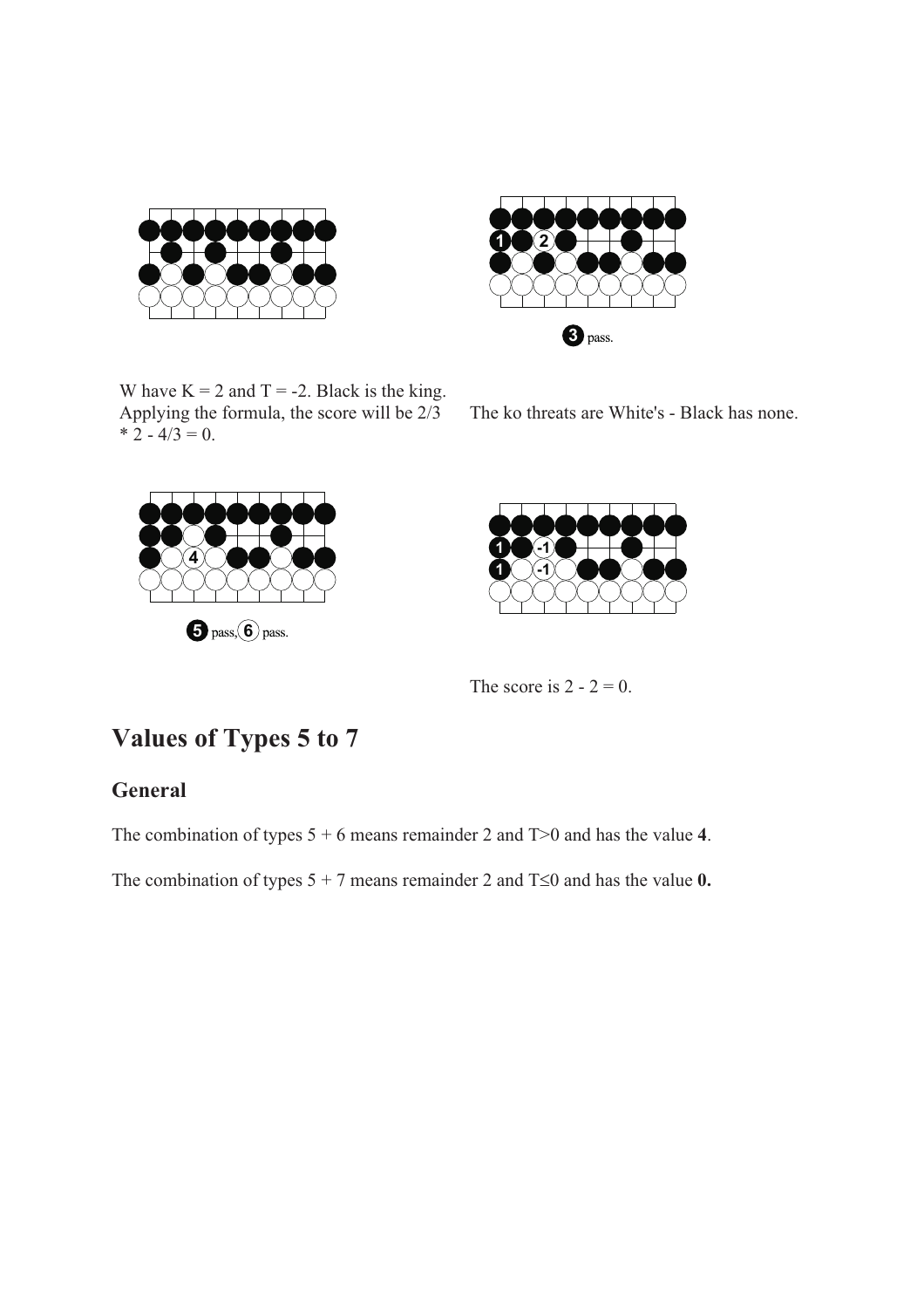

W have  $K = 2$  and  $T = -2$ . Black is the king. Applying the formula, the score will be 2/3  $*$  2 - 4/3 = 0.





The ko threats are White's - Black has none.



The score is  $2 - 2 = 0$ .

## **Values of Types 5 to 7**

#### **General**

The combination of types 5 + 6 means remainder 2 and T>0 and has the value **4**.

The combination of types  $5 + 7$  means remainder 2 and T $\leq$ 0 and has the value **0.**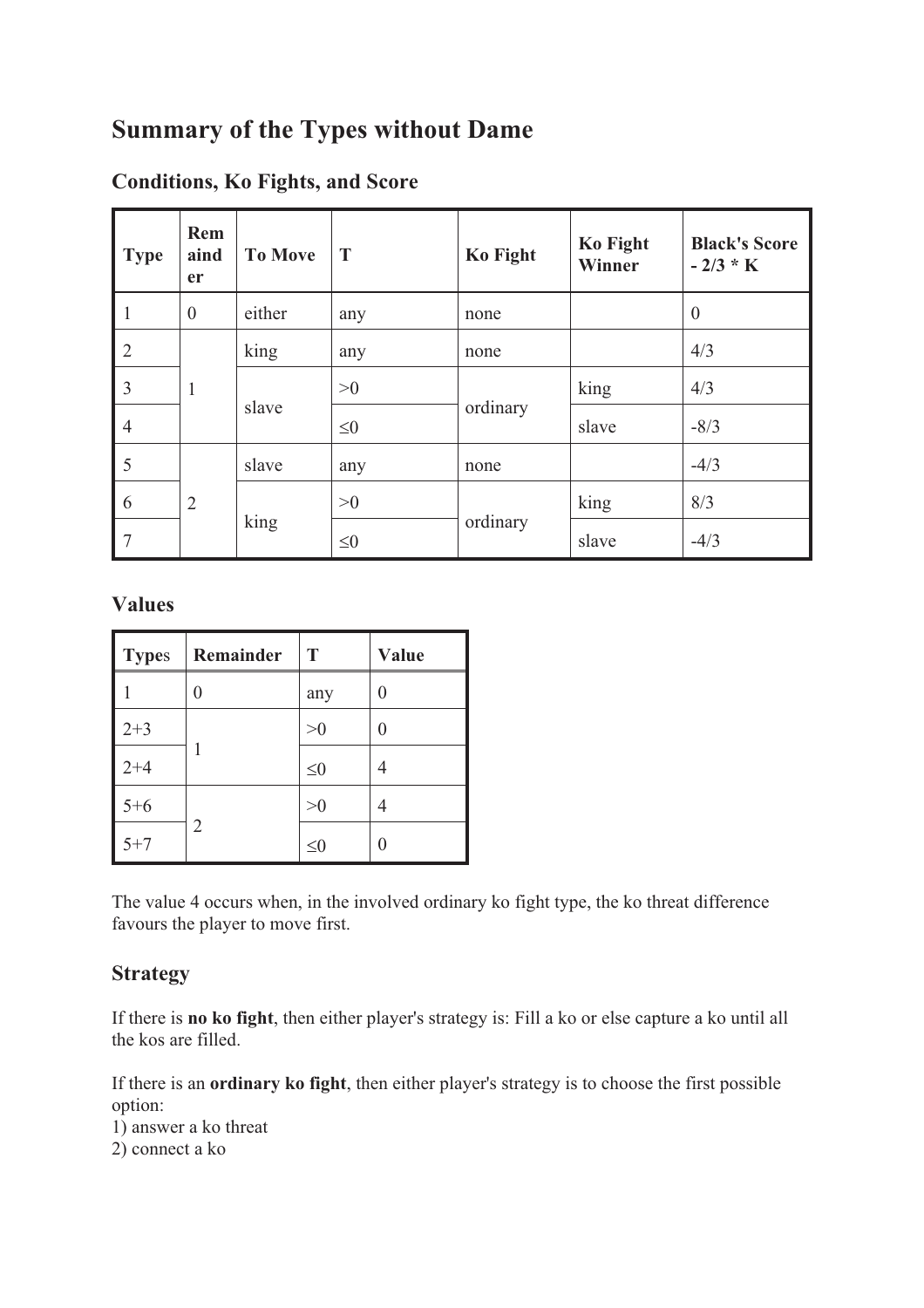### **Summary of the Types without Dame**

| <b>Type</b>    | Rem<br>aind<br><b>er</b> | <b>To Move</b> | T        | <b>Ko Fight</b> | <b>Ko Fight</b><br>Winner | <b>Black's Score</b><br>$-2/3 * K$ |
|----------------|--------------------------|----------------|----------|-----------------|---------------------------|------------------------------------|
| 1              | $\overline{0}$           | either         | any      | none            |                           | $\theta$                           |
| $\overline{2}$ |                          | king           | any      | none            |                           | 4/3                                |
| 3              | $\mathbf{1}$             |                | >0       |                 | king                      | 4/3                                |
| $\overline{4}$ |                          | slave          | $\leq 0$ | ordinary        | slave                     | $-8/3$                             |
| 5              |                          | slave          | any      | none            |                           | $-4/3$                             |
| 6              | $\overline{2}$           | king           | >0       | ordinary        | king                      | 8/3                                |
| 7              |                          |                | $\leq 0$ |                 | slave                     | $-4/3$                             |

### **Conditions, Ko Fights, and Score**

#### **Values**

| <b>Types</b> | Remainder | T        | Value            |
|--------------|-----------|----------|------------------|
|              |           | any      | $\left( \right)$ |
| $2 + 3$      |           | >0       | 0                |
| $2 + 4$      |           | $\leq 0$ | 4                |
| $5 + 6$      |           | >0       | 4                |
| $5 + 7$      | 2         | $\leq 0$ | O                |

The value 4 occurs when, in the involved ordinary ko fight type, the ko threat difference favours the player to move first.

#### **Strategy**

If there is **no ko fight**, then either player's strategy is: Fill a ko or else capture a ko until all the kos are filled.

If there is an **ordinary ko fight**, then either player's strategy is to choose the first possible option:

1) answer a ko threat 2) connect a ko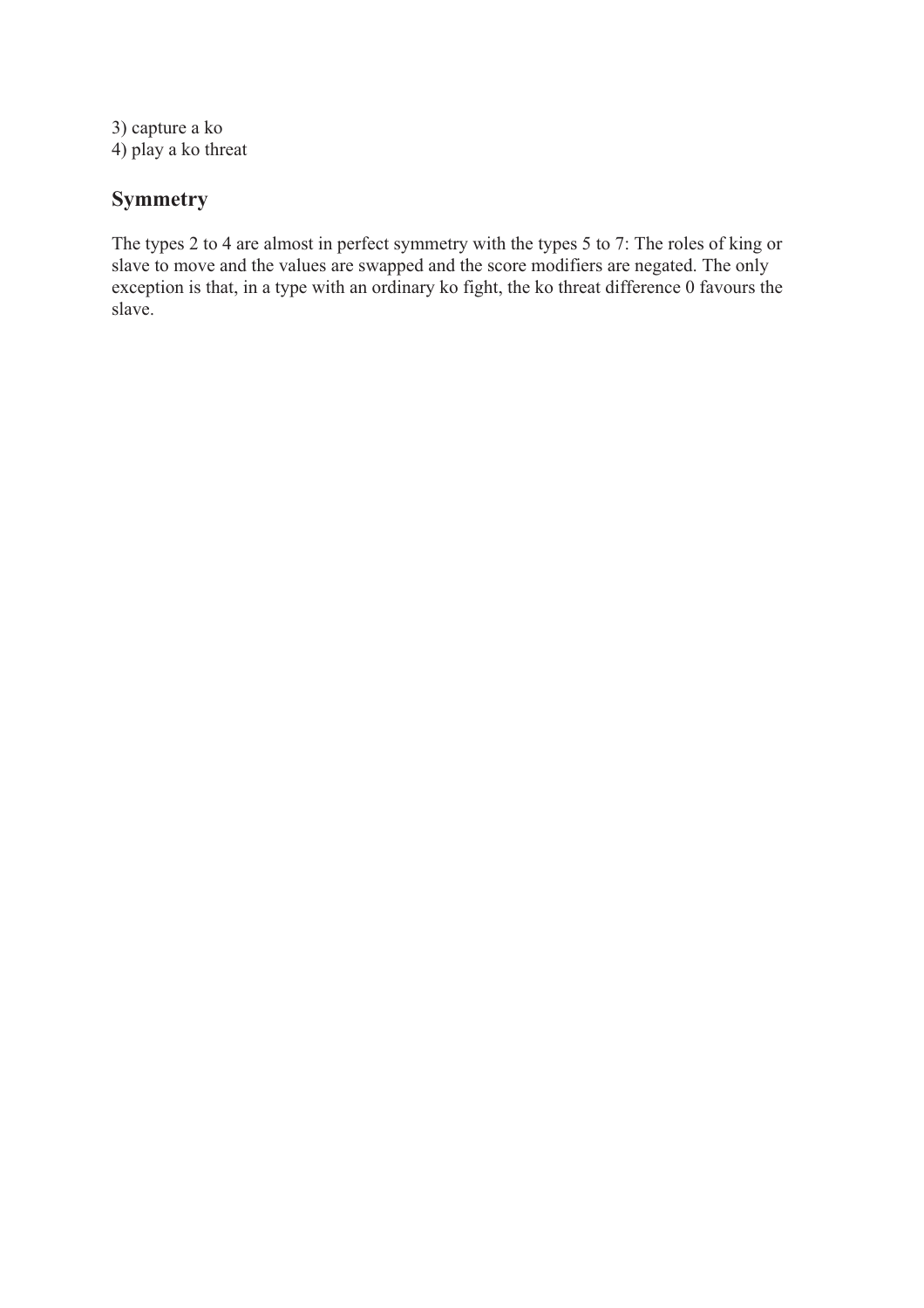3) capture a ko  $\overrightarrow{4}$ ) play a ko threat

#### **Symmetry**

The types 2 to 4 are almost in perfect symmetry with the types 5 to 7: The roles of king or slave to move and the values are swapped and the score modifiers are negated. The only exception is that, in a type with an ordinary ko fight, the ko threat difference 0 favours the slave.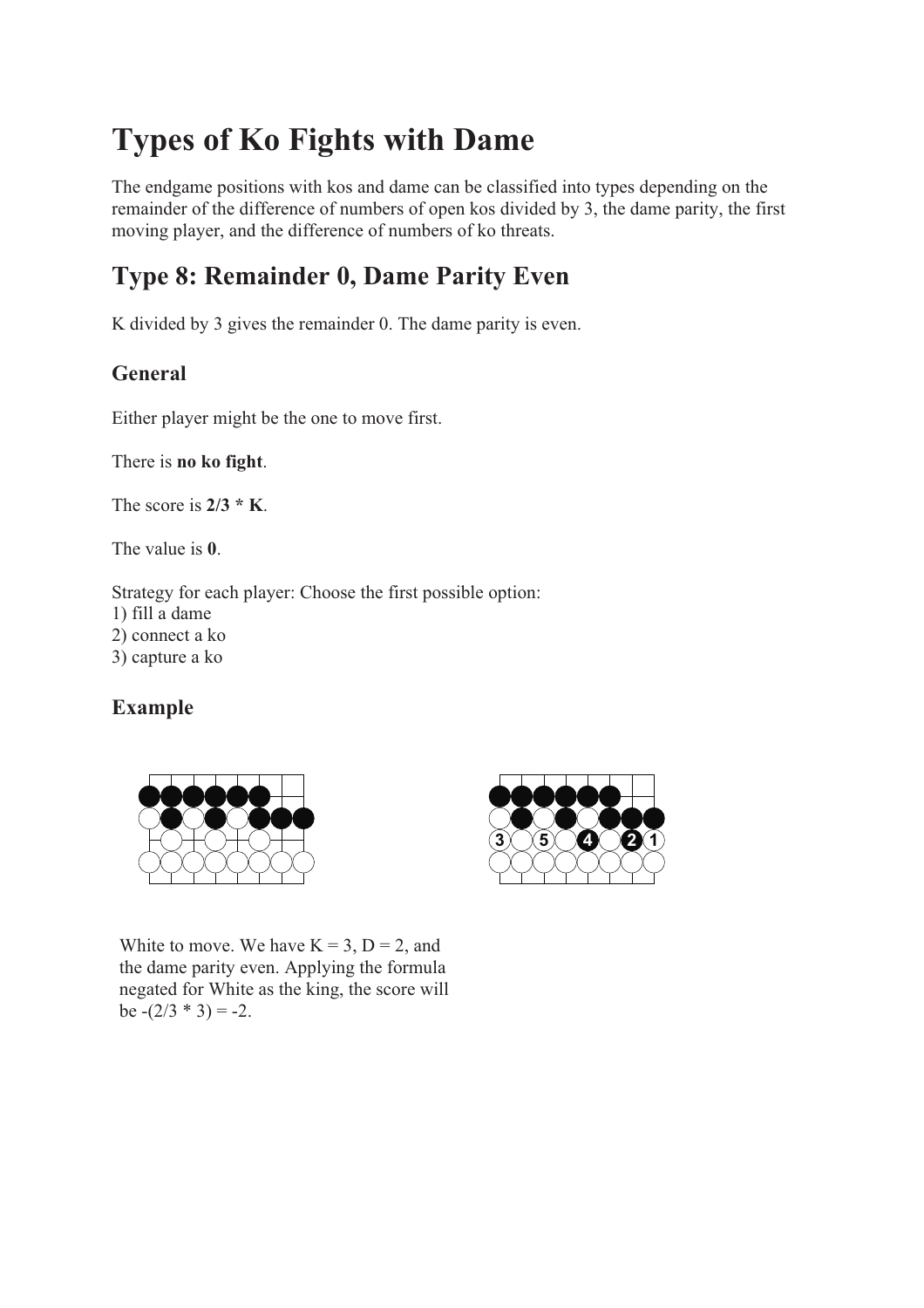# **Types of Ko Fights with Dame**

The endgame positions with kos and dame can be classified into types depending on the remainder of the difference of numbers of open kos divided by 3, the dame parity, the first moving player, and the difference of numbers of ko threats.

# **Type 8: Remainder 0, Dame Parity Even**

K divided by 3 gives the remainder 0. The dame parity is even.

### **General**

Either player might be the one to move first.

There is **no ko fight**.

The score is **2/3 \* K**.

The value is **0**.

Strategy for each player: Choose the first possible option:

1) fill a dame

2) connect a ko

3) capture a ko

### **Example**





White to move. We have  $K = 3$ ,  $D = 2$ , and the dame parity even. Applying the formula negated for White as the king, the score will be  $-(2/3 * 3) = -2$ .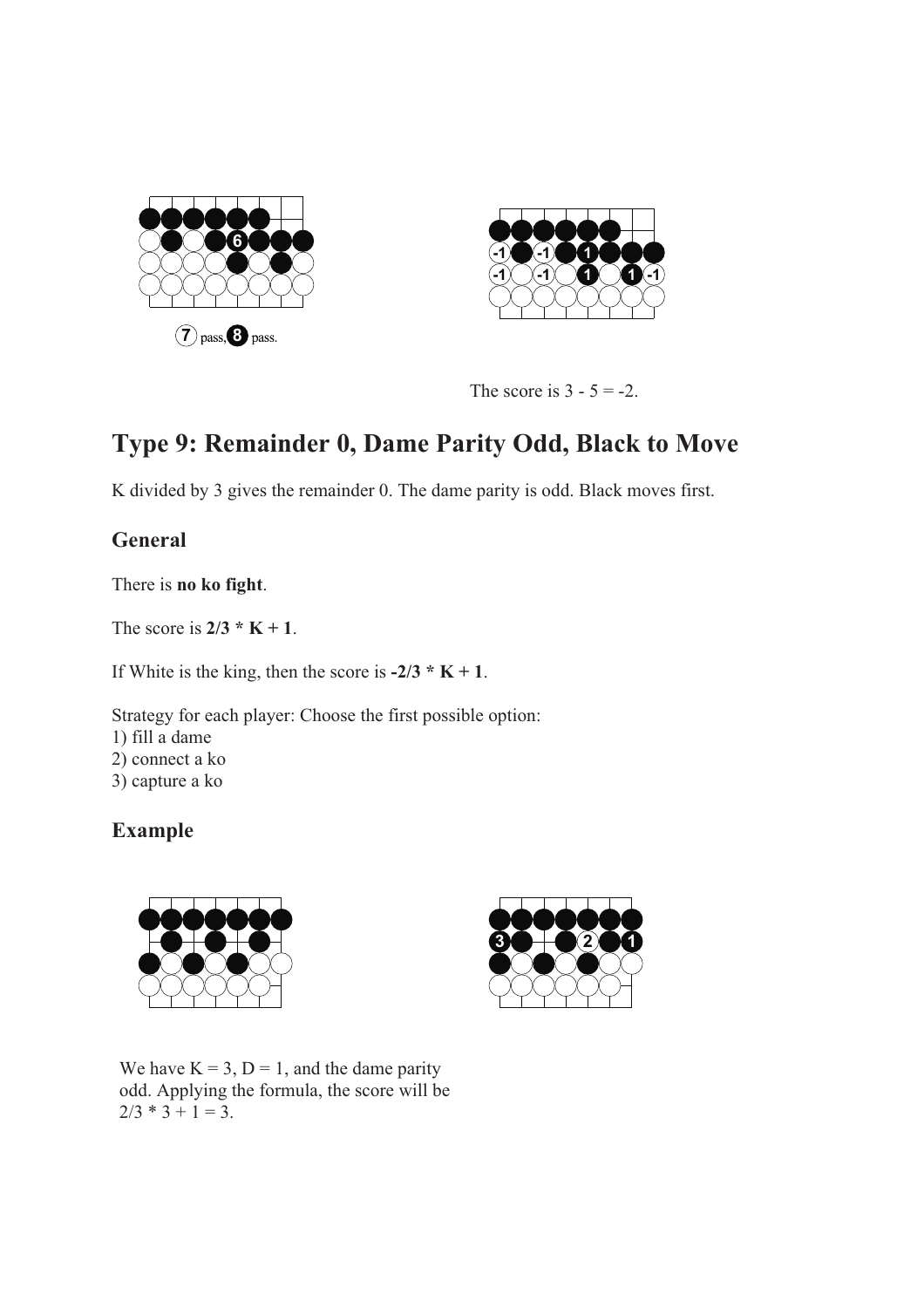



The score is  $3 - 5 = -2$ .

### **Type 9: Remainder 0, Dame Parity Odd, Black to Move**

K divided by 3 gives the remainder 0. The dame parity is odd. Black moves first.

#### **General**

There is **no ko fight**.

The score is  $2/3 * K + 1$ .

If White is the king, then the score is  $-2/3 * K + 1$ .

Strategy for each player: Choose the first possible option: 1) fill a dame 2) connect a ko 3) capture a ko





We have  $K = 3$ ,  $D = 1$ , and the dame parity odd. Applying the formula, the score will be  $2/3 * 3 + 1 = 3$ .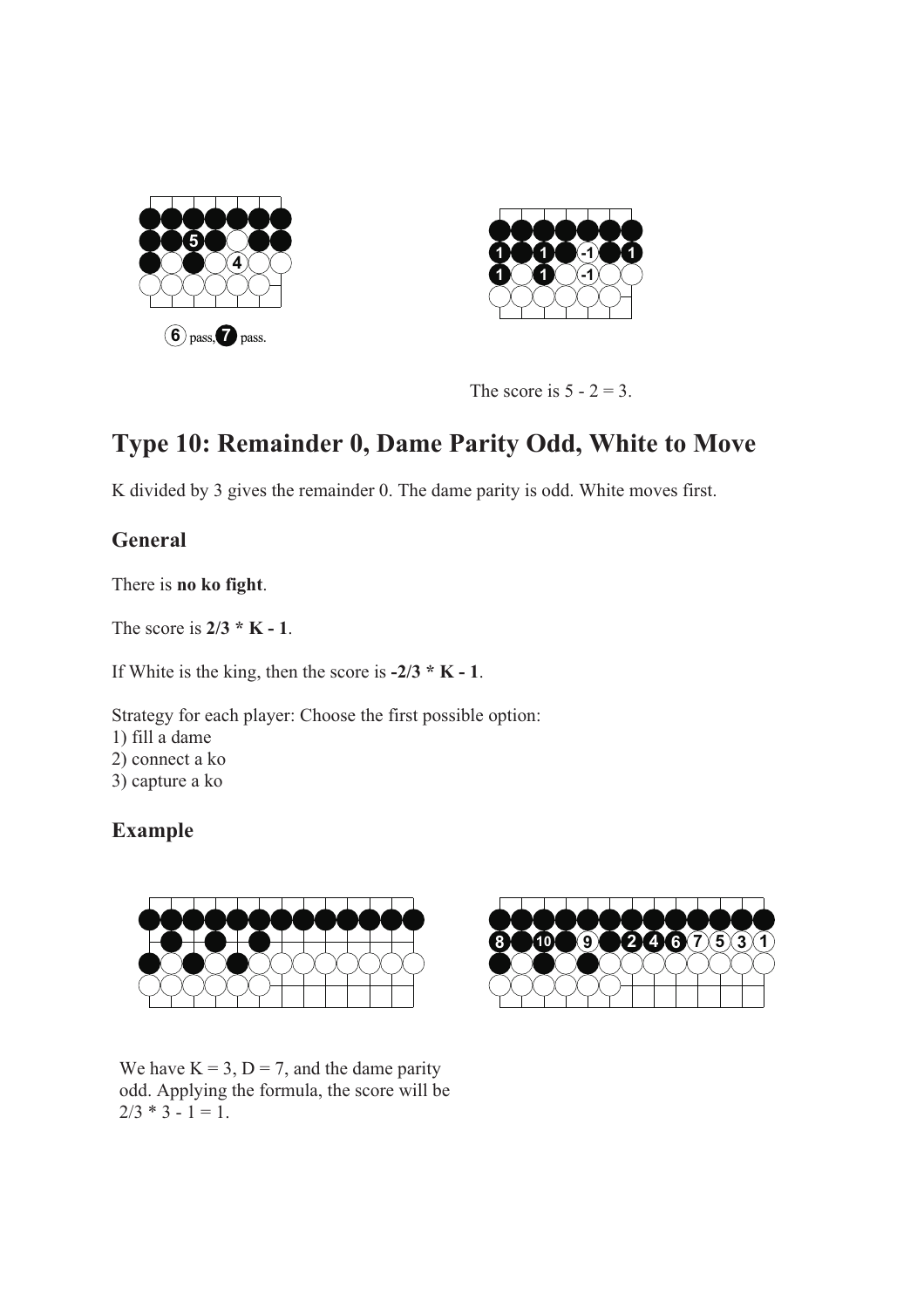



The score is  $5 - 2 = 3$ .

### **Type 10: Remainder 0, Dame Parity Odd, White to Move**

K divided by 3 gives the remainder 0. The dame parity is odd. White moves first.

#### **General**

There is **no ko fight**.

The score is **2/3 \* K - 1**.

If White is the king, then the score is **-2/3 \* K - 1**.

Strategy for each player: Choose the first possible option: 1) fill a dame 2) connect a ko 3) capture a ko



We have  $K = 3$ ,  $D = 7$ , and the dame parity odd. Applying the formula, the score will be  $2/3 * 3 - 1 = 1$ .

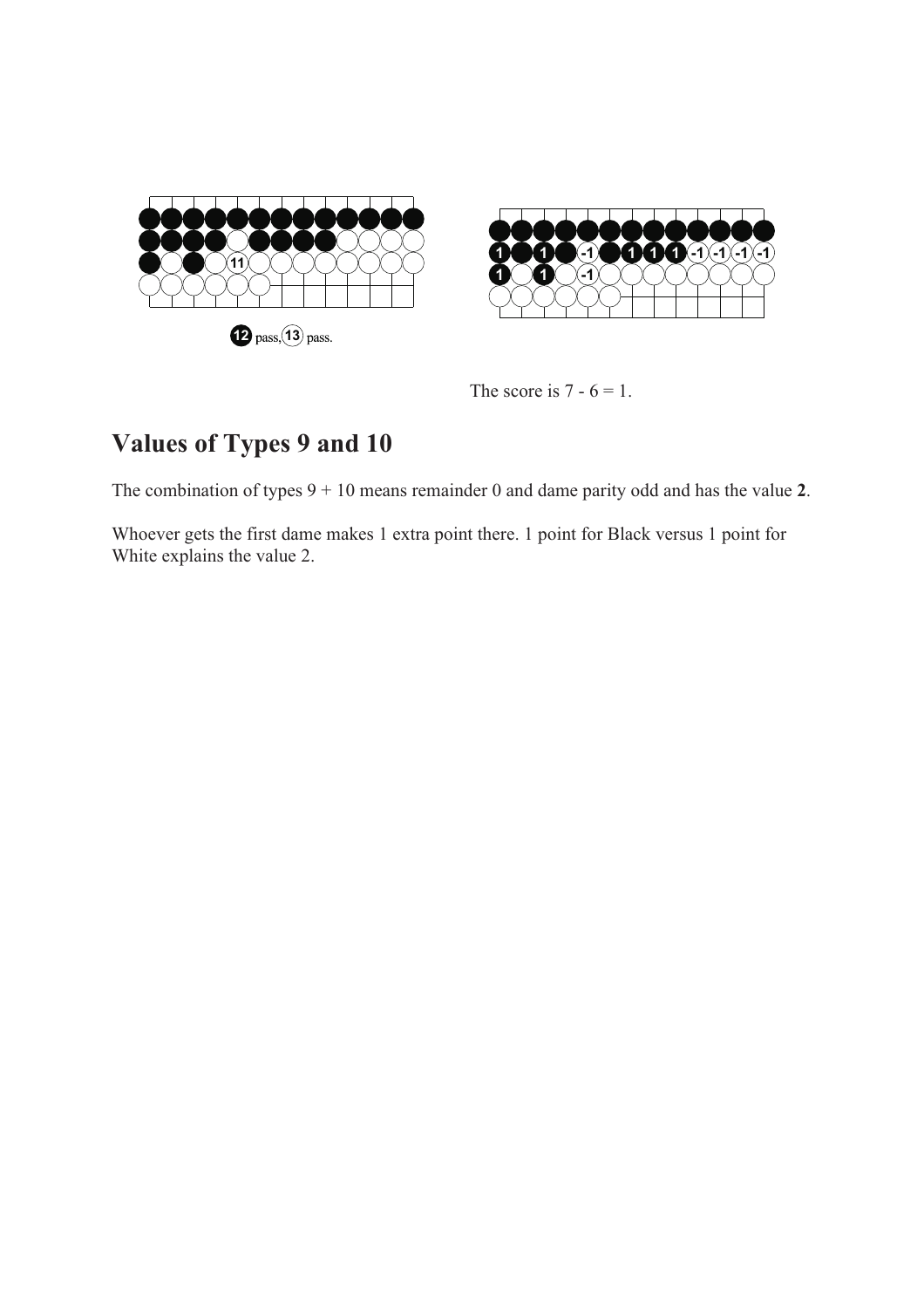



The score is  $7 - 6 = 1$ .

## **Values of Types 9 and 10**

The combination of types 9 + 10 means remainder 0 and dame parity odd and has the value **2**.

Whoever gets the first dame makes 1 extra point there. 1 point for Black versus 1 point for White explains the value 2.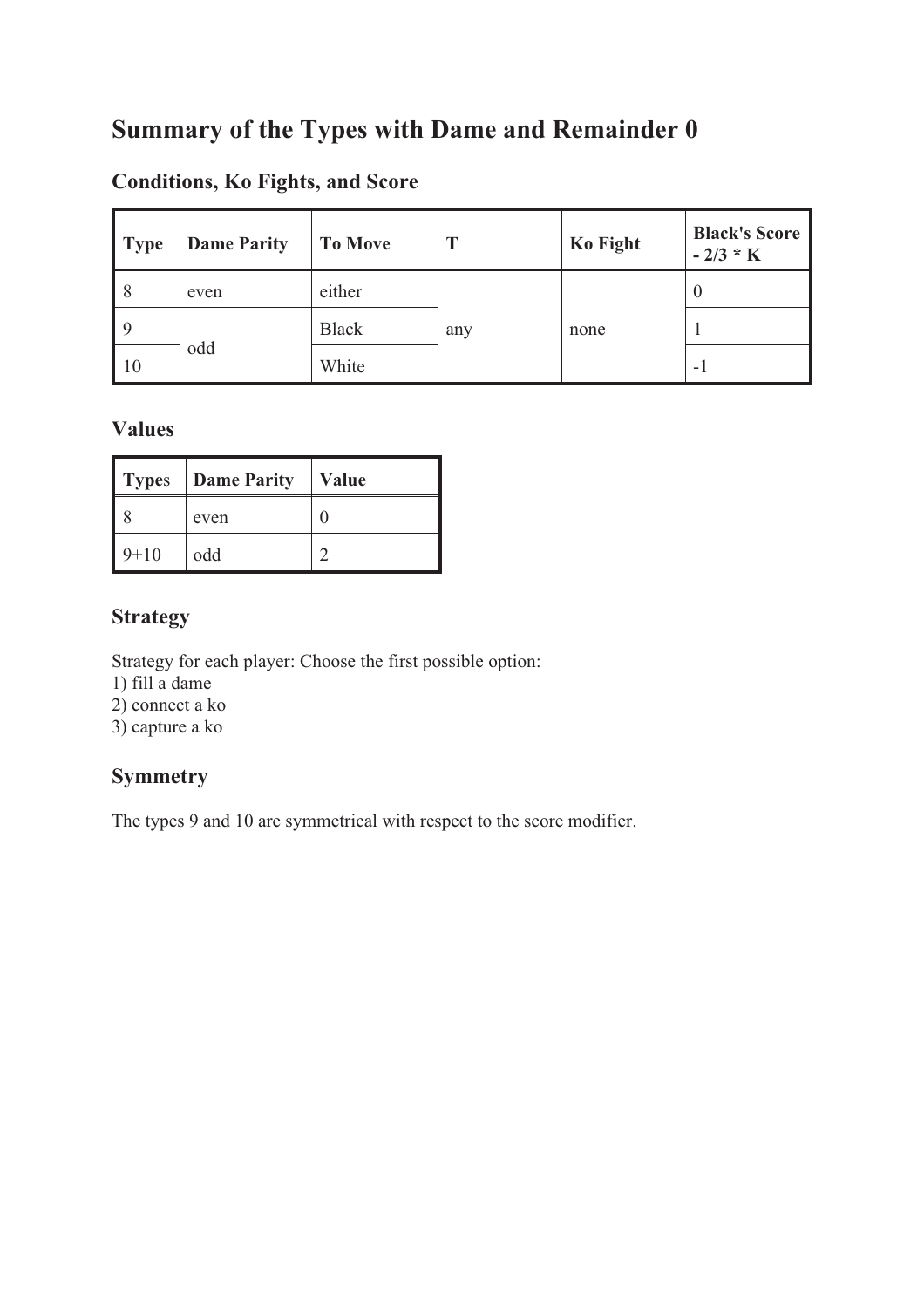## **Summary of the Types with Dame and Remainder 0**

### **Conditions, Ko Fights, and Score**

| Type | <b>Dame Parity</b> | <b>To Move</b> | T   | Ko Fight | <b>Black's Score</b><br>$-2/3 * K$ |
|------|--------------------|----------------|-----|----------|------------------------------------|
|      | even               | either         |     |          | U                                  |
|      |                    | <b>Black</b>   | any | none     |                                    |
| 10   | odd                | White          |     |          | - 1                                |

### **Values**

| <b>Types</b> | <b>Dame Parity</b> | <b>Value</b> |
|--------------|--------------------|--------------|
|              | even               |              |
| $9 + 10$     | odd                |              |

### **Strategy**

Strategy for each player: Choose the first possible option:

1) fill a dame

2) connect a ko

3) capture a ko

### **Symmetry**

The types 9 and 10 are symmetrical with respect to the score modifier.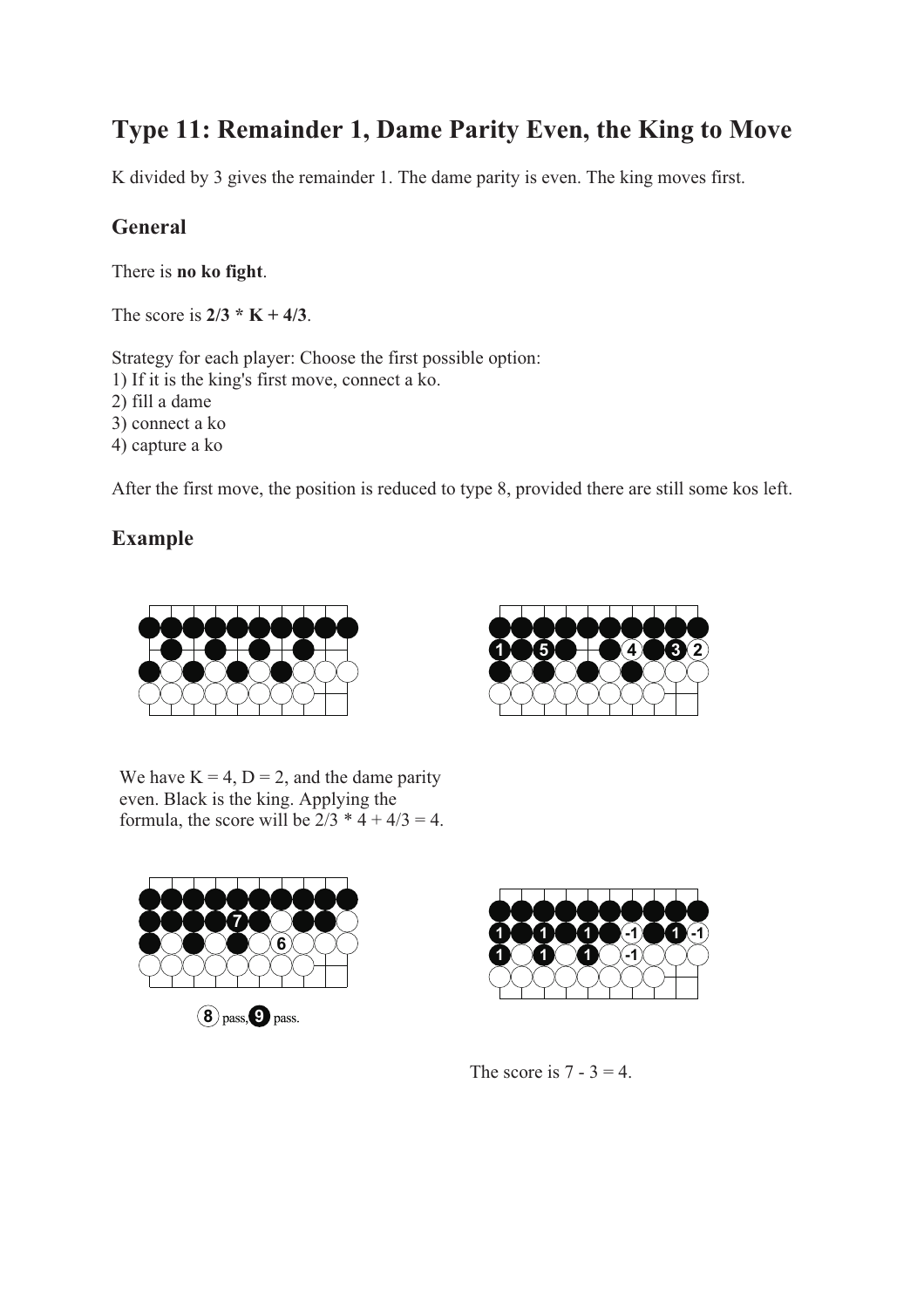## **Type 11: Remainder 1, Dame Parity Even, the King to Move**

K divided by 3 gives the remainder 1. The dame parity is even. The king moves first.

#### **General**

There is **no ko fight**.

The score is  $2/3 * K + 4/3$ .

Strategy for each player: Choose the first possible option: 1) If it is the king's first move, connect a ko. 2) fill a dame 3) connect a ko 4) capture a ko

After the first move, the position is reduced to type 8, provided there are still some kos left.

#### **Example**





We have  $K = 4$ ,  $D = 2$ , and the dame parity even. Black is the king. Applying the formula, the score will be  $2/3 * 4 + 4/3 = 4$ .





The score is  $7 - 3 = 4$ .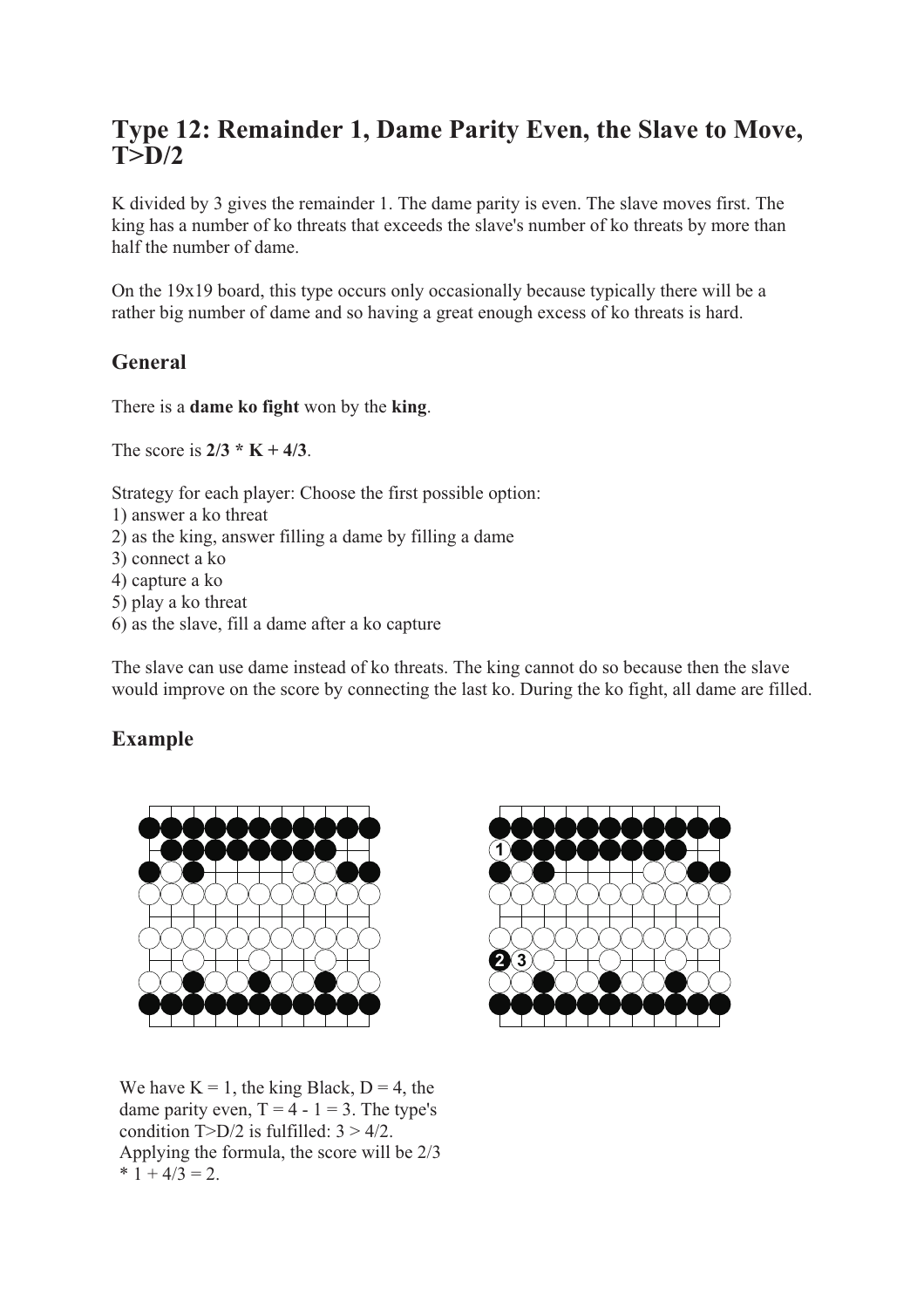### **Type 12: Remainder 1, Dame Parity Even, the Slave to Move, T>D/2**

K divided by 3 gives the remainder 1. The dame parity is even. The slave moves first. The king has a number of ko threats that exceeds the slave's number of ko threats by more than half the number of dame.

On the 19x19 board, this type occurs only occasionally because typically there will be a rather big number of dame and so having a great enough excess of ko threats is hard.

#### **General**

There is a **dame ko fight** won by the **king**.

The score is  $2/3 * K + 4/3$ .

Strategy for each player: Choose the first possible option: 1) answer a ko threat 2) as the king, answer filling a dame by filling a dame 3) connect a ko 4) capture a ko 5) play a ko threat 6) as the slave, fill a dame after a ko capture

The slave can use dame instead of ko threats. The king cannot do so because then the slave would improve on the score by connecting the last ko. During the ko fight, all dame are filled.



We have  $K = 1$ , the king Black,  $D = 4$ , the dame parity even,  $T = 4 - 1 = 3$ . The type's condition  $T>D/2$  is fulfilled:  $3 > 4/2$ . Applying the formula, the score will be 2/3  $*$  1 + 4/3 = 2.

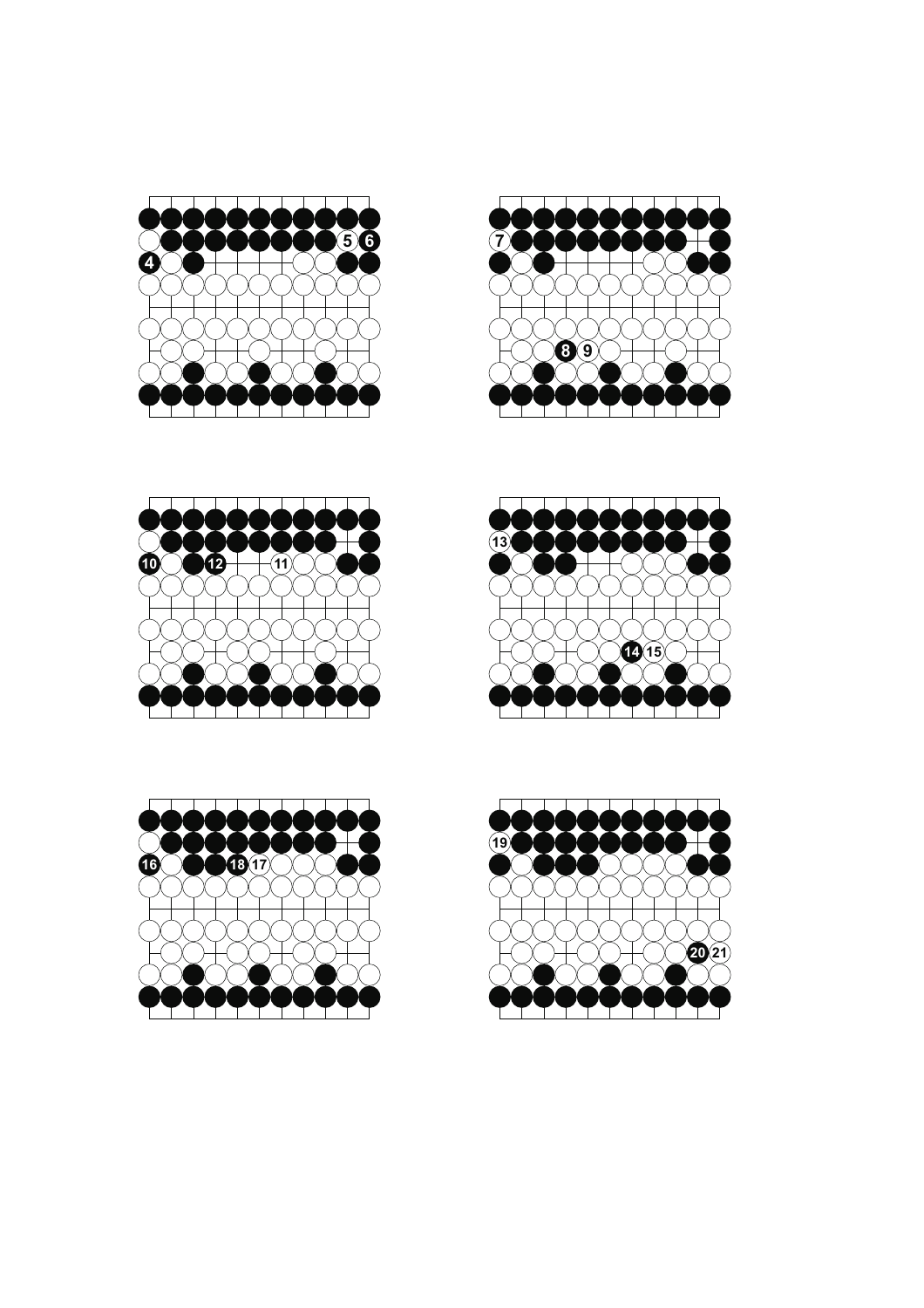









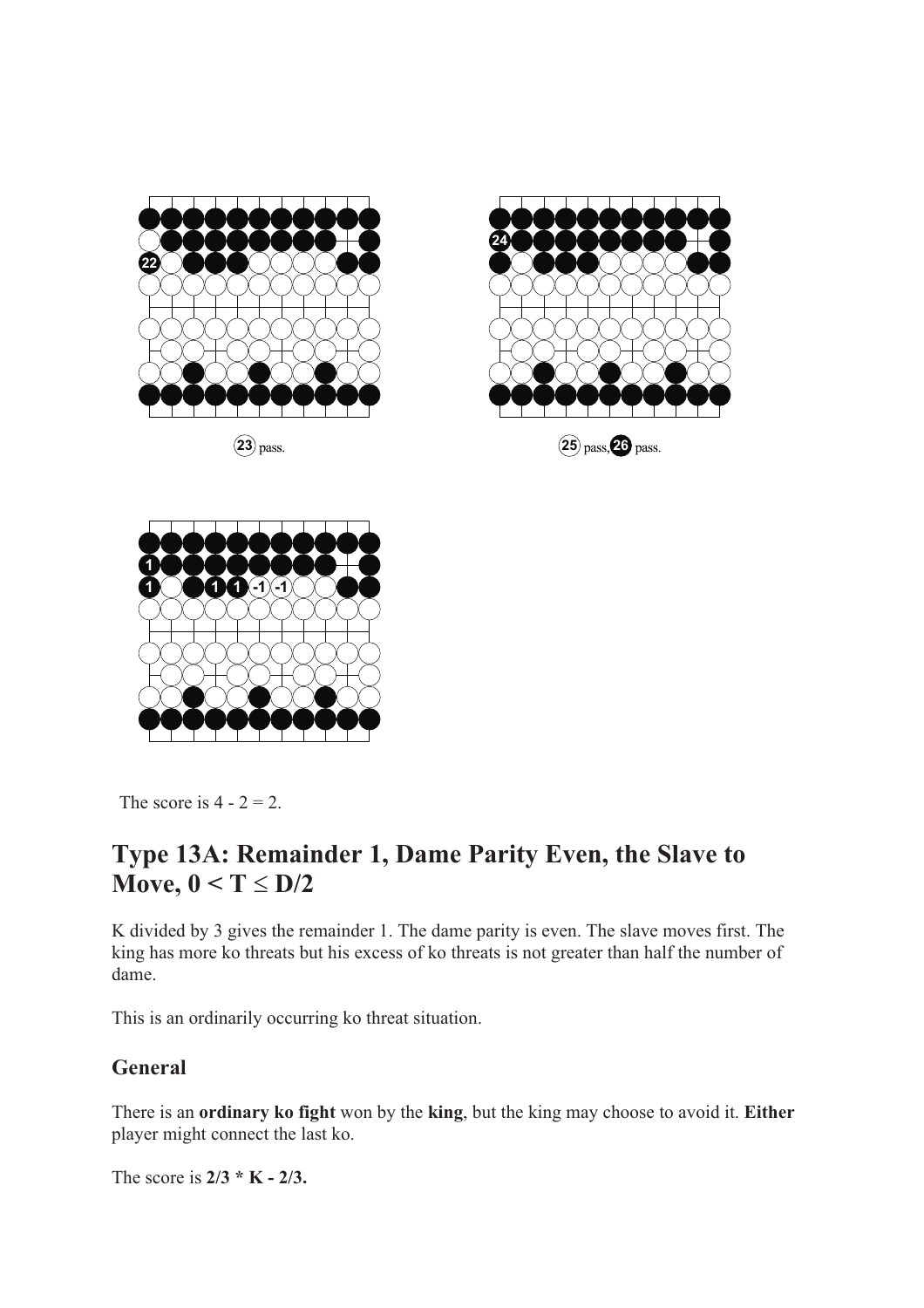

The score is  $4 - 2 = 2$ .

### **Type 13A: Remainder 1, Dame Parity Even, the Slave to Move, 0 < T**  $\leq$  **D/2**

K divided by 3 gives the remainder 1. The dame parity is even. The slave moves first. The king has more ko threats but his excess of ko threats is not greater than half the number of dame.

This is an ordinarily occurring ko threat situation.

#### **General**

There is an **ordinary ko fight** won by the **king**, but the king may choose to avoid it. **Either** player might connect the last ko.

The score is **2/3 \* K - 2/3.**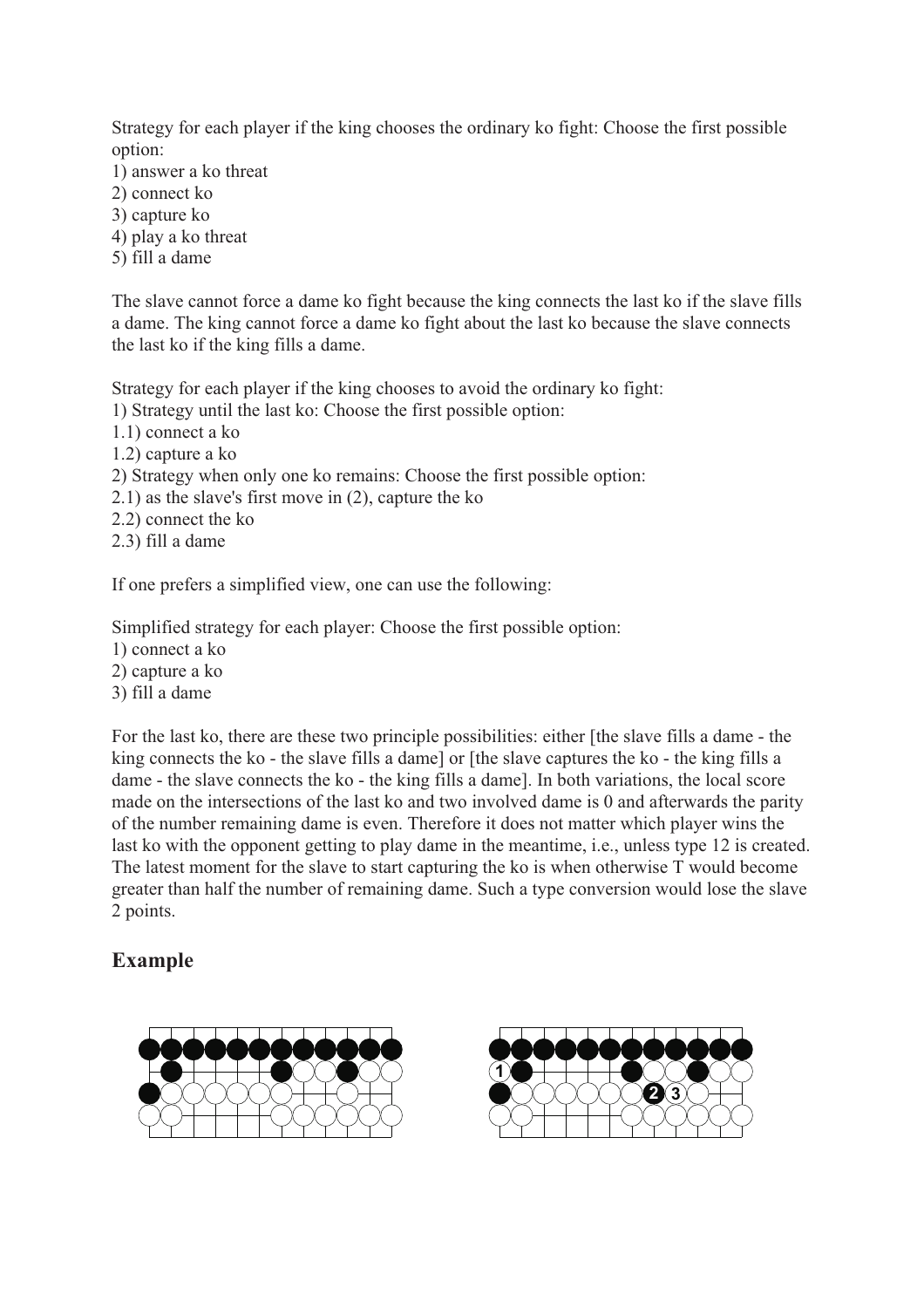Strategy for each player if the king chooses the ordinary ko fight: Choose the first possible option:

- 1) answer a ko threat
- 2) connect ko
- 3) capture ko
- 4) play a ko threat
- 5) fill a dame

The slave cannot force a dame ko fight because the king connects the last ko if the slave fills a dame. The king cannot force a dame ko fight about the last ko because the slave connects the last ko if the king fills a dame.

Strategy for each player if the king chooses to avoid the ordinary ko fight:

- 1) Strategy until the last ko: Choose the first possible option:
- 1.1) connect a ko
- 1.2) capture a ko
- 2) Strategy when only one ko remains: Choose the first possible option:
- 2.1) as the slave's first move in (2), capture the ko
- 2.2) connect the ko
- 2.3) fill a dame

If one prefers a simplified view, one can use the following:

Simplified strategy for each player: Choose the first possible option:

1) connect a ko

- 2) capture a ko
- 3) fill a dame

For the last ko, there are these two principle possibilities: either [the slave fills a dame - the king connects the ko - the slave fills a dame] or [the slave captures the ko - the king fills a dame - the slave connects the ko - the king fills a dame]. In both variations, the local score made on the intersections of the last ko and two involved dame is 0 and afterwards the parity of the number remaining dame is even. Therefore it does not matter which player wins the last ko with the opponent getting to play dame in the meantime, i.e., unless type 12 is created. The latest moment for the slave to start capturing the ko is when otherwise T would become greater than half the number of remaining dame. Such a type conversion would lose the slave 2 points.



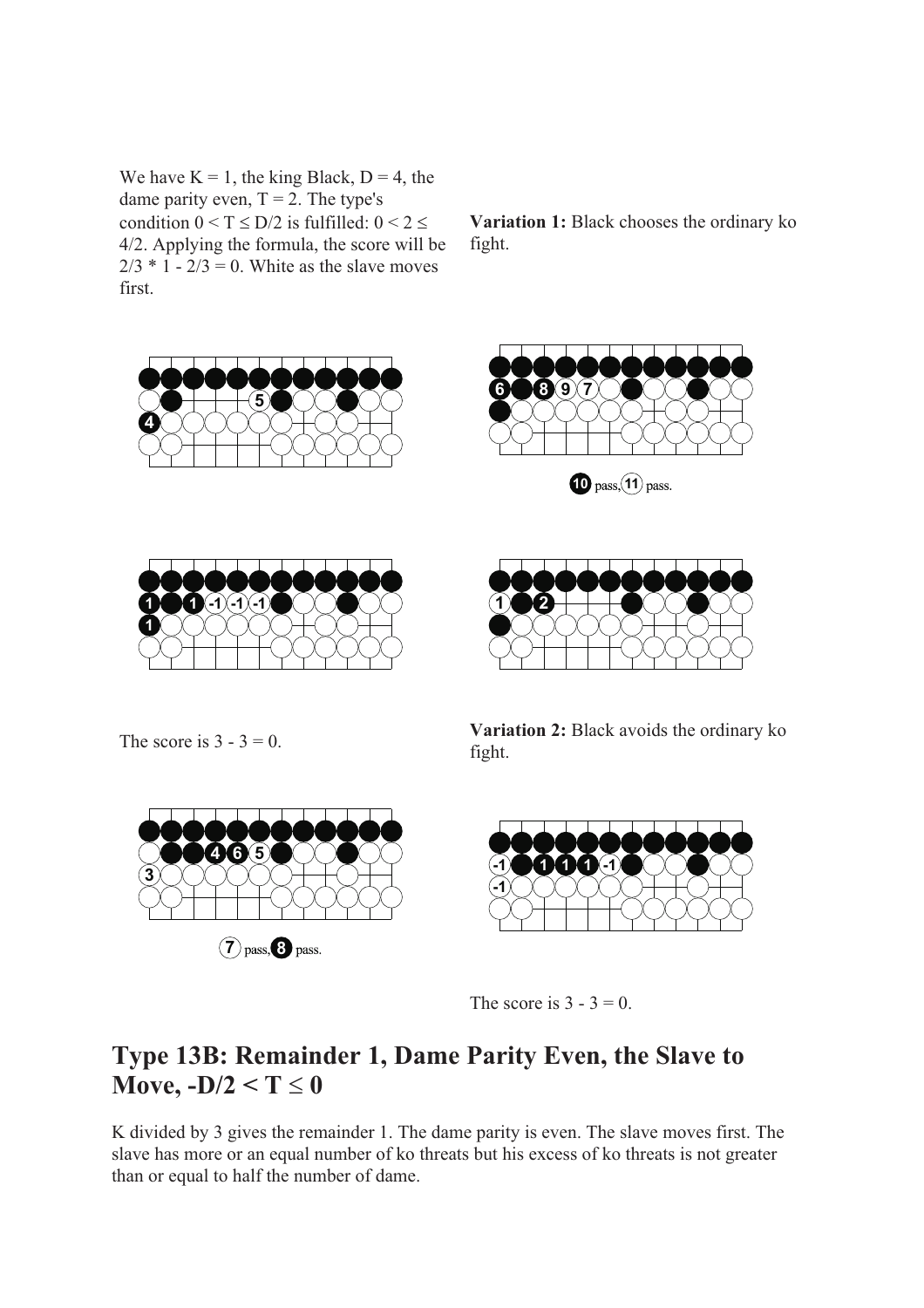We have  $K = 1$ , the king Black,  $D = 4$ , the dame parity even,  $T = 2$ . The type's condition  $0 < T \leq D/2$  is fulfilled:  $0 < 2 \leq$ 4/2. Applying the formula, the score will be  $2/3 * 1 - 2/3 = 0$ . White as the slave moves first.

**Variation 1:** Black chooses the ordinary ko fight.



**5**

**4**





The score is  $3 - 3 = 0$ .<br>**Variation 2:** Black avoids the ordinary ko fight.





The score is  $3 - 3 = 0$ .

### **Type 13B: Remainder 1, Dame Parity Even, the Slave to Move,**  $-D/2 < T \le 0$

K divided by 3 gives the remainder 1. The dame parity is even. The slave moves first. The slave has more or an equal number of ko threats but his excess of ko threats is not greater than or equal to half the number of dame.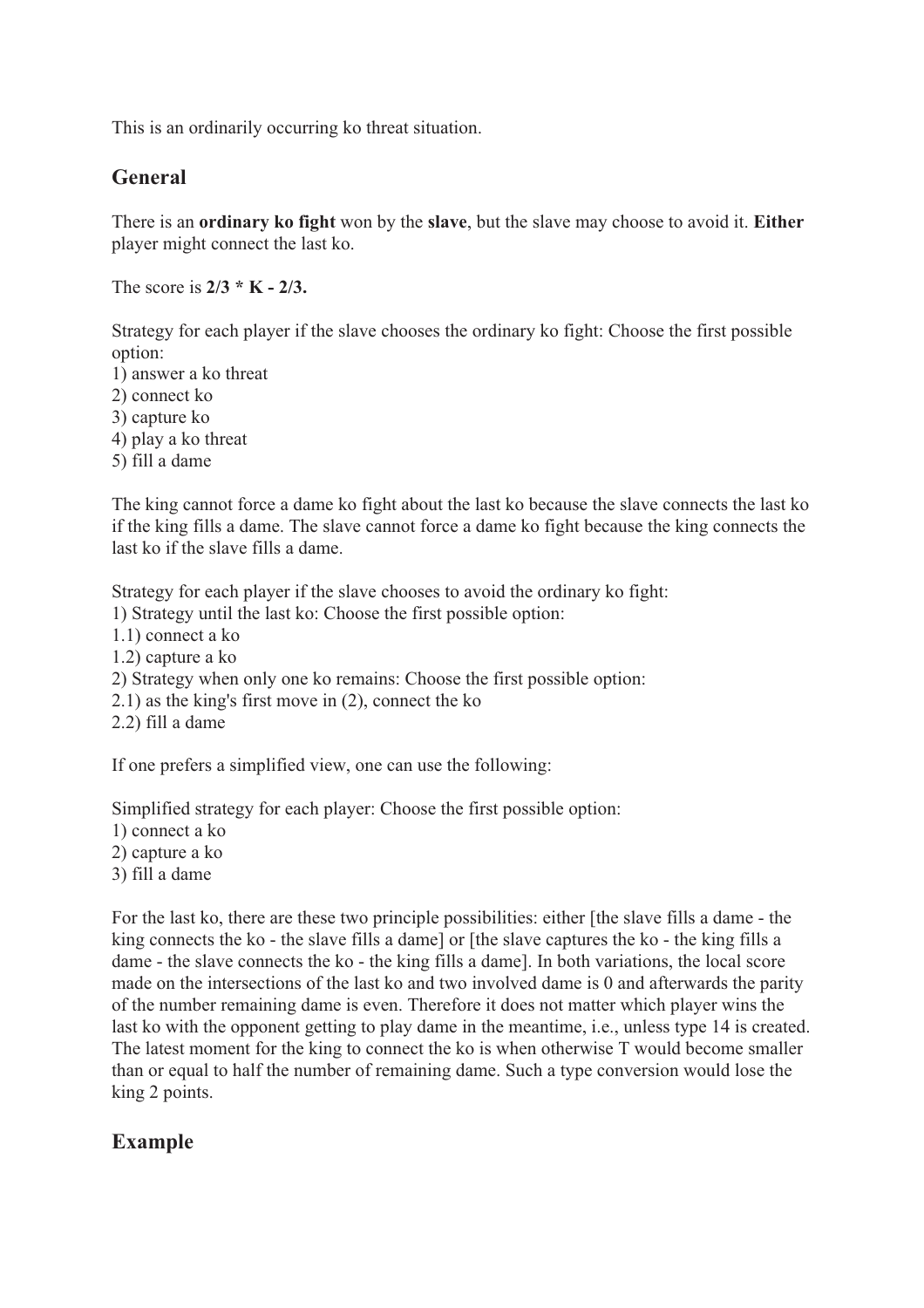This is an ordinarily occurring ko threat situation.

#### **General**

There is an **ordinary ko fight** won by the **slave**, but the slave may choose to avoid it. **Either** player might connect the last ko.

The score is **2/3 \* K - 2/3.**

Strategy for each player if the slave chooses the ordinary ko fight: Choose the first possible option:

- 1) answer a ko threat
- 2) connect ko
- 3) capture ko
- 4) play a ko threat
- 5) fill a dame

The king cannot force a dame ko fight about the last ko because the slave connects the last ko if the king fills a dame. The slave cannot force a dame ko fight because the king connects the last ko if the slave fills a dame.

Strategy for each player if the slave chooses to avoid the ordinary ko fight:

- 1) Strategy until the last ko: Choose the first possible option:
- 1.1) connect a ko

1.2) capture a ko 2) Strategy when only one ko remains: Choose the first possible option:

- 2.1) as the king's first move in (2), connect the ko
- 2.2) fill a dame

If one prefers a simplified view, one can use the following:

Simplified strategy for each player: Choose the first possible option:

- 1) connect a ko
- 2) capture a ko
- 3) fill a dame

For the last ko, there are these two principle possibilities: either [the slave fills a dame - the king connects the ko - the slave fills a dame] or [the slave captures the ko - the king fills a dame - the slave connects the ko - the king fills a dame]. In both variations, the local score made on the intersections of the last ko and two involved dame is 0 and afterwards the parity of the number remaining dame is even. Therefore it does not matter which player wins the last ko with the opponent getting to play dame in the meantime, i.e., unless type 14 is created. The latest moment for the king to connect the ko is when otherwise T would become smaller than or equal to half the number of remaining dame. Such a type conversion would lose the king 2 points.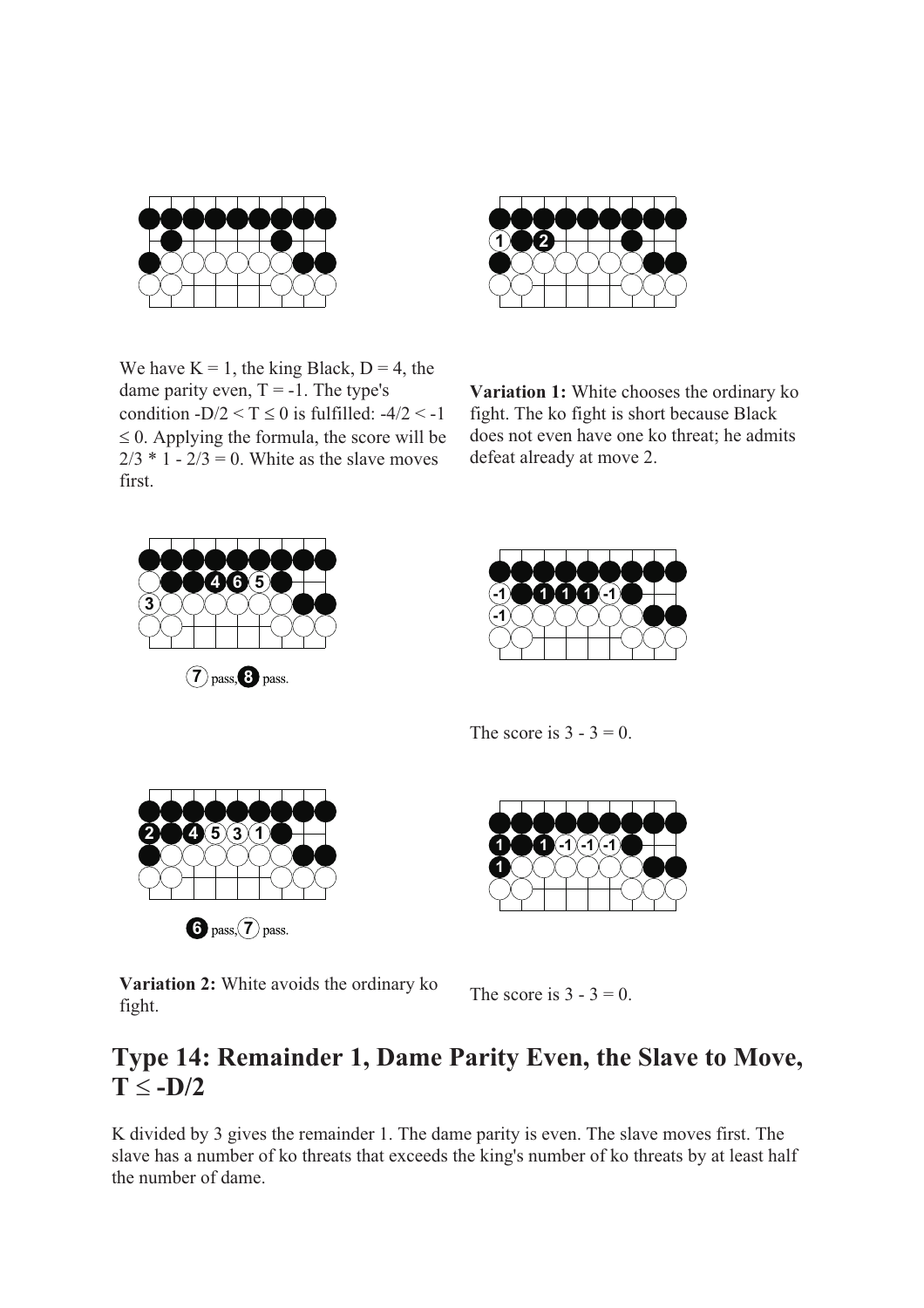



We have  $K = 1$ , the king Black,  $D = 4$ , the dame parity even,  $T = -1$ . The type's condition -D/2  $\leq$  T  $\leq$  0 is fulfilled: -4/2  $\leq$  -1  $\leq$  0. Applying the formula, the score will be  $2/3 * 1 - 2/3 = 0$ . White as the slave moves first.

**Variation 1:** White chooses the ordinary ko fight. The ko fight is short because Black does not even have one ko threat; he admits defeat already at move 2.





The score is  $3 - 3 = 0$ .





**Variation 2:** White avoids the ordinary ko **variation** 2: while avoids the ordinary ko The score is  $3 - 3 = 0$ .<br>fight.

### **Type 14: Remainder 1, Dame Parity Even, the Slave to Move,**  $T \le -D/2$

K divided by 3 gives the remainder 1. The dame parity is even. The slave moves first. The slave has a number of ko threats that exceeds the king's number of ko threats by at least half the number of dame.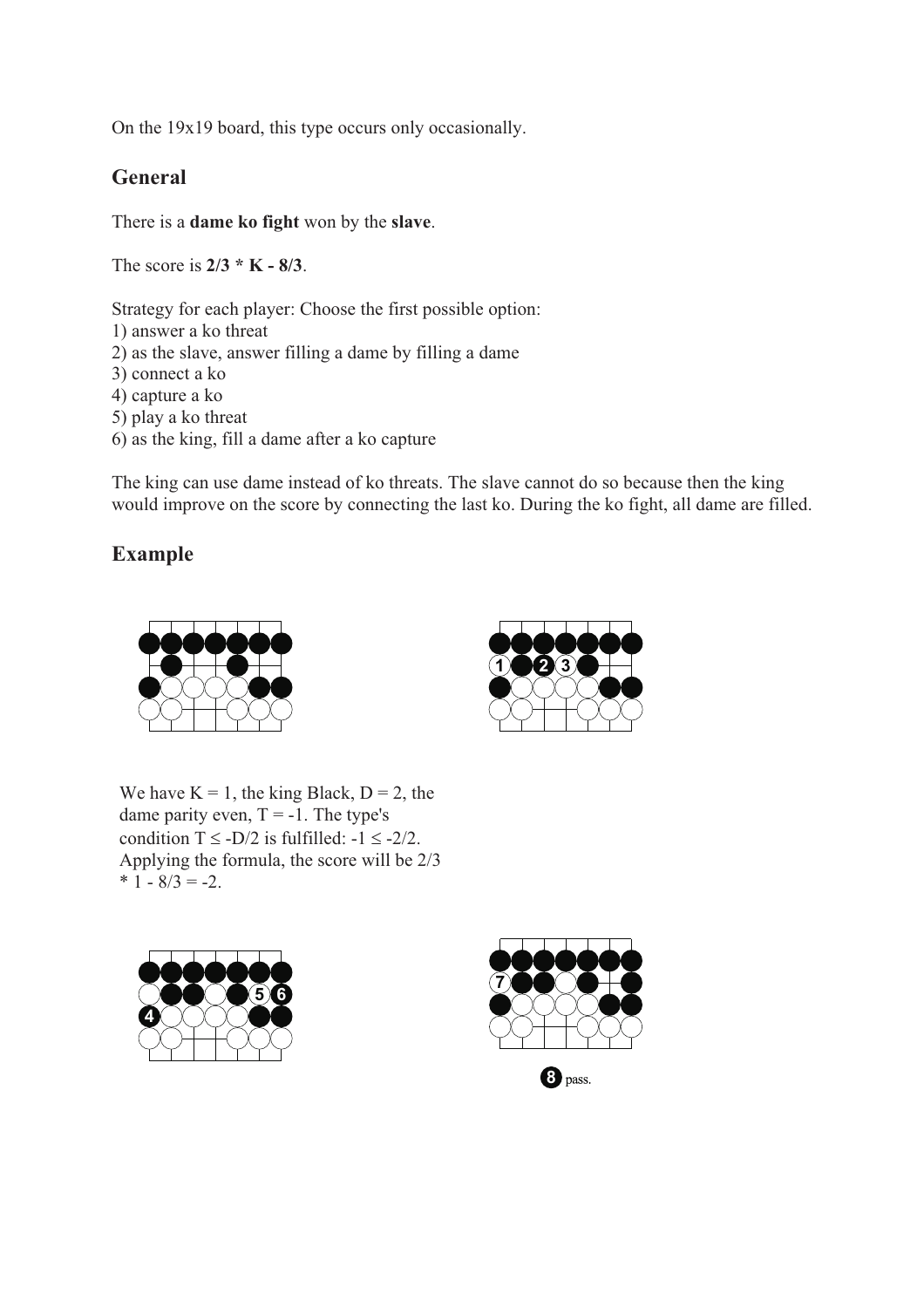On the 19x19 board, this type occurs only occasionally.

### **General**

There is a **dame ko fight** won by the **slave**.

The score is **2/3 \* K - 8/3**.

Strategy for each player: Choose the first possible option: 1) answer a ko threat 2) as the slave, answer filling a dame by filling a dame 3) connect a ko 4) capture a ko 5) play a ko threat 6) as the king, fill a dame after a ko capture

The king can use dame instead of ko threats. The slave cannot do so because then the king would improve on the score by connecting the last ko. During the ko fight, all dame are filled.

### **Example**



We have  $K = 1$ , the king Black,  $D = 2$ , the dame parity even,  $T = -1$ . The type's condition  $T \leq -D/2$  is fulfilled:  $-1 \leq -2/2$ . Applying the formula, the score will be 2/3  $* 1 - 8/3 = -2$ .





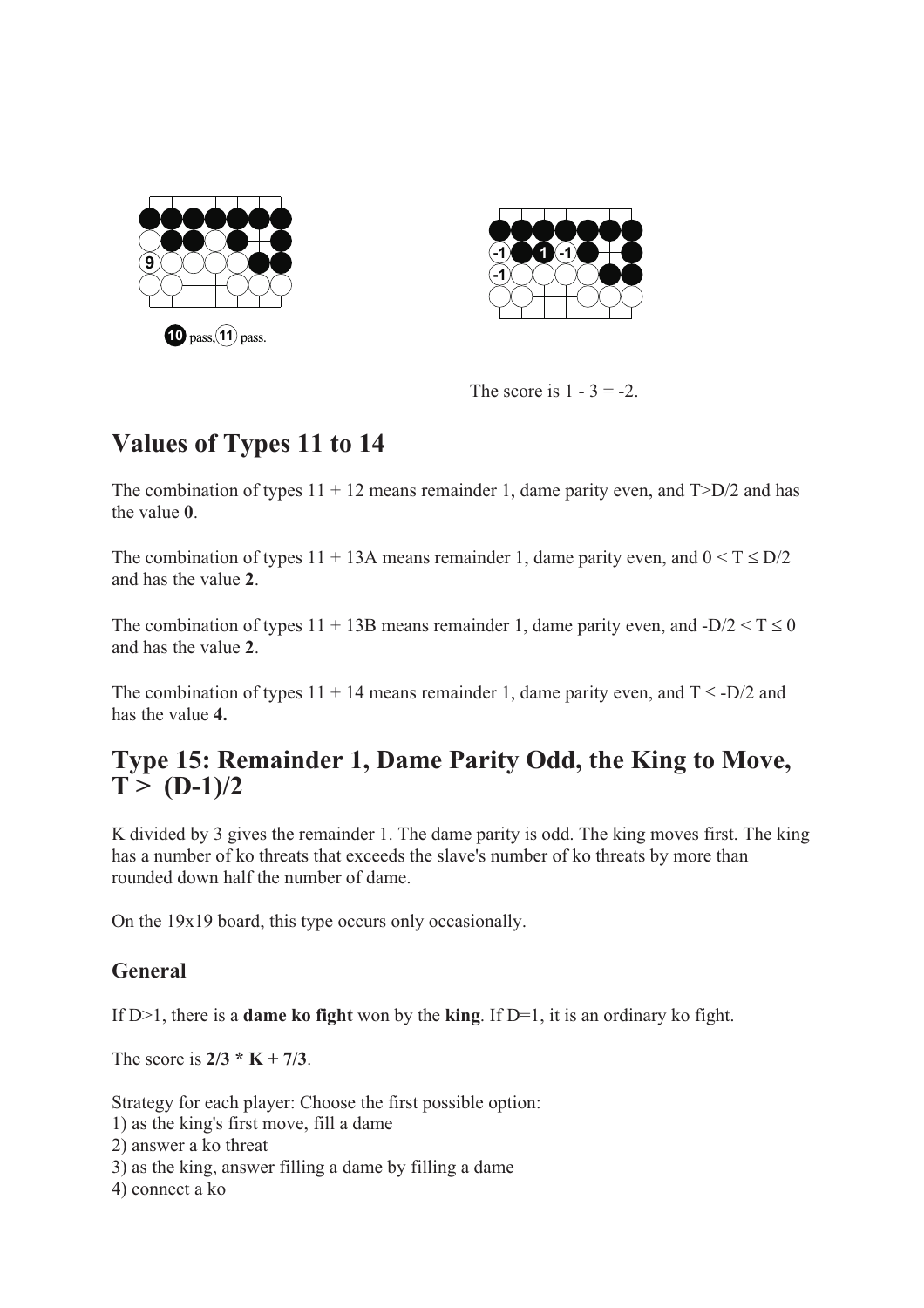



The score is  $1 - 3 = -2$ .

## **Values of Types 11 to 14**

The combination of types  $11 + 12$  means remainder 1, dame parity even, and  $T>D/2$  and has the value **0**.

The combination of types  $11 + 13A$  means remainder 1, dame parity even, and  $0 \le T \le D/2$ and has the value **2**.

The combination of types  $11 + 13B$  means remainder 1, dame parity even, and  $-D/2 < T \le 0$ and has the value **2**.

The combination of types  $11 + 14$  means remainder 1, dame parity even, and  $T \le -D/2$  and has the value **4.**

### **Type 15: Remainder 1, Dame Parity Odd, the King to Move,**  $T > (D-1)/2$

K divided by 3 gives the remainder 1. The dame parity is odd. The king moves first. The king has a number of ko threats that exceeds the slave's number of ko threats by more than rounded down half the number of dame.

On the 19x19 board, this type occurs only occasionally.

#### **General**

If  $D>1$ , there is a **dame ko fight** won by the **king**. If  $D=1$ , it is an ordinary ko fight.

The score is  $2/3 * K + 7/3$ .

Strategy for each player: Choose the first possible option: 1) as the king's first move, fill a dame 2) answer a ko threat 3) as the king, answer filling a dame by filling a dame 4) connect a ko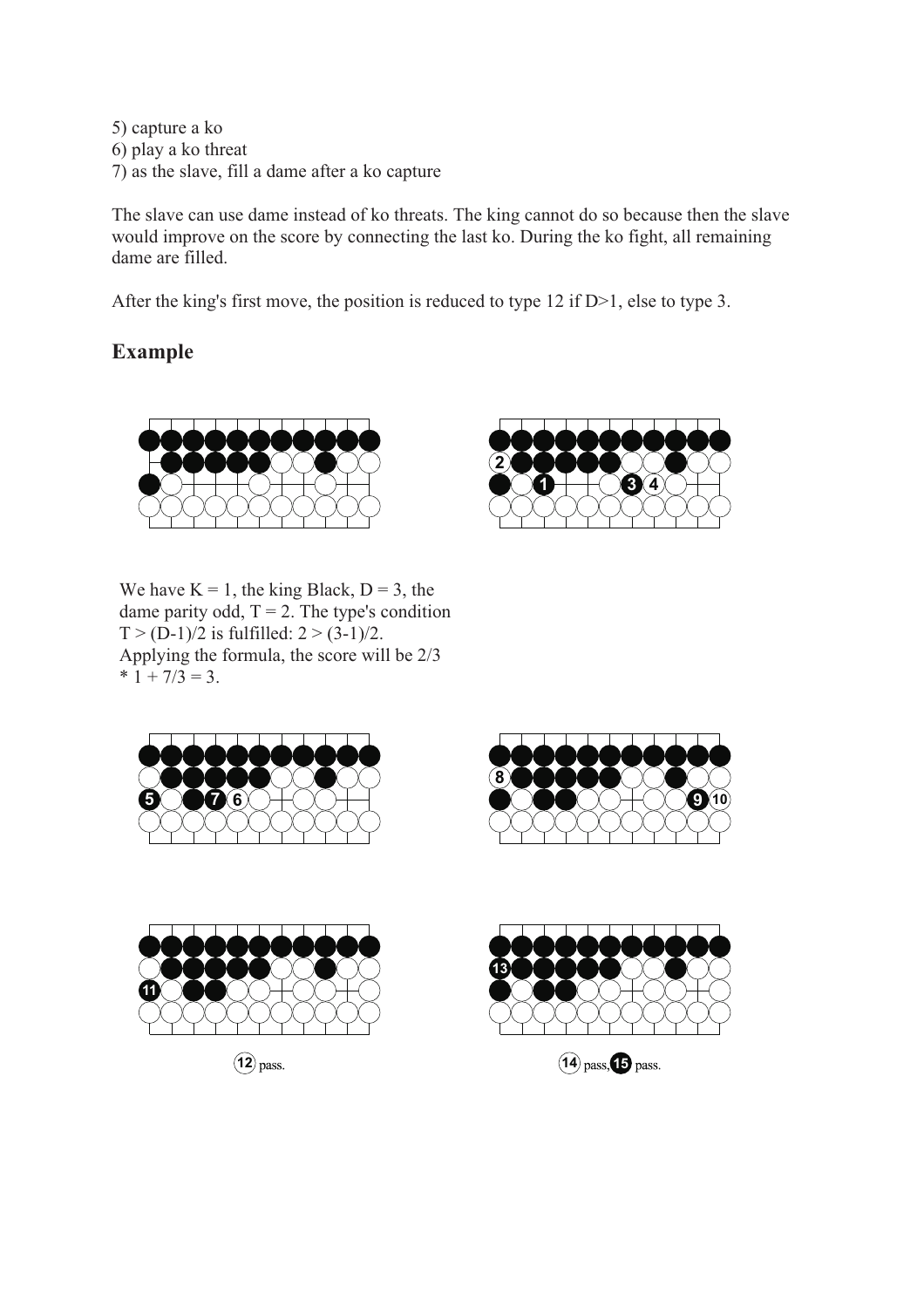5) capture a ko 6) play a ko threat 7) as the slave, fill a dame after a ko capture

The slave can use dame instead of ko threats. The king cannot do so because then the slave would improve on the score by connecting the last ko. During the ko fight, all remaining dame are filled.

After the king's first move, the position is reduced to type 12 if D>1, else to type 3.



We have  $K = 1$ , the king Black,  $D = 3$ , the dame parity odd,  $T = 2$ . The type's condition  $T > (D-1)/2$  is fulfilled:  $2 > (3-1)/2$ . Applying the formula, the score will be 2/3  $*$  1 + 7/3 = 3.













**14** pass, **15** pass.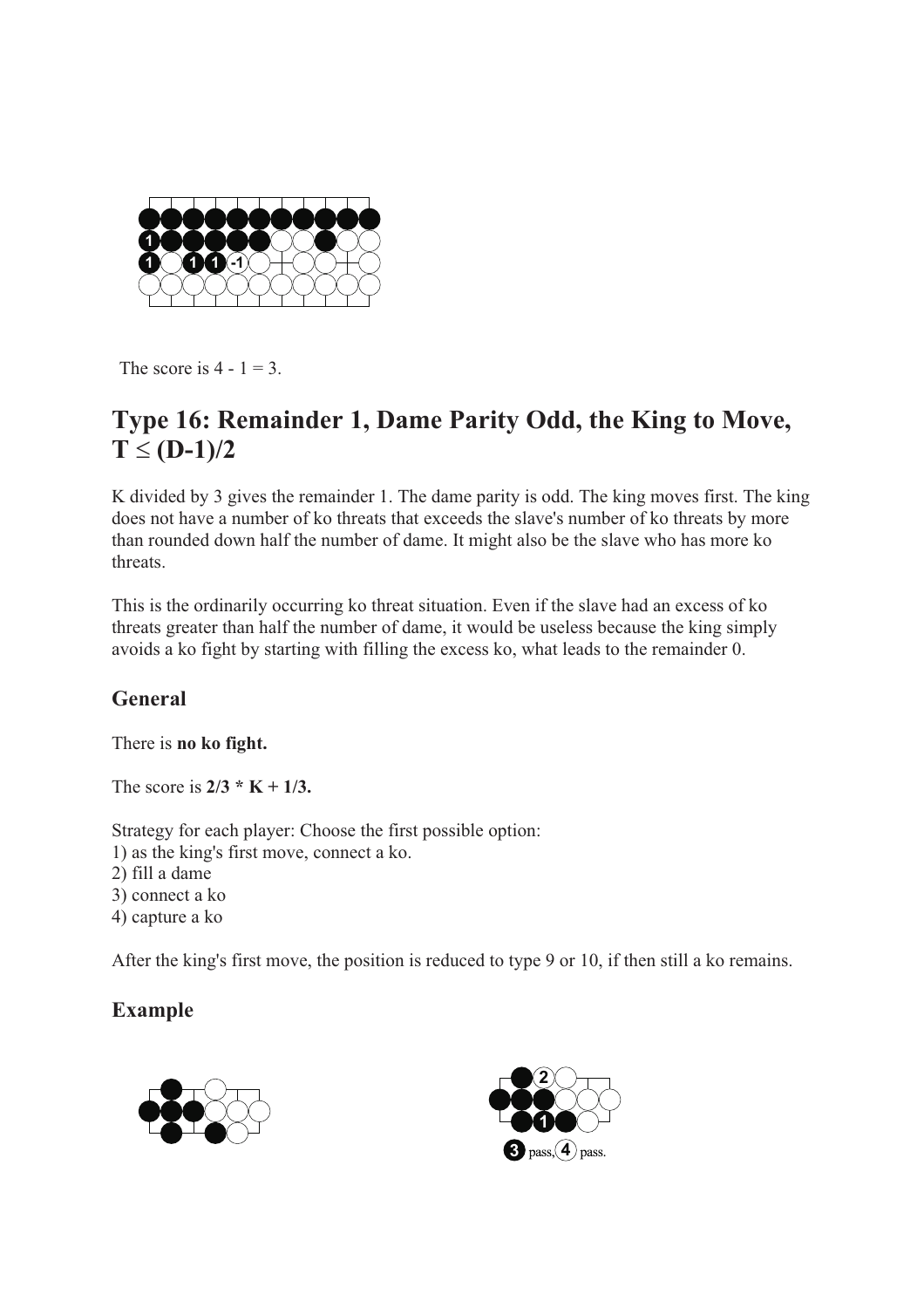

The score is  $4 - 1 = 3$ .

### **Type 16: Remainder 1, Dame Parity Odd, the King to Move,**  $T \leq (D-1)/2$

K divided by 3 gives the remainder 1. The dame parity is odd. The king moves first. The king does not have a number of ko threats that exceeds the slave's number of ko threats by more than rounded down half the number of dame. It might also be the slave who has more ko threats.

This is the ordinarily occurring ko threat situation. Even if the slave had an excess of ko threats greater than half the number of dame, it would be useless because the king simply avoids a ko fight by starting with filling the excess ko, what leads to the remainder 0.

### **General**

There is **no ko fight.**

The score is **2/3 \* K + 1/3.**

Strategy for each player: Choose the first possible option: 1) as the king's first move, connect a ko. 2) fill a dame 3) connect a ko 4) capture a ko

After the king's first move, the position is reduced to type 9 or 10, if then still a ko remains.



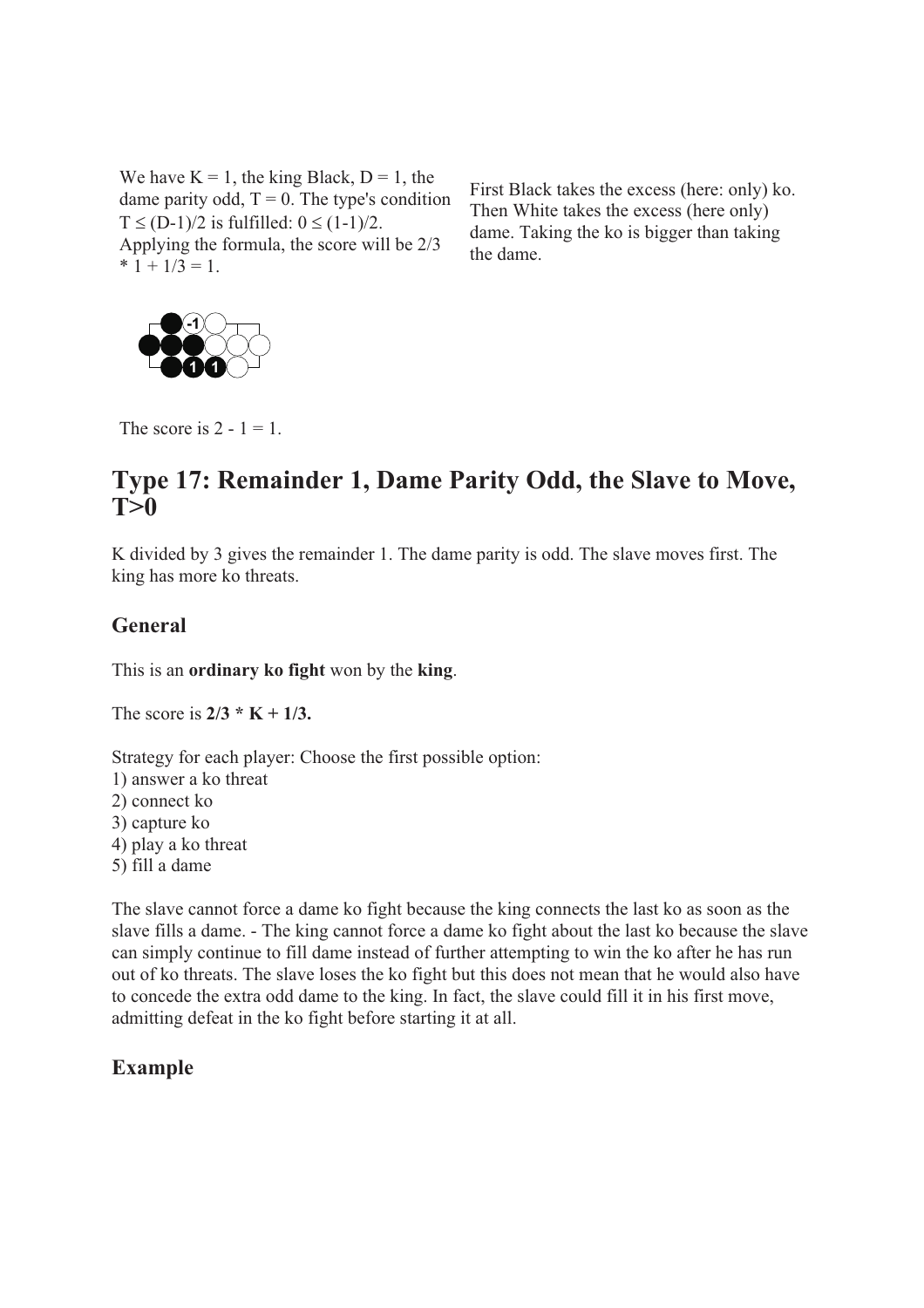We have  $K = 1$ , the king Black,  $D = 1$ , the dame parity odd,  $T = 0$ . The type's condition  $T \le (D-1)/2$  is fulfilled:  $0 \le (1-1)/2$ . Applying the formula, the score will be 2/3  $* 1 + 1/3 = 1.$ 

First Black takes the excess (here: only) ko. Then White takes the excess (here only) dame. Taking the ko is bigger than taking the dame.



The score is  $2 - 1 = 1$ .

### **Type 17: Remainder 1, Dame Parity Odd, the Slave to Move, T>0**

K divided by 3 gives the remainder 1. The dame parity is odd. The slave moves first. The king has more ko threats.

#### **General**

This is an **ordinary ko fight** won by the **king**.

The score is **2/3 \* K + 1/3.**

Strategy for each player: Choose the first possible option:

1) answer a ko threat

2) connect ko 3) capture ko

4) play a ko threat

5) fill a dame

The slave cannot force a dame ko fight because the king connects the last ko as soon as the slave fills a dame. - The king cannot force a dame ko fight about the last ko because the slave can simply continue to fill dame instead of further attempting to win the ko after he has run out of ko threats. The slave loses the ko fight but this does not mean that he would also have to concede the extra odd dame to the king. In fact, the slave could fill it in his first move, admitting defeat in the ko fight before starting it at all.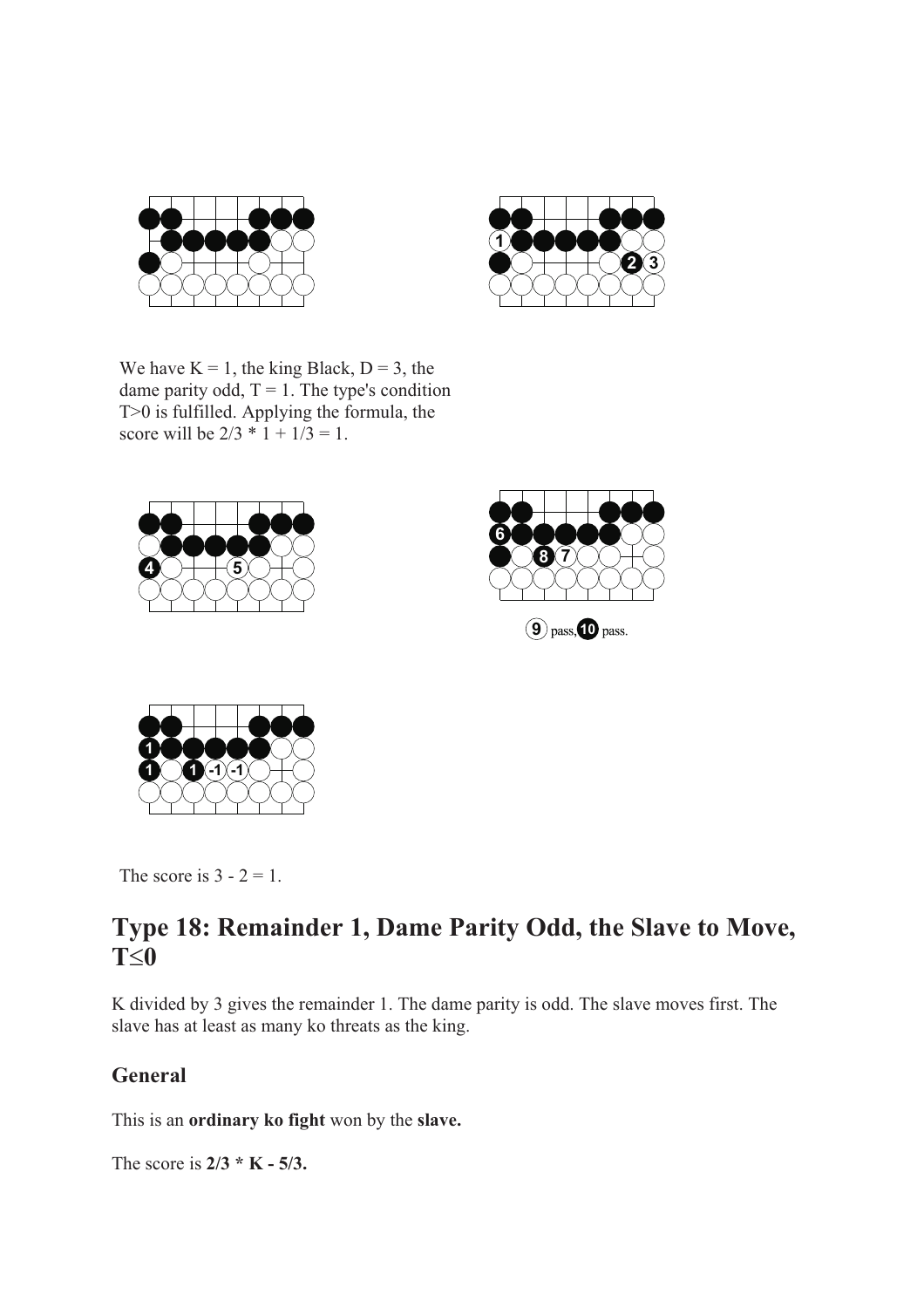



We have  $K = 1$ , the king Black,  $D = 3$ , the dame parity odd,  $T = 1$ . The type's condition T>0 is fulfilled. Applying the formula, the score will be  $2/3 * 1 + 1/3 = 1$ .







The score is  $3 - 2 = 1$ .

### **Type 18: Remainder 1, Dame Parity Odd, the Slave to Move, T£0**

K divided by 3 gives the remainder 1. The dame parity is odd. The slave moves first. The slave has at least as many ko threats as the king.

### **General**

This is an **ordinary ko fight** won by the **slave.**

The score is **2/3 \* K - 5/3.**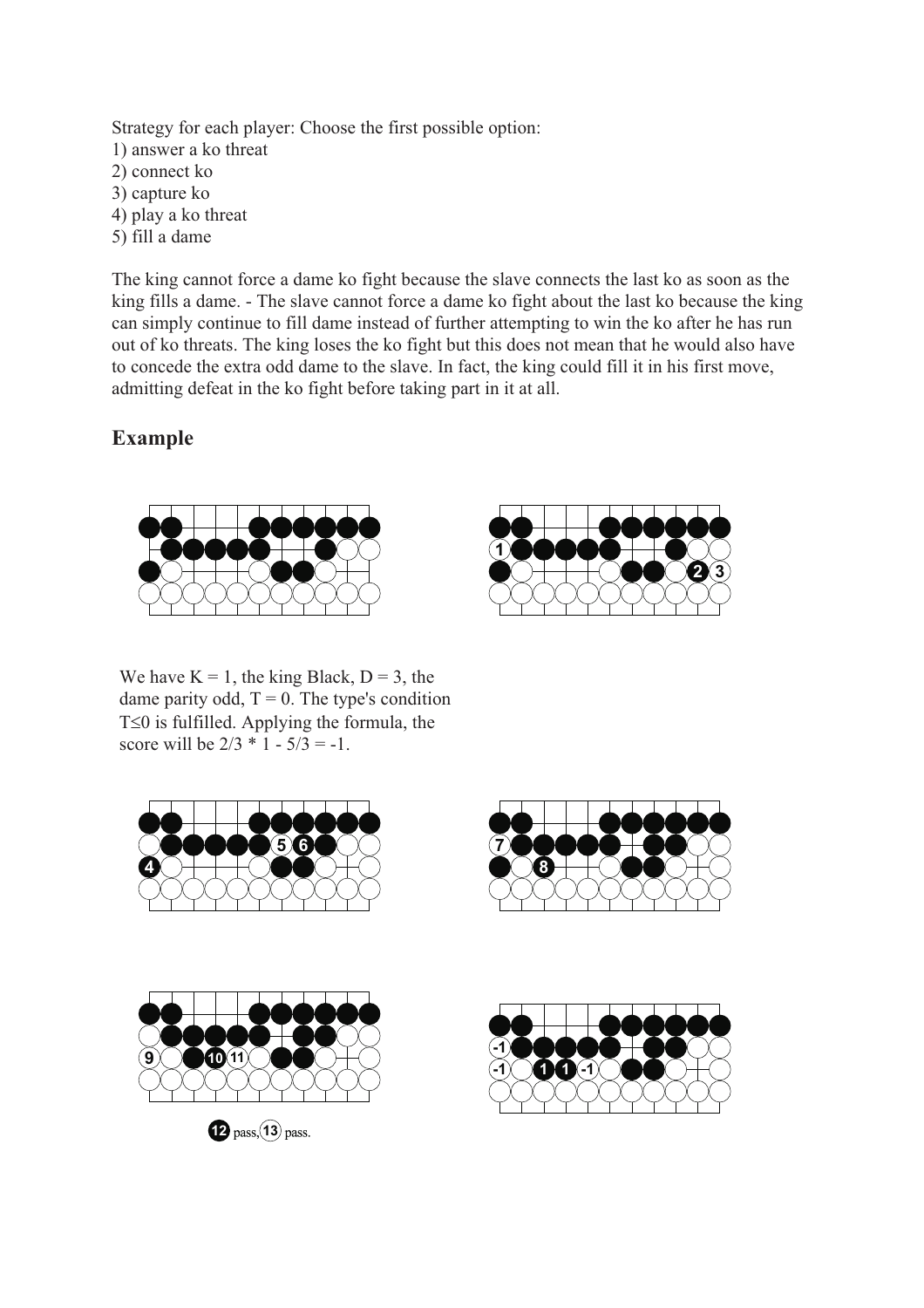Strategy for each player: Choose the first possible option: 1) answer a ko threat 2) connect ko 3) capture ko 4) play a ko threat 5) fill a dame

The king cannot force a dame ko fight because the slave connects the last ko as soon as the king fills a dame. - The slave cannot force a dame ko fight about the last ko because the king can simply continue to fill dame instead of further attempting to win the ko after he has run out of ko threats. The king loses the ko fight but this does not mean that he would also have to concede the extra odd dame to the slave. In fact, the king could fill it in his first move, admitting defeat in the ko fight before taking part in it at all.



We have  $K = 1$ , the king Black,  $D = 3$ , the dame parity odd,  $T = 0$ . The type's condition  $T \leq 0$  is fulfilled. Applying the formula, the score will be  $2/3 * 1 - 5/3 = -1$ .





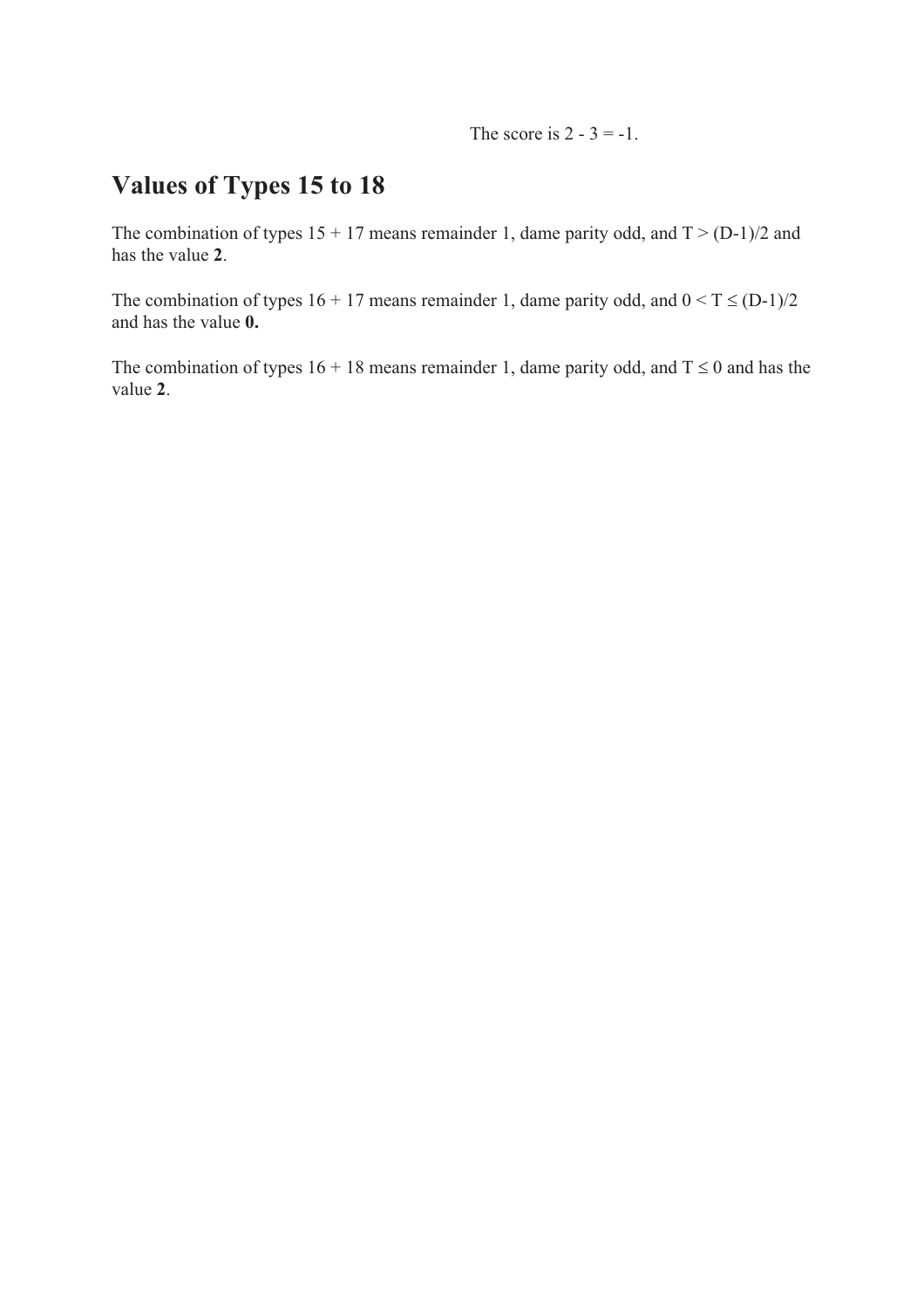The score is  $2 - 3 = -1$ .

### **Values of Types 15 to 18**

The combination of types  $15 + 17$  means remainder 1, dame parity odd, and  $T > (D-1)/2$  and has the value **2**.

The combination of types  $16 + 17$  means remainder 1, dame parity odd, and  $0 < T \le (D-1)/2$ and has the value **0.**

The combination of types  $16 + 18$  means remainder 1, dame parity odd, and  $T \le 0$  and has the value **2**.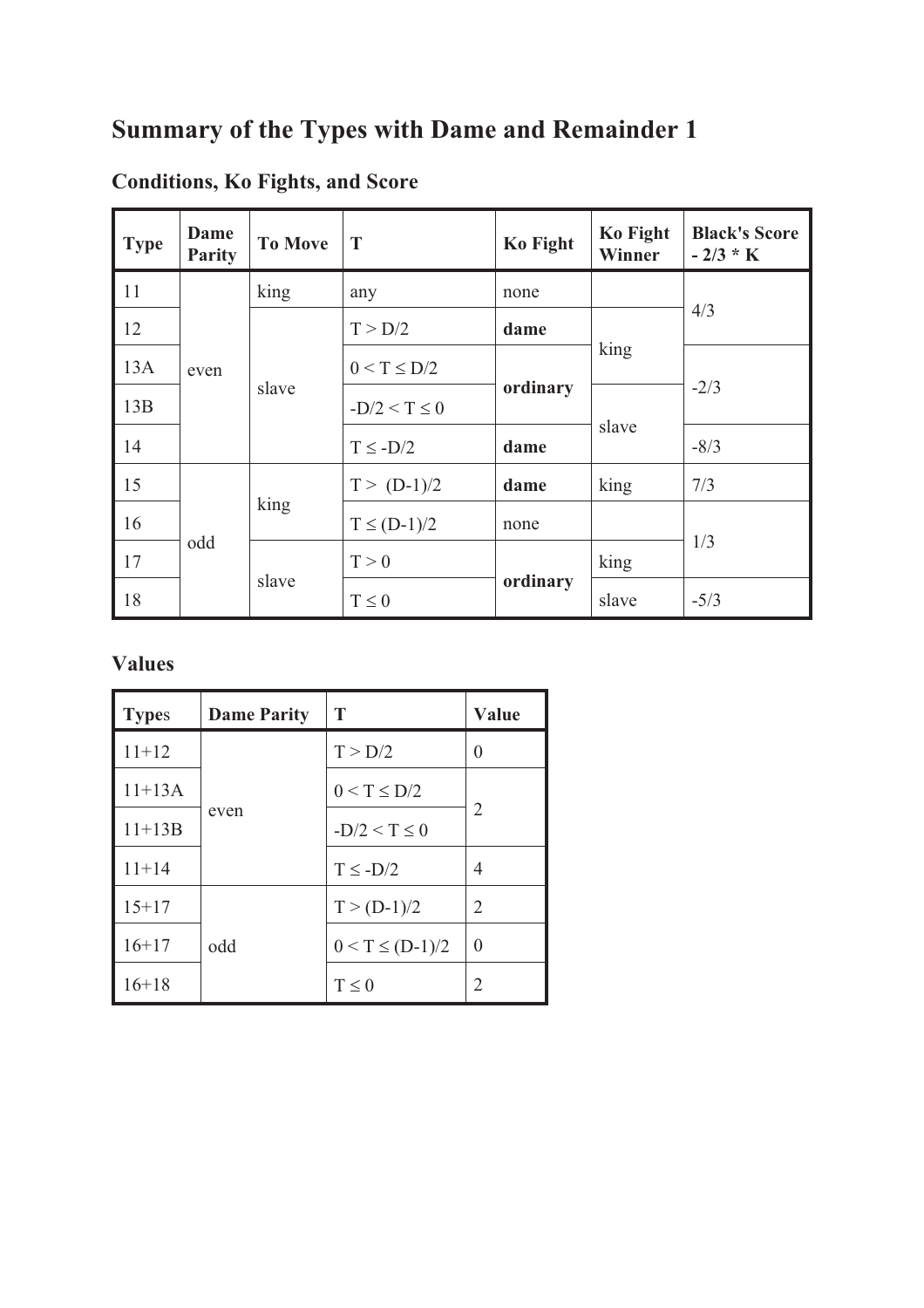# **Summary of the Types with Dame and Remainder 1**

| <b>Type</b> | Dame<br>Parity | <b>To Move</b> | T                 | <b>Ko Fight</b> | <b>Ko Fight</b><br>Winner | <b>Black's Score</b><br>$-2/3 * K$ |
|-------------|----------------|----------------|-------------------|-----------------|---------------------------|------------------------------------|
| 11          |                | king           | any               | none            |                           |                                    |
| 12          |                |                | T > D/2           | dame            |                           | 4/3                                |
| 13A         | even           | slave          | $0 < T \leq D/2$  |                 | king                      |                                    |
| 13B         |                |                | $-D/2 < T \leq 0$ | ordinary        |                           | $-2/3$                             |
| 14          |                |                | $T \leq -D/2$     | dame            | slave                     | $-8/3$                             |
| 15          |                |                | $T > (D-1)/2$     | dame            | king                      | 7/3                                |
| 16          |                | king           | $T \leq (D-1)/2$  | none            |                           |                                    |
| 17          | odd            | slave          | T > 0             | ordinary        | king                      | 1/3                                |
| 18          |                |                | $T \leq 0$        |                 | slave                     | $-5/3$                             |

### **Conditions, Ko Fights, and Score**

### **Values**

| <b>Types</b> | <b>Dame Parity</b> | T                    | Value          |
|--------------|--------------------|----------------------|----------------|
| $11+12$      |                    | T > D/2              | 0              |
| $11+13A$     |                    | $0 < T \leq D/2$     |                |
| $11+13B$     | even               | $-D/2 < T \leq 0$    | $\overline{2}$ |
| $11+14$      |                    | $T \leq -D/2$        | 4              |
| $15+17$      |                    | $T > (D-1)/2$        | 2              |
| $16+17$      | odd                | $0 < T \leq (D-1)/2$ | 0              |
| $16+18$      |                    | $T \leq 0$           | 2              |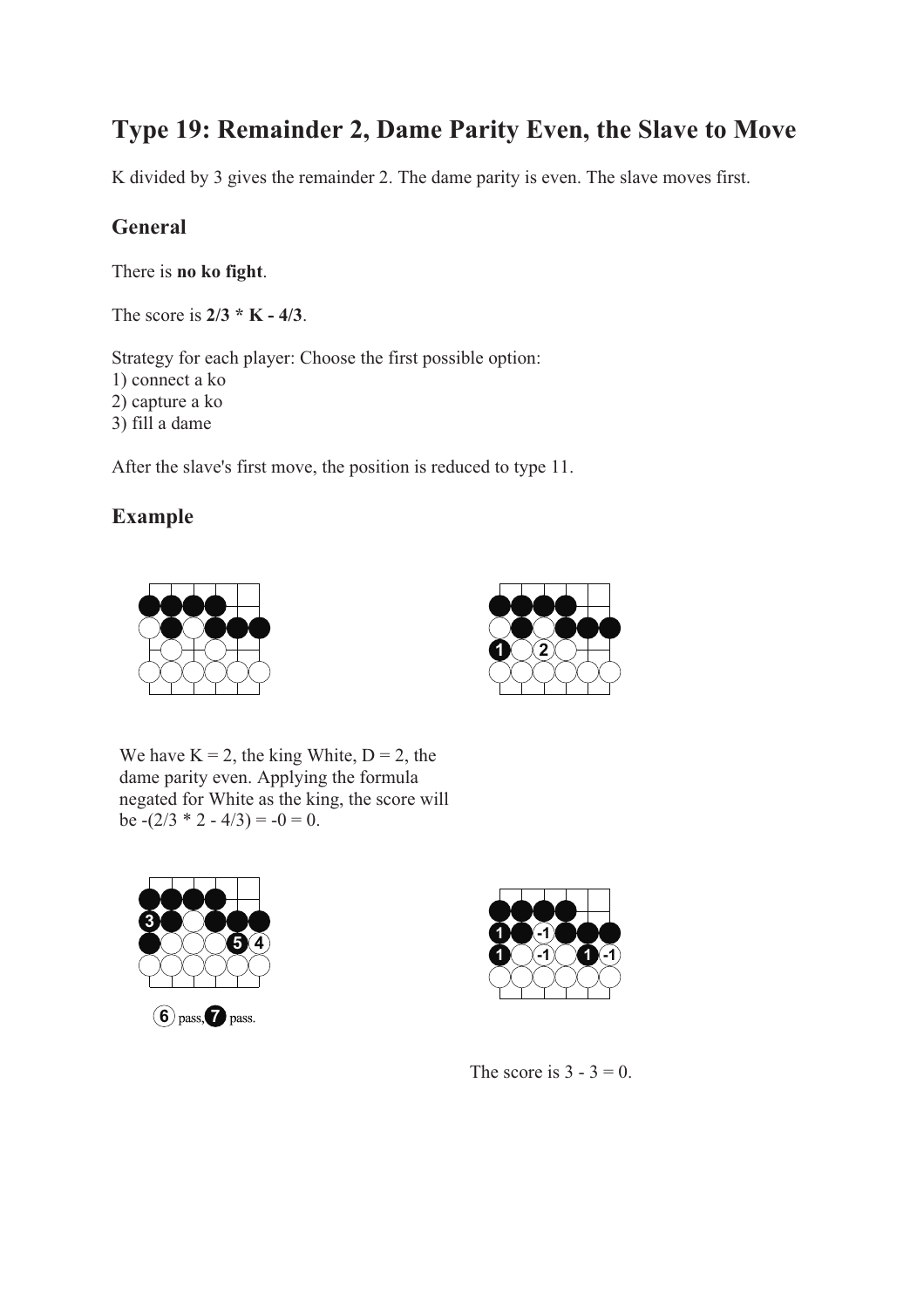### **Type 19: Remainder 2, Dame Parity Even, the Slave to Move**

K divided by 3 gives the remainder 2. The dame parity is even. The slave moves first.

#### **General**

There is **no ko fight**.

The score is **2/3 \* K - 4/3**.

Strategy for each player: Choose the first possible option: 1) connect a ko 2) capture a ko 3) fill a dame

After the slave's first move, the position is reduced to type 11.

### **Example**





We have  $K = 2$ , the king White,  $D = 2$ , the dame parity even. Applying the formula negated for White as the king, the score will be  $-(2/3 * 2 - 4/3) = -0 = 0$ .





The score is  $3 - 3 = 0$ .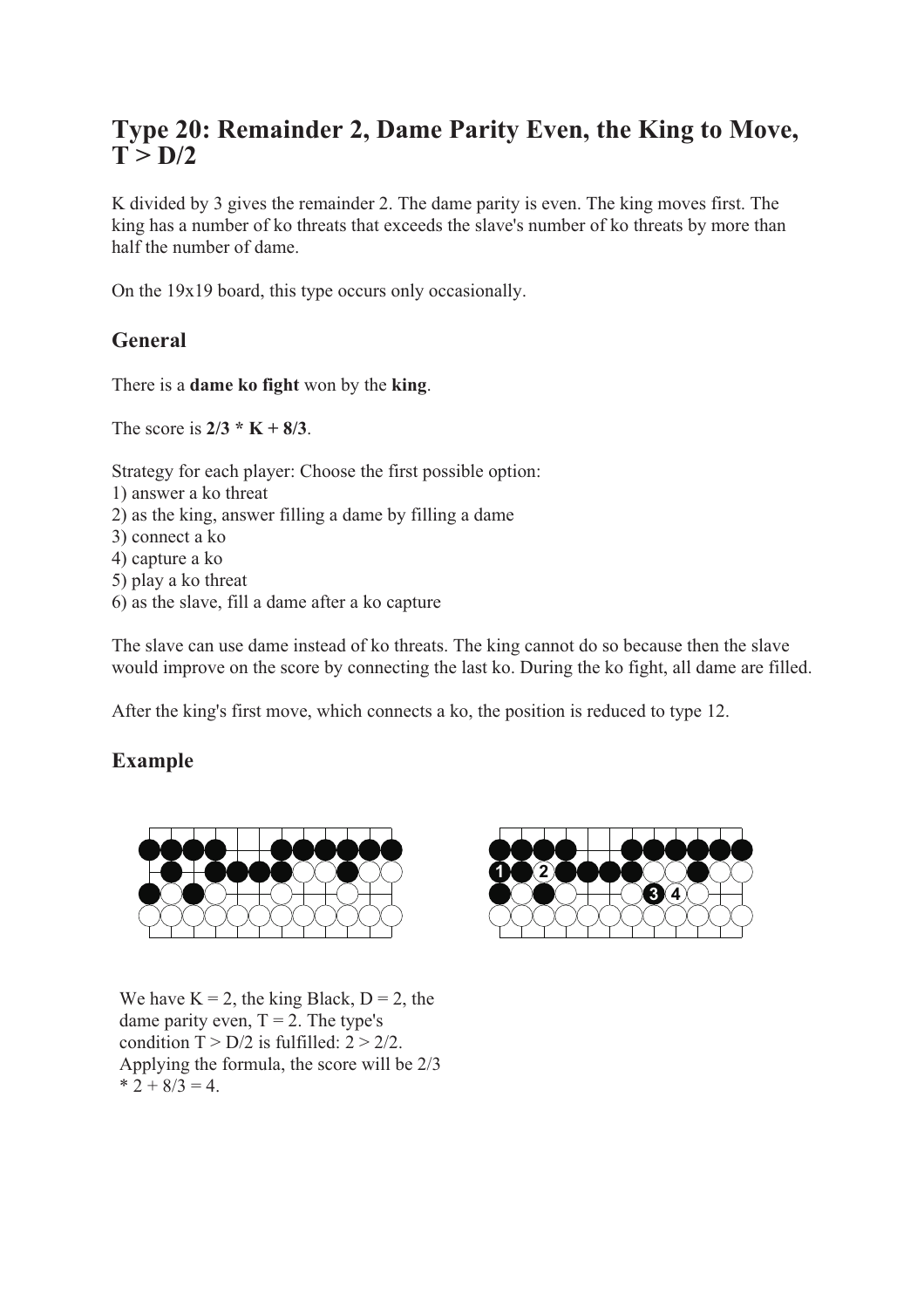### **Type 20: Remainder 2, Dame Parity Even, the King to Move,**  $T > D/2$

K divided by 3 gives the remainder 2. The dame parity is even. The king moves first. The king has a number of ko threats that exceeds the slave's number of ko threats by more than half the number of dame.

On the 19x19 board, this type occurs only occasionally.

#### **General**

There is a **dame ko fight** won by the **king**.

The score is  $2/3 * K + 8/3$ .

Strategy for each player: Choose the first possible option: 1) answer a ko threat 2) as the king, answer filling a dame by filling a dame 3) connect a ko 4) capture a ko 5) play a ko threat 6) as the slave, fill a dame after a ko capture

The slave can use dame instead of ko threats. The king cannot do so because then the slave would improve on the score by connecting the last ko. During the ko fight, all dame are filled.

After the king's first move, which connects a ko, the position is reduced to type 12.

#### **Example**



We have  $K = 2$ , the king Black,  $D = 2$ , the dame parity even,  $T = 2$ . The type's condition  $T > D/2$  is fulfilled:  $2 > 2/2$ . Applying the formula, the score will be 2/3  $* 2 + 8/3 = 4.$ 

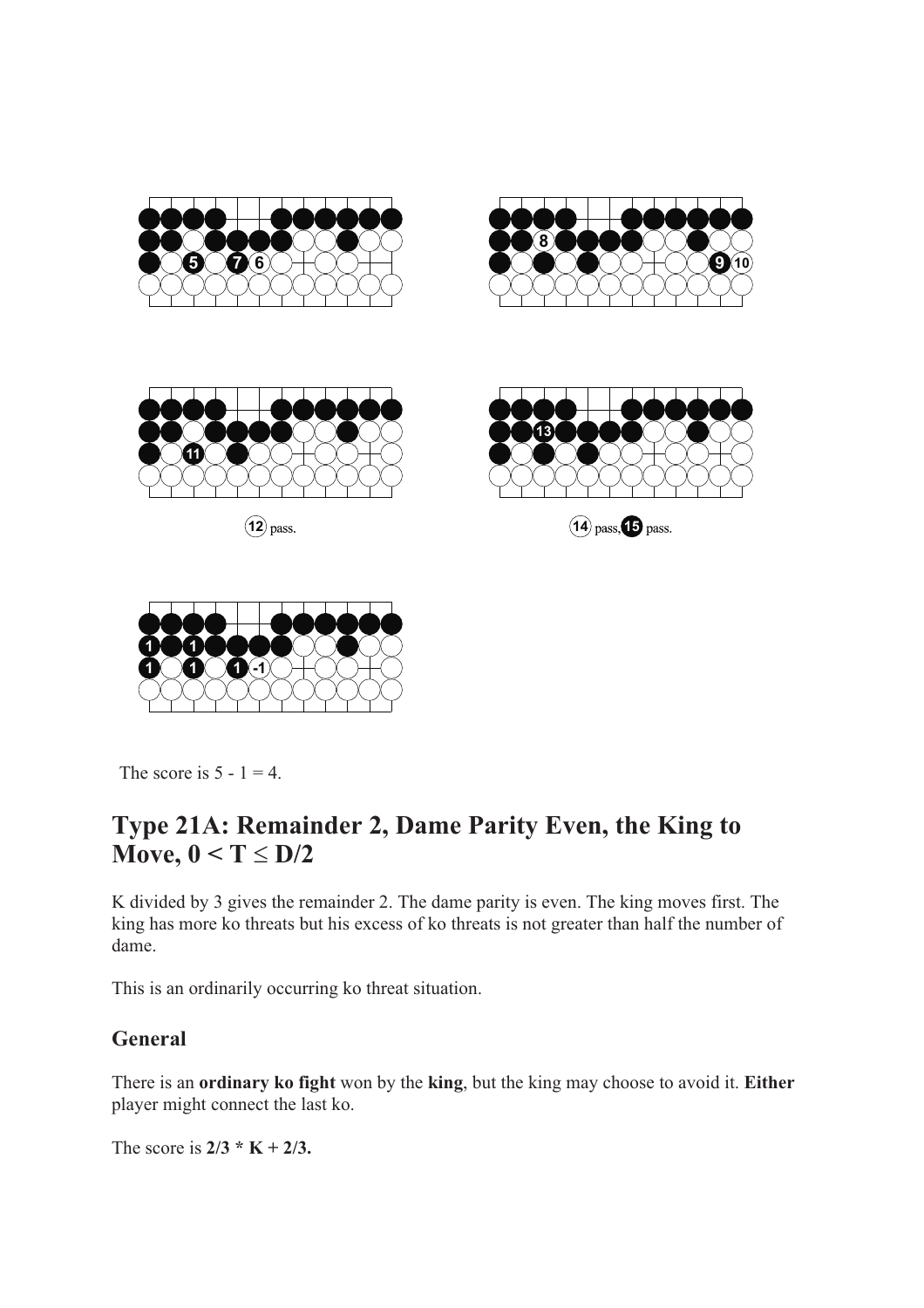

The score is  $5 - 1 = 4$ .

### **Type 21A: Remainder 2, Dame Parity Even, the King to Move, 0 < T**  $\leq$  **D/2**

K divided by 3 gives the remainder 2. The dame parity is even. The king moves first. The king has more ko threats but his excess of ko threats is not greater than half the number of dame.

This is an ordinarily occurring ko threat situation.

#### **General**

There is an **ordinary ko fight** won by the **king**, but the king may choose to avoid it. **Either** player might connect the last ko.

The score is  $2/3 * K + 2/3$ .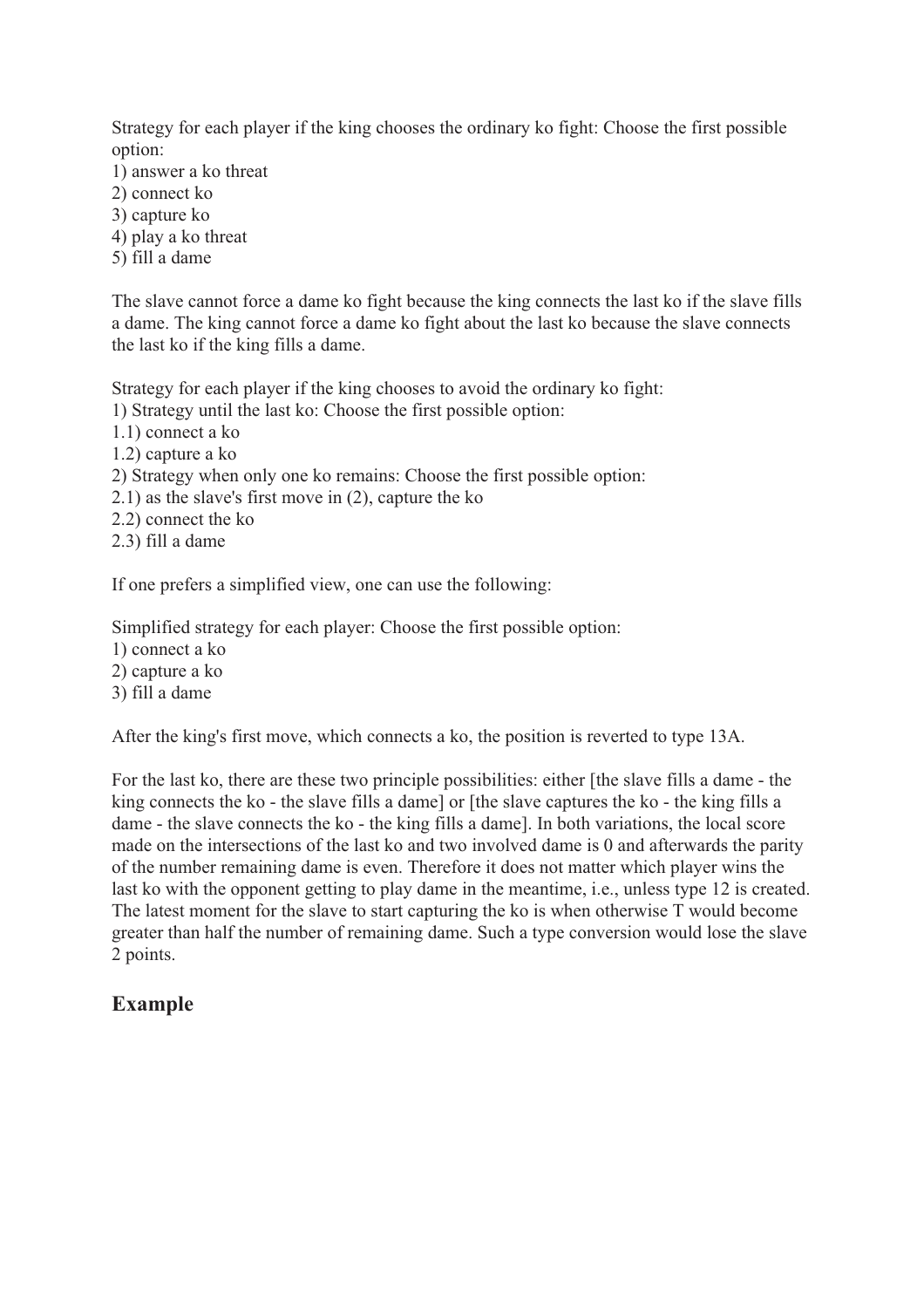Strategy for each player if the king chooses the ordinary ko fight: Choose the first possible option:

- 1) answer a ko threat
- 2) connect ko
- 3) capture ko
- 4) play a ko threat
- 5) fill a dame

The slave cannot force a dame ko fight because the king connects the last ko if the slave fills a dame. The king cannot force a dame ko fight about the last ko because the slave connects the last ko if the king fills a dame.

Strategy for each player if the king chooses to avoid the ordinary ko fight:

- 1) Strategy until the last ko: Choose the first possible option:
- 1.1) connect a ko
- 1.2) capture a ko
- 2) Strategy when only one ko remains: Choose the first possible option:
- 2.1) as the slave's first move in (2), capture the ko
- 2.2) connect the ko
- 2.3) fill a dame

If one prefers a simplified view, one can use the following:

Simplified strategy for each player: Choose the first possible option:

1) connect a ko

- 2) capture a ko
- 3) fill a dame

After the king's first move, which connects a ko, the position is reverted to type 13A.

For the last ko, there are these two principle possibilities: either [the slave fills a dame - the king connects the ko - the slave fills a dame] or [the slave captures the ko - the king fills a dame - the slave connects the ko - the king fills a dame]. In both variations, the local score made on the intersections of the last ko and two involved dame is 0 and afterwards the parity of the number remaining dame is even. Therefore it does not matter which player wins the last ko with the opponent getting to play dame in the meantime, i.e., unless type 12 is created. The latest moment for the slave to start capturing the ko is when otherwise T would become greater than half the number of remaining dame. Such a type conversion would lose the slave 2 points.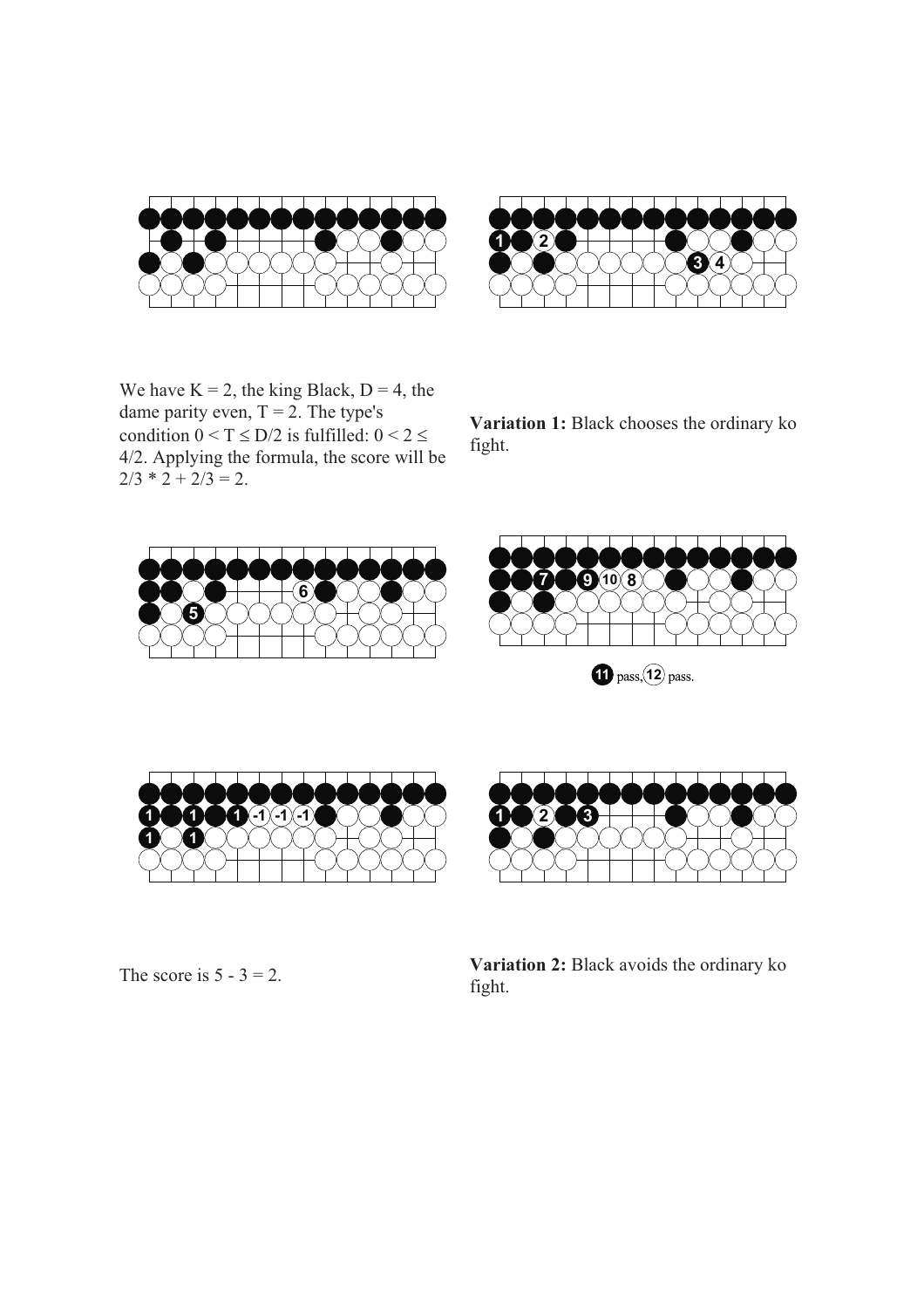



We have  $K = 2$ , the king Black,  $D = 4$ , the dame parity even,  $T = 2$ . The type's condition  $0 < T \le D/2$  is fulfilled:  $0 < 2 \le$ 4/2. Applying the formula, the score will be  $2/3 * 2 + 2/3 = 2$ .

**Variation 1:** Black chooses the ordinary ko fight.



The score is  $5 - 3 = 2$ .<br>**Variation 2:** Black avoids the ordinary ko fight.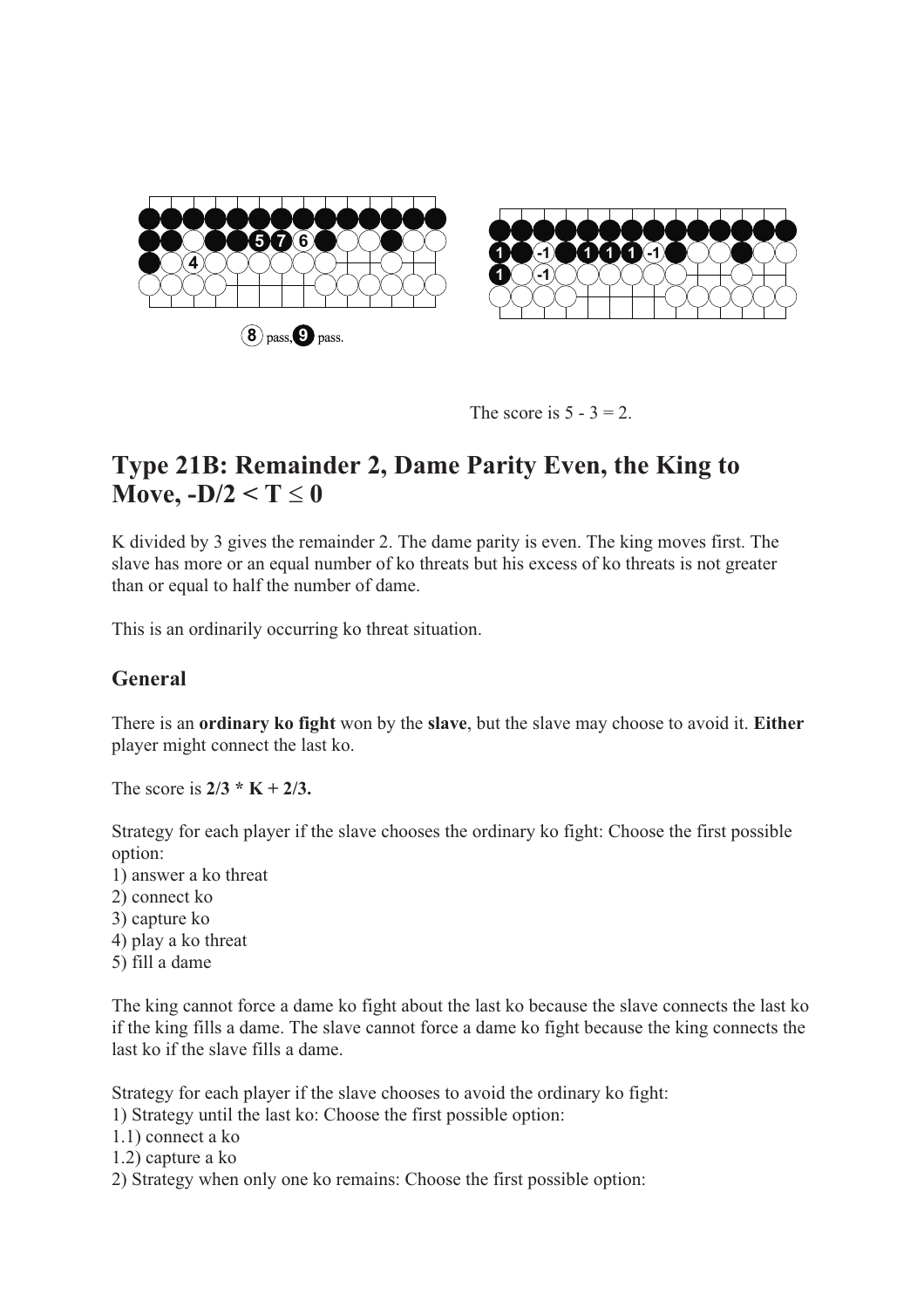



The score is  $5 - 3 = 2$ .

### **Type 21B: Remainder 2, Dame Parity Even, the King to Move,**  $-D/2 < T \le 0$

K divided by 3 gives the remainder 2. The dame parity is even. The king moves first. The slave has more or an equal number of ko threats but his excess of ko threats is not greater than or equal to half the number of dame.

This is an ordinarily occurring ko threat situation.

### **General**

There is an **ordinary ko fight** won by the **slave**, but the slave may choose to avoid it. **Either** player might connect the last ko.

The score is **2/3 \* K + 2/3.**

Strategy for each player if the slave chooses the ordinary ko fight: Choose the first possible option:

1) answer a ko threat 2) connect ko 3) capture ko 4) play a ko threat 5) fill a dame

The king cannot force a dame ko fight about the last ko because the slave connects the last ko if the king fills a dame. The slave cannot force a dame ko fight because the king connects the last ko if the slave fills a dame.

Strategy for each player if the slave chooses to avoid the ordinary ko fight:

1) Strategy until the last ko: Choose the first possible option:

- 1.1) connect a ko
- 1.2) capture a ko

2) Strategy when only one ko remains: Choose the first possible option: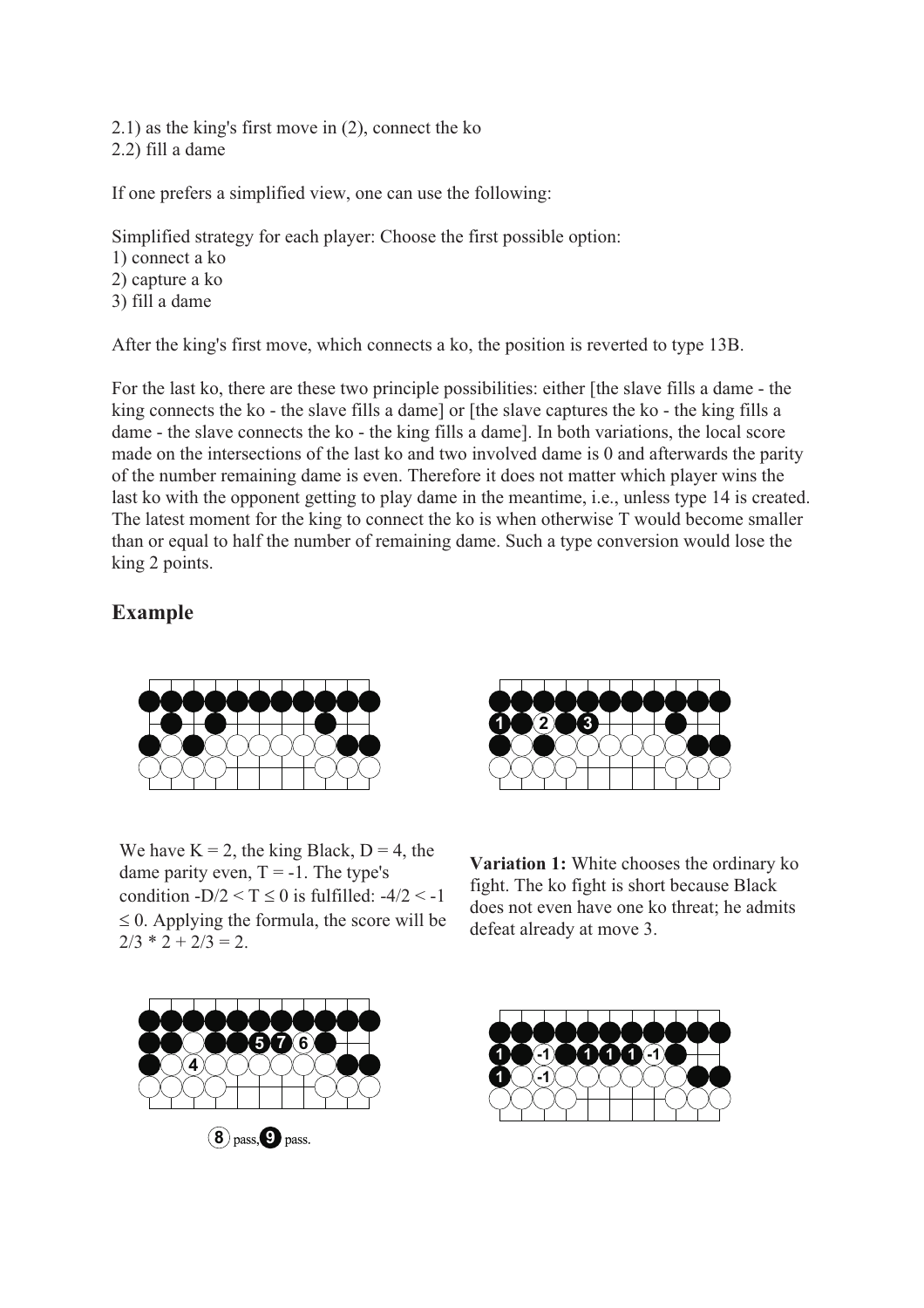2.1) as the king's first move in (2), connect the ko 2.2) fill a dame

If one prefers a simplified view, one can use the following:

Simplified strategy for each player: Choose the first possible option:

- 1) connect a ko
- 2) capture a ko
- 3) fill a dame

After the king's first move, which connects a ko, the position is reverted to type 13B.

For the last ko, there are these two principle possibilities: either [the slave fills a dame - the king connects the ko - the slave fills a dame] or [the slave captures the ko - the king fills a dame - the slave connects the ko - the king fills a dame]. In both variations, the local score made on the intersections of the last ko and two involved dame is 0 and afterwards the parity of the number remaining dame is even. Therefore it does not matter which player wins the last ko with the opponent getting to play dame in the meantime, i.e., unless type 14 is created. The latest moment for the king to connect the ko is when otherwise T would become smaller than or equal to half the number of remaining dame. Such a type conversion would lose the king 2 points.



We have  $K = 2$ , the king Black,  $D = 4$ , the dame parity even,  $T = -1$ . The type's condition  $-D/2 < T \le 0$  is fulfilled:  $-4/2 < -1$  $\leq$  0. Applying the formula, the score will be  $2/3 * 2 + 2/3 = 2$ .



**Variation 1:** White chooses the ordinary ko fight. The ko fight is short because Black does not even have one ko threat; he admits defeat already at move 3.



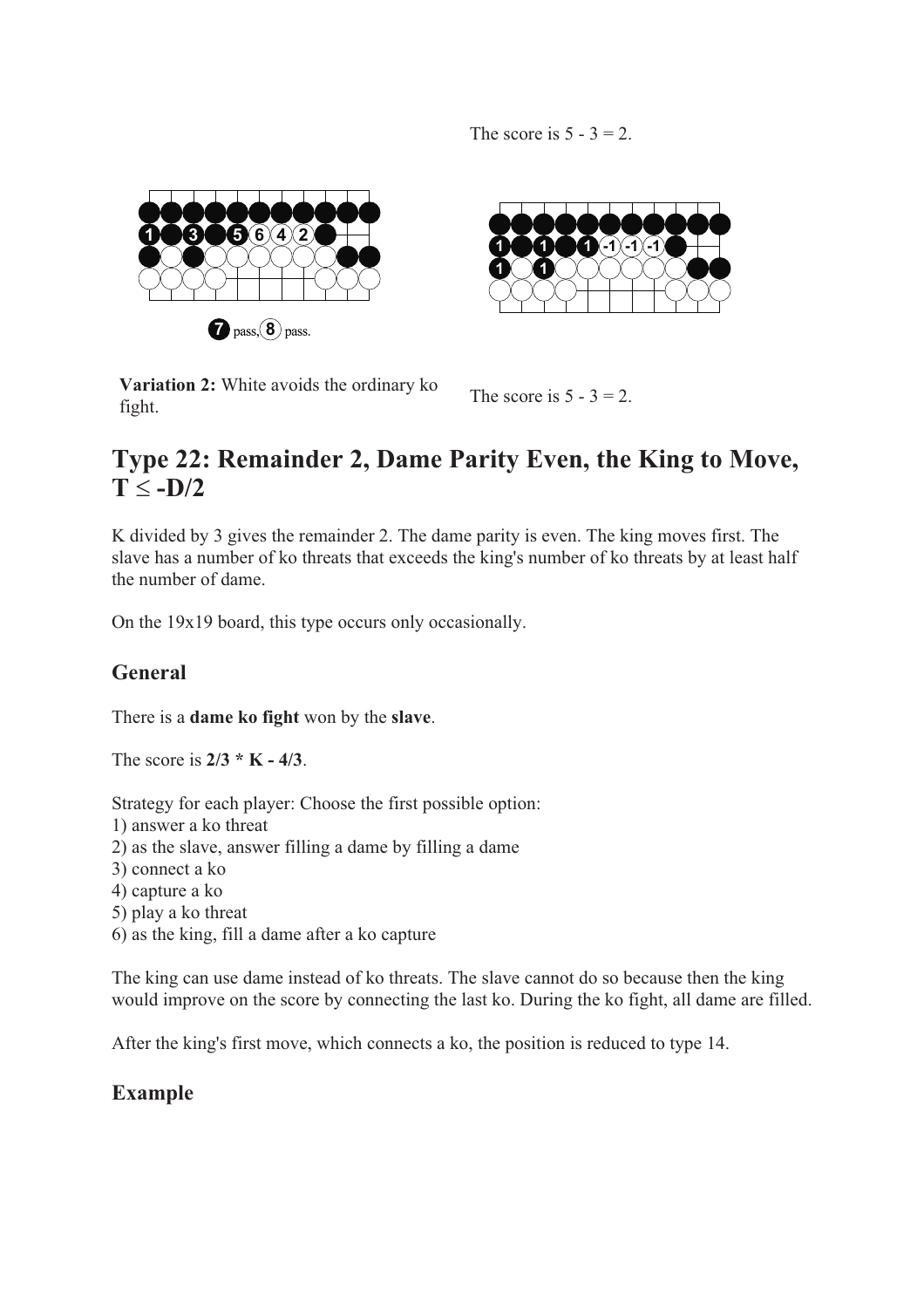The score is  $5 - 3 = 2$ .



**1 1 1 1 1** -1 -1

**Variation 2:** White avoids the ordinary ko **variation** 2: while avoids the ordinary ko The score is  $5 - 3 = 2$ .

## **Type 22: Remainder 2, Dame Parity Even, the King to Move,**  $T \le -D/2$

K divided by 3 gives the remainder 2. The dame parity is even. The king moves first. The slave has a number of ko threats that exceeds the king's number of ko threats by at least half the number of dame.

On the 19x19 board, this type occurs only occasionally.

### **General**

There is a **dame ko fight** won by the **slave**.

The score is **2/3 \* K - 4/3**.

Strategy for each player: Choose the first possible option: 1) answer a ko threat 2) as the slave, answer filling a dame by filling a dame 3) connect a ko 4) capture a ko 5) play a ko threat 6) as the king, fill a dame after a ko capture

The king can use dame instead of ko threats. The slave cannot do so because then the king would improve on the score by connecting the last ko. During the ko fight, all dame are filled.

After the king's first move, which connects a ko, the position is reduced to type 14.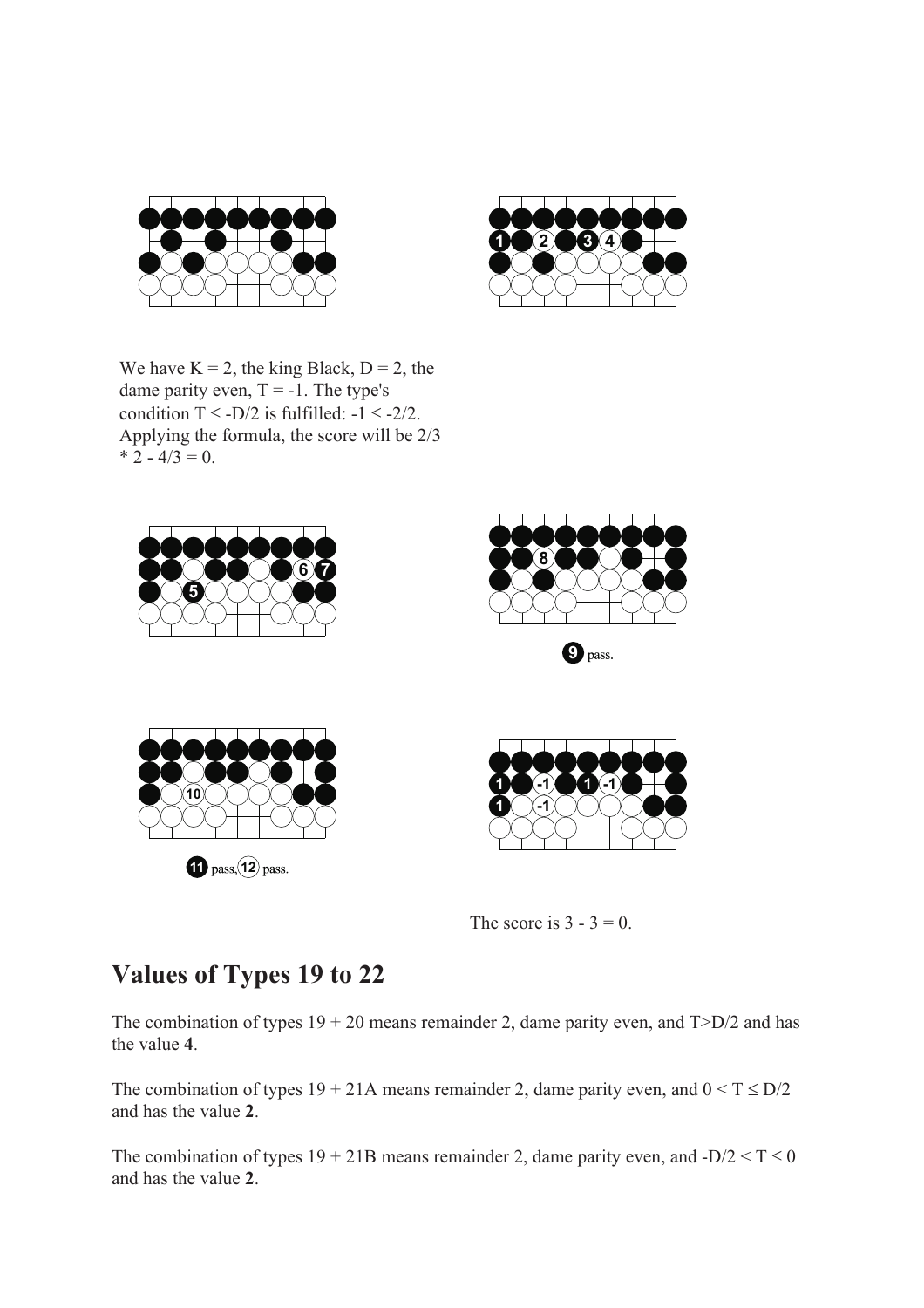



We have  $K = 2$ , the king Black,  $D = 2$ , the dame parity even,  $T = -1$ . The type's condition  $T \leq -D/2$  is fulfilled:  $-1 \leq -2/2$ . Applying the formula, the score will be 2/3  $* 2 - 4/3 = 0.$ 





### **Values of Types 19 to 22**

The combination of types  $19 + 20$  means remainder 2, dame parity even, and  $T>D/2$  and has the value **4**.

The combination of types  $19 + 21$ A means remainder 2, dame parity even, and  $0 < T \leq D/2$ and has the value **2**.

The combination of types  $19 + 21B$  means remainder 2, dame parity even, and  $-D/2 < T \le 0$ and has the value **2**.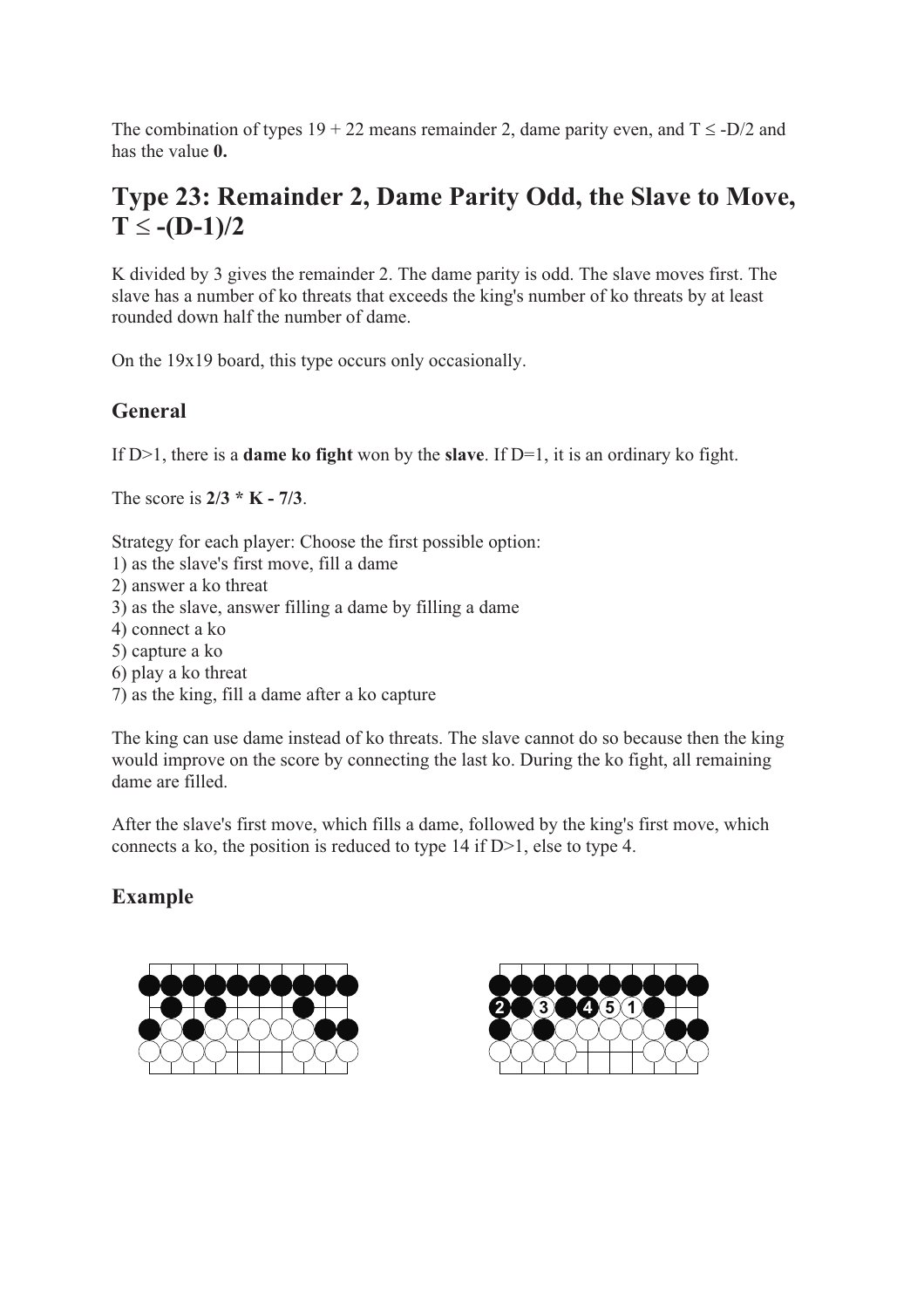The combination of types  $19 + 22$  means remainder 2, dame parity even, and  $T \le -D/2$  and has the value **0.**

## **Type 23: Remainder 2, Dame Parity Odd, the Slave to Move,**  $T \leq - (D-1)/2$

K divided by 3 gives the remainder 2. The dame parity is odd. The slave moves first. The slave has a number of ko threats that exceeds the king's number of ko threats by at least rounded down half the number of dame.

On the 19x19 board, this type occurs only occasionally.

### **General**

If D>1, there is a **dame ko fight** won by the **slave**. If D=1, it is an ordinary ko fight.

The score is **2/3 \* K - 7/3**.

Strategy for each player: Choose the first possible option: 1) as the slave's first move, fill a dame 2) answer a ko threat 3) as the slave, answer filling a dame by filling a dame 4) connect a ko 5) capture a ko 6) play a ko threat 7) as the king, fill a dame after a ko capture

The king can use dame instead of ko threats. The slave cannot do so because then the king would improve on the score by connecting the last ko. During the ko fight, all remaining dame are filled.

After the slave's first move, which fills a dame, followed by the king's first move, which connects a ko, the position is reduced to type 14 if D>1, else to type 4.



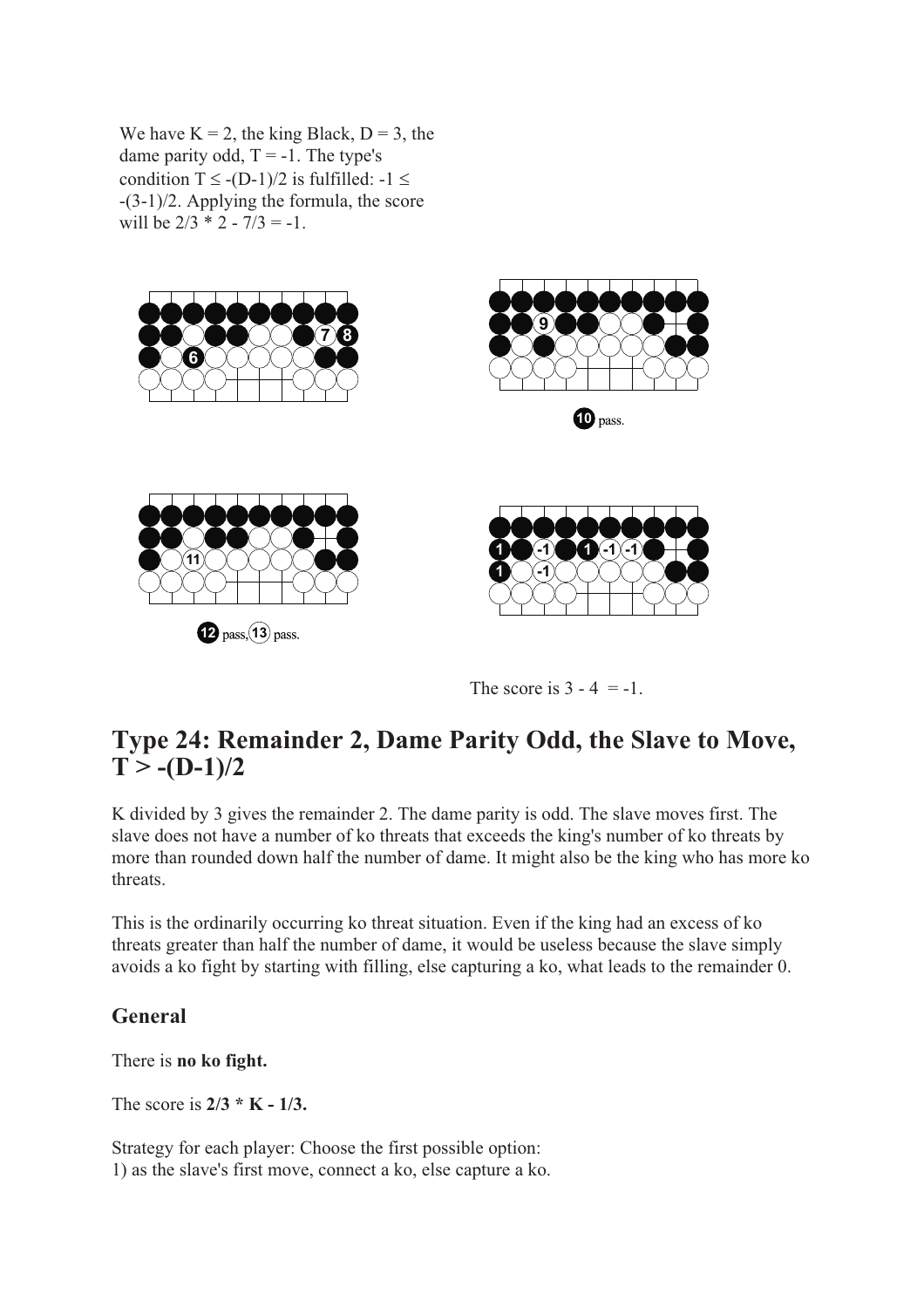We have  $K = 2$ , the king Black,  $D = 3$ , the dame parity odd,  $T = -1$ . The type's condition  $T \leq -(D-1)/2$  is fulfilled:  $-1 \leq$ -(3-1)/2. Applying the formula, the score will be  $2/3 * 2 - 7/3 = -1$ .



The score is  $3 - 4 = -1$ .

### **Type 24: Remainder 2, Dame Parity Odd, the Slave to Move,**  $T > -(D-1)/2$

K divided by 3 gives the remainder 2. The dame parity is odd. The slave moves first. The slave does not have a number of ko threats that exceeds the king's number of ko threats by more than rounded down half the number of dame. It might also be the king who has more ko threats.

This is the ordinarily occurring ko threat situation. Even if the king had an excess of ko threats greater than half the number of dame, it would be useless because the slave simply avoids a ko fight by starting with filling, else capturing a ko, what leads to the remainder 0.

#### **General**

There is **no ko fight.**

The score is **2/3 \* K - 1/3.**

Strategy for each player: Choose the first possible option: 1) as the slave's first move, connect a ko, else capture a ko.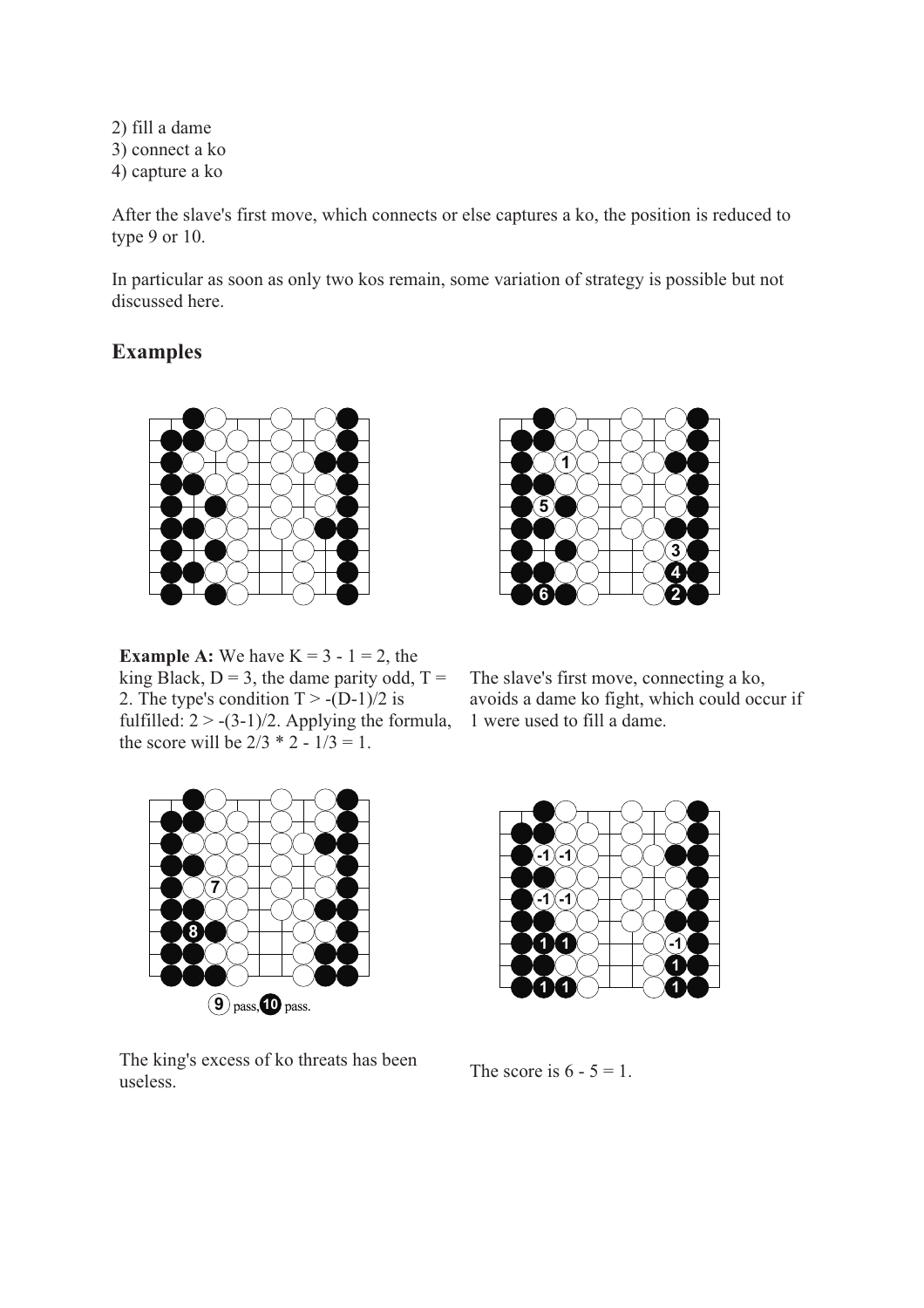2) fill a dame 3) connect a ko 4) capture a ko

After the slave's first move, which connects or else captures a ko, the position is reduced to type 9 or 10.

In particular as soon as only two kos remain, some variation of strategy is possible but not discussed here.



**Example A:** We have  $K = 3 - 1 = 2$ , the king Black,  $D = 3$ , the dame parity odd,  $T =$ 2. The type's condition  $T > -(D-1)/2$  is fulfilled:  $2 > -(3-1)/2$ . Applying the formula, the score will be  $2/3 * 2 - 1/3 = 1$ .



The slave's first move, connecting a ko, avoids a dame ko fight, which could occur if 1 were used to fill a dame.



The king's excess of ko threats has been The score is  $6 - 5 = 1$ .<br>useless.

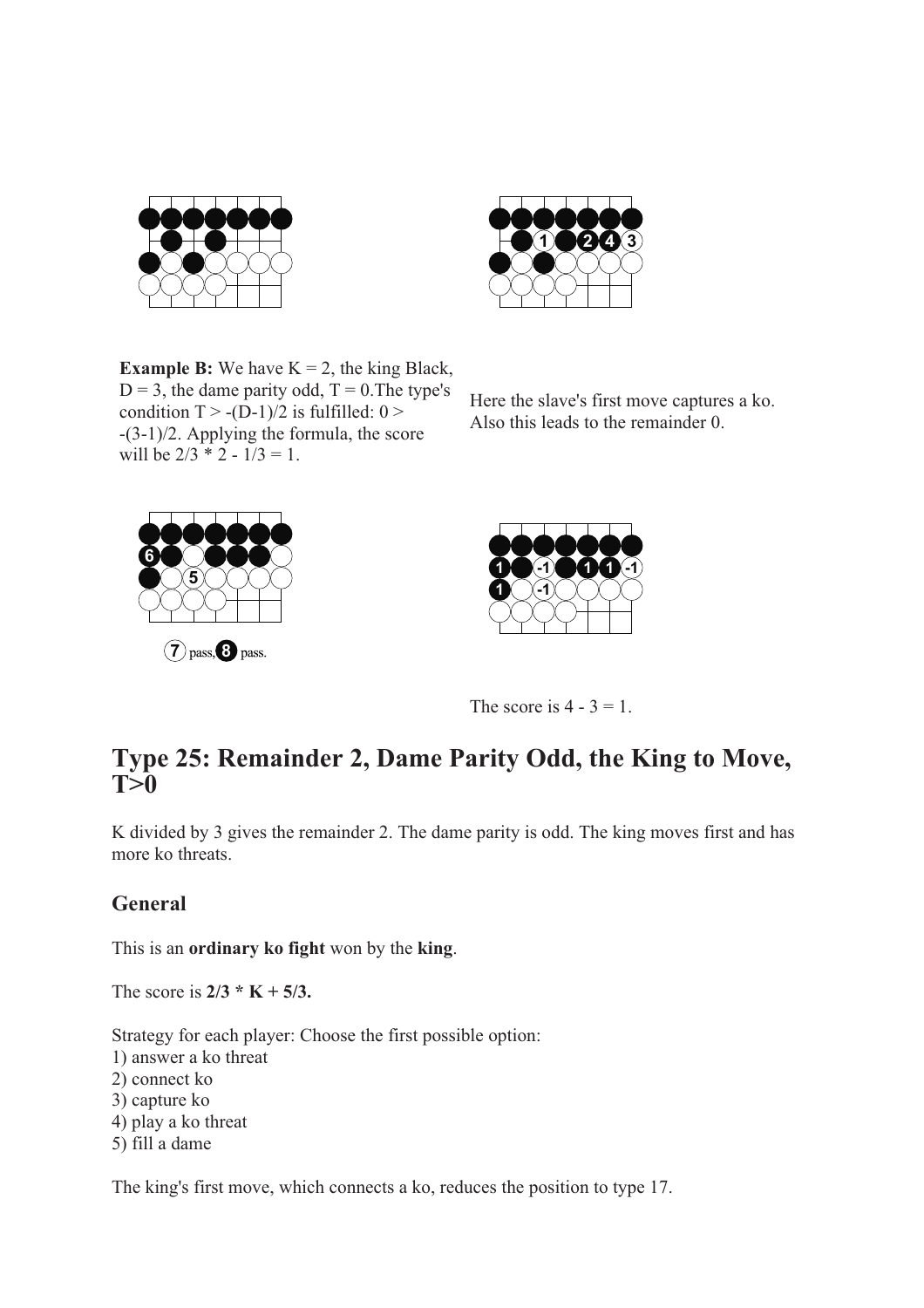



**Example B:** We have  $K = 2$ , the king Black,  $D = 3$ , the dame parity odd,  $T = 0$ . The type's condition  $T > -(D-1)/2$  is fulfilled:  $0 >$ -(3-1)/2. Applying the formula, the score will be  $2/3 * 2 - 1/3 = 1$ .

Here the slave's first move captures a ko. Also this leads to the remainder 0.





The score is  $4 - 3 = 1$ .

### **Type 25: Remainder 2, Dame Parity Odd, the King to Move, T>0**

K divided by 3 gives the remainder 2. The dame parity is odd. The king moves first and has more ko threats.

### **General**

This is an **ordinary ko fight** won by the **king**.

The score is **2/3 \* K + 5/3.**

Strategy for each player: Choose the first possible option: 1) answer a ko threat 2) connect ko 3) capture ko 4) play a ko threat 5) fill a dame

The king's first move, which connects a ko, reduces the position to type 17.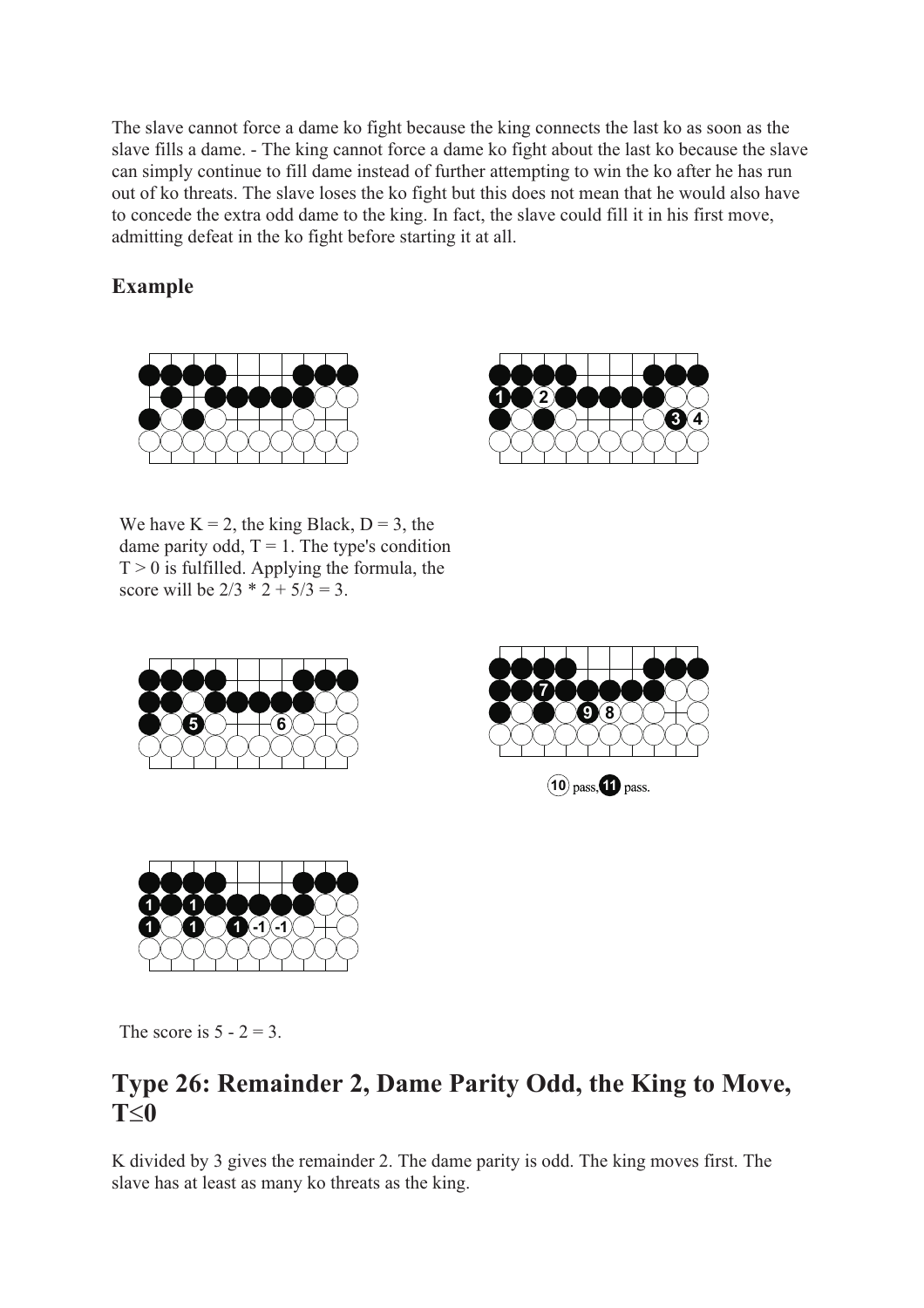The slave cannot force a dame ko fight because the king connects the last ko as soon as the slave fills a dame. - The king cannot force a dame ko fight about the last ko because the slave can simply continue to fill dame instead of further attempting to win the ko after he has run out of ko threats. The slave loses the ko fight but this does not mean that he would also have to concede the extra odd dame to the king. In fact, the slave could fill it in his first move, admitting defeat in the ko fight before starting it at all.

### **Example**





We have  $K = 2$ , the king Black,  $D = 3$ , the dame parity odd,  $T = 1$ . The type's condition  $T > 0$  is fulfilled. Applying the formula, the score will be  $2/3 * 2 + 5/3 = 3$ .









The score is  $5 - 2 = 3$ .

## **Type 26: Remainder 2, Dame Parity Odd, the King to Move, T£0**

K divided by 3 gives the remainder 2. The dame parity is odd. The king moves first. The slave has at least as many ko threats as the king.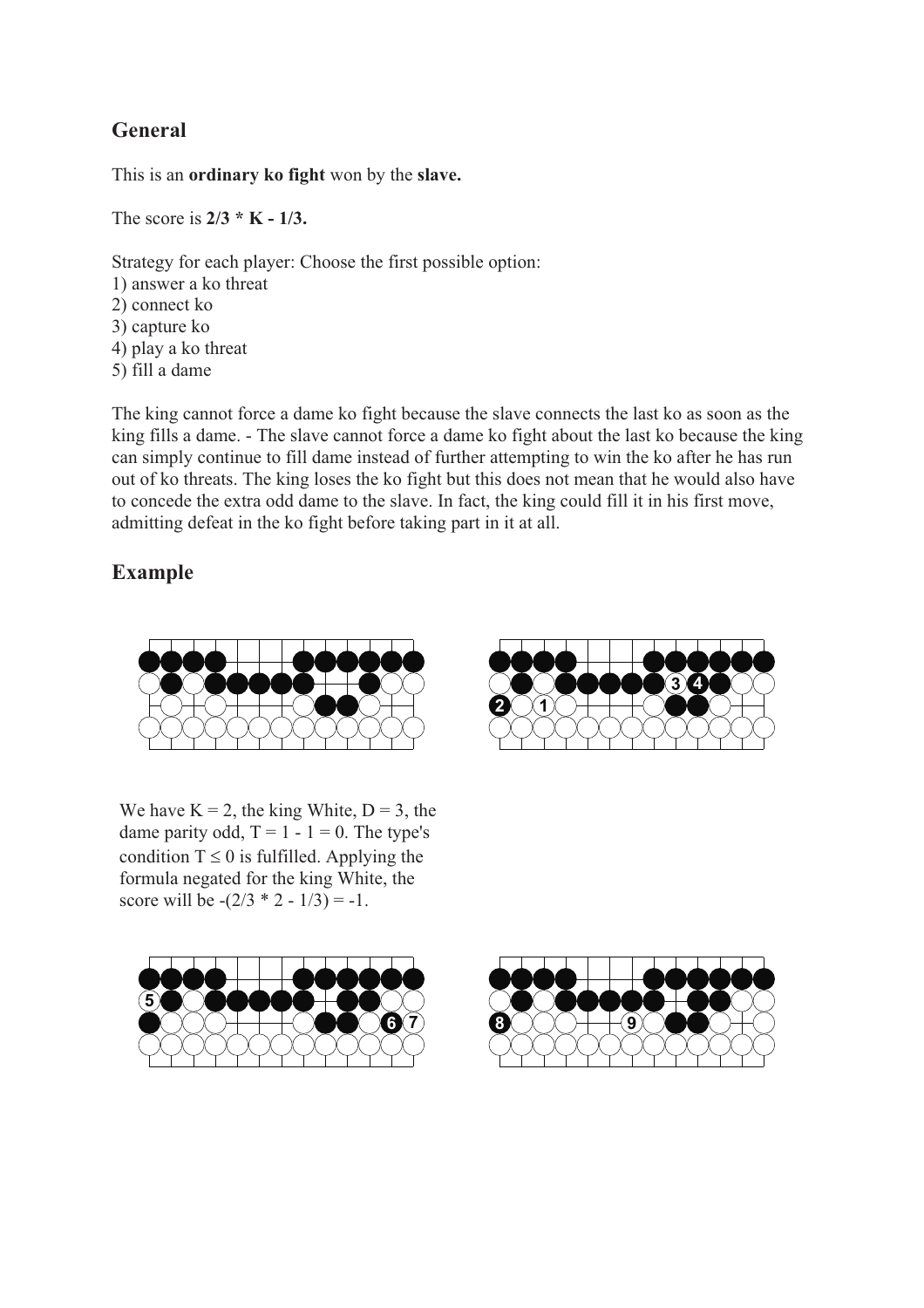#### **General**

This is an **ordinary ko fight** won by the **slave.**

The score is **2/3 \* K - 1/3.**

Strategy for each player: Choose the first possible option: 1) answer a ko threat 2) connect ko 3) capture ko 4) play a ko threat 5) fill a dame

The king cannot force a dame ko fight because the slave connects the last ko as soon as the king fills a dame. - The slave cannot force a dame ko fight about the last ko because the king can simply continue to fill dame instead of further attempting to win the ko after he has run out of ko threats. The king loses the ko fight but this does not mean that he would also have to concede the extra odd dame to the slave. In fact, the king could fill it in his first move, admitting defeat in the ko fight before taking part in it at all.

#### **Example**



We have  $K = 2$ , the king White,  $D = 3$ , the dame parity odd,  $T = 1 - 1 = 0$ . The type's condition  $T \le 0$  is fulfilled. Applying the formula negated for the king White, the score will be  $-(2/3 * 2 - 1/3) = -1$ .





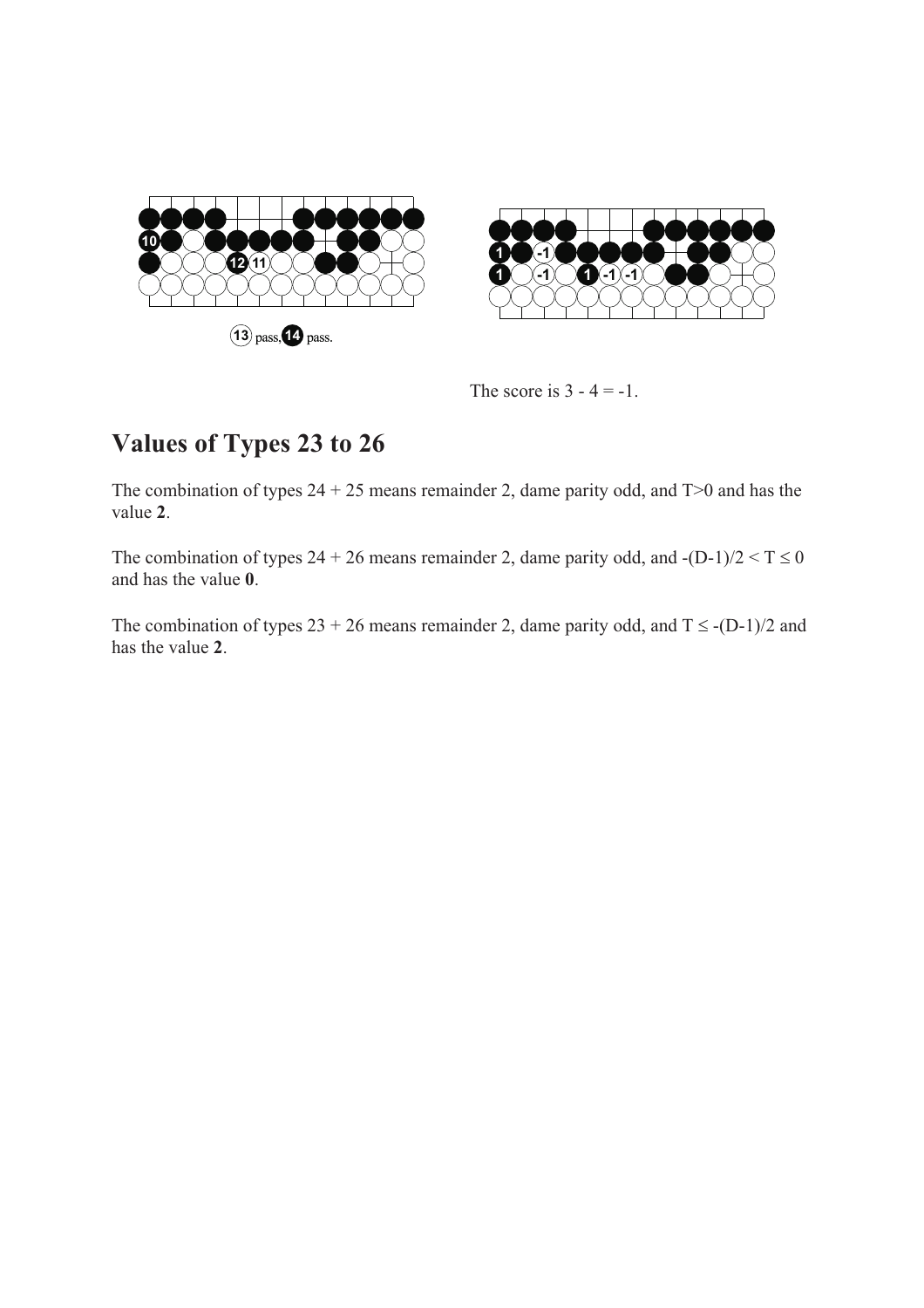



The score is  $3 - 4 = -1$ .

### **Values of Types 23 to 26**

The combination of types  $24 + 25$  means remainder 2, dame parity odd, and  $T>0$  and has the value **2**.

The combination of types 24 + 26 means remainder 2, dame parity odd, and  $-(D-1)/2 < T \le 0$ and has the value **0**.

The combination of types  $23 + 26$  means remainder 2, dame parity odd, and  $T \le -(D-1)/2$  and has the value **2**.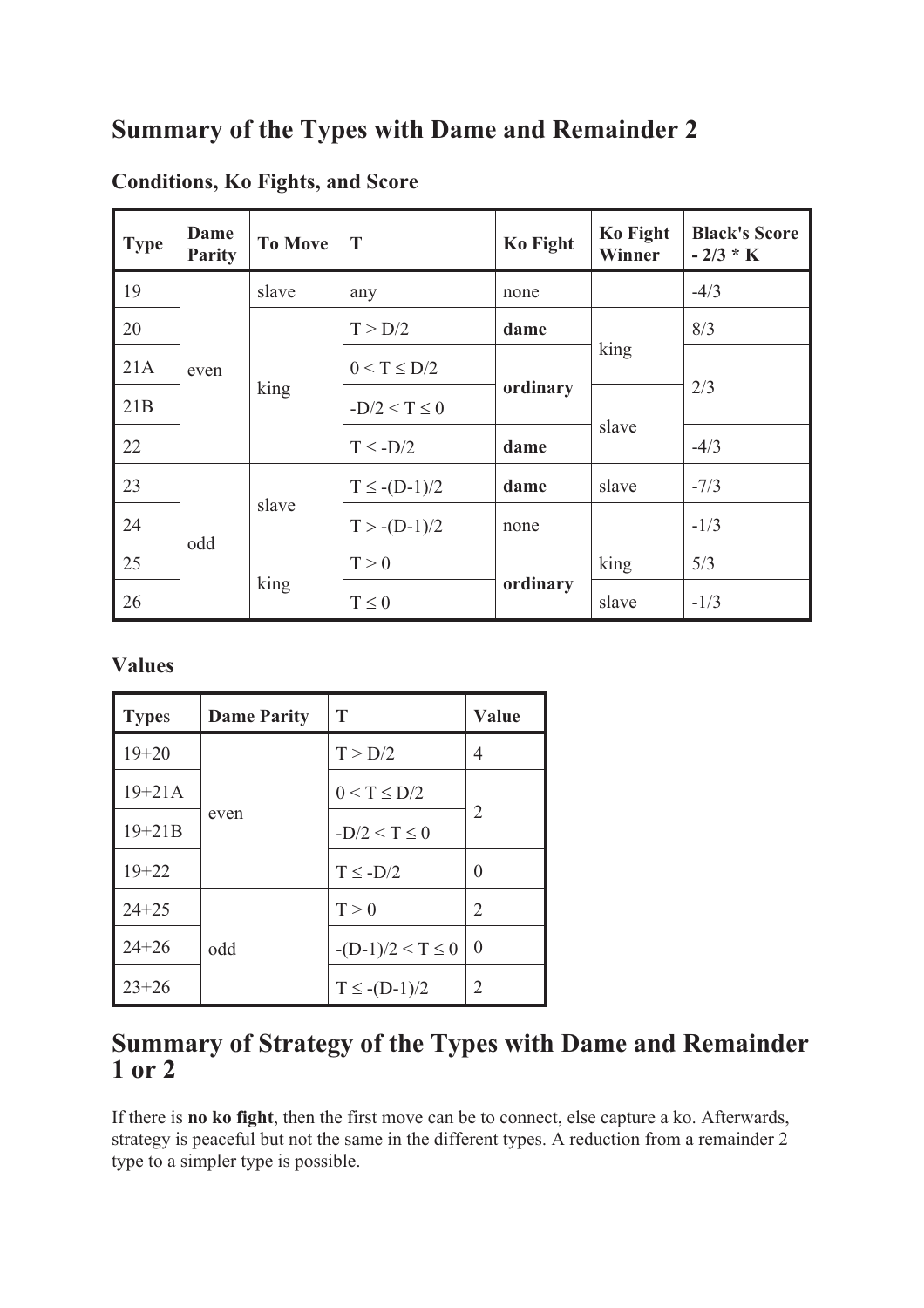| <b>Type</b> | Dame<br><b>Parity</b> | <b>To Move</b> | T                 | <b>Ko Fight</b> | <b>Ko Fight</b><br><b>Winner</b> | <b>Black's Score</b><br>$-2/3 * K$ |
|-------------|-----------------------|----------------|-------------------|-----------------|----------------------------------|------------------------------------|
| 19          |                       | slave          | any               | none            |                                  | $-4/3$                             |
| 20          |                       |                | T > D/2           | dame            |                                  | 8/3                                |
| 21A         | even                  | king           | $0 < T \leq D/2$  |                 | king                             |                                    |
| 21B         |                       |                | $-D/2 < T \leq 0$ | ordinary        |                                  | 2/3                                |
| 22          |                       |                | $T \leq -D/2$     | dame            | slave                            | $-4/3$                             |
| 23          |                       |                | $T \le - (D-1)/2$ | dame            | slave                            | $-7/3$                             |
| 24          | odd                   | slave          | $T > -(D-1)/2$    | none            |                                  | $-1/3$                             |
| 25          |                       | king           | T > 0             | ordinary        | king                             | 5/3                                |
| 26          |                       |                | $T \leq 0$        |                 | slave                            | $-1/3$                             |

### **Conditions, Ko Fights, and Score**

#### **Values**

| <b>Types</b> | <b>Dame Parity</b> | T                    | Value          |
|--------------|--------------------|----------------------|----------------|
| $19 + 20$    |                    | T > D/2              | 4              |
| $19 + 21A$   |                    | $0 < T \leq D/2$     |                |
| $19 + 21B$   | even               | $-D/2 < T \leq 0$    | 2              |
| $19 + 22$    |                    | $T \leq -D/2$        | 0              |
| $24 + 25$    |                    | T > 0                | $\overline{2}$ |
| $24 + 26$    | odd                | $-(D-1)/2 < T \le 0$ | $\overline{0}$ |
| $23 + 26$    |                    | $T \le -(D-1)/2$     | $\overline{2}$ |

### **Summary of Strategy of the Types with Dame and Remainder 1 or 2**

If there is **no ko fight**, then the first move can be to connect, else capture a ko. Afterwards, strategy is peaceful but not the same in the different types. A reduction from a remainder 2 type to a simpler type is possible.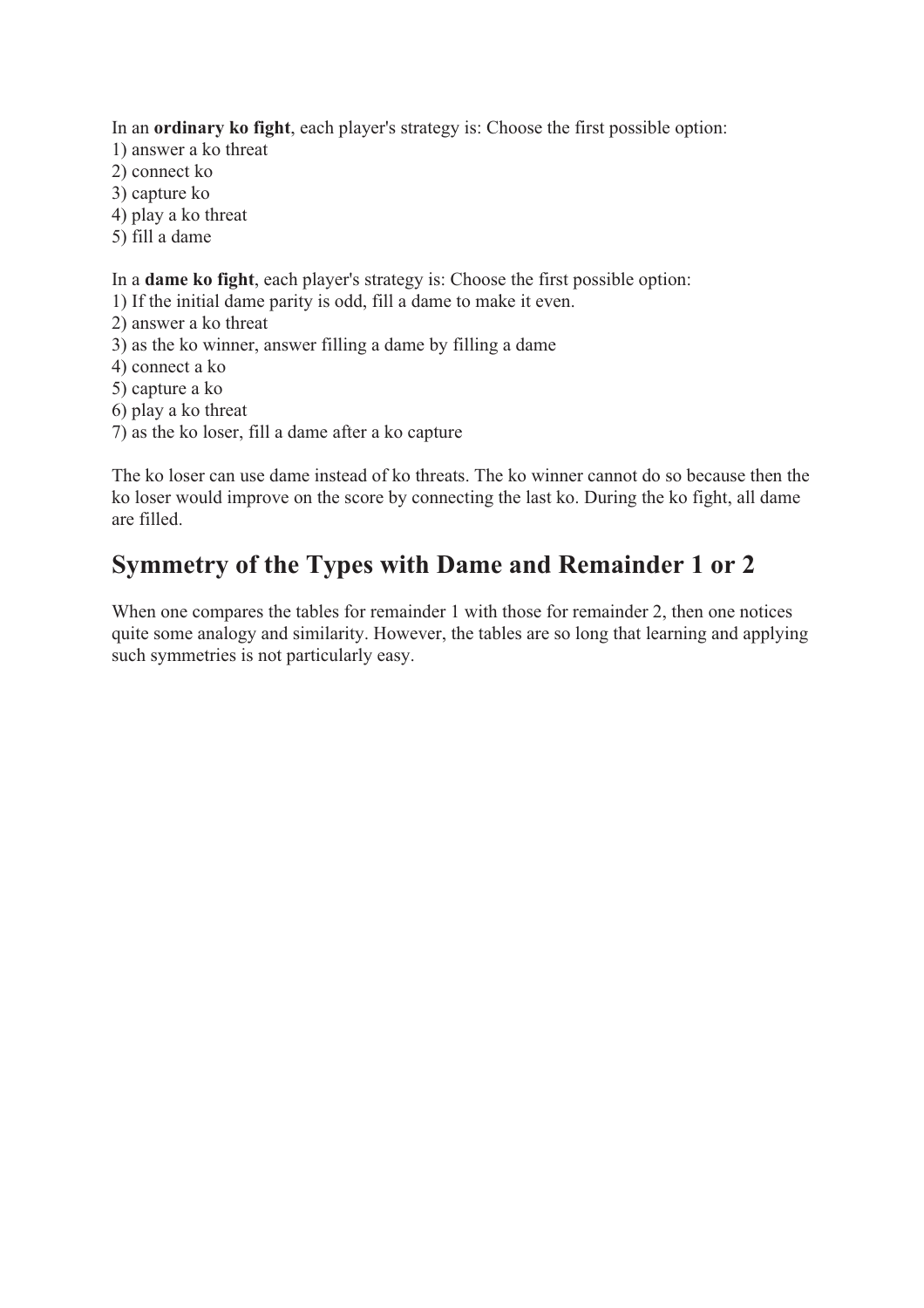In an **ordinary ko fight**, each player's strategy is: Choose the first possible option: 1) answer a ko threat 2) connect ko 3) capture ko 4) play a ko threat 5) fill a dame In a **dame ko fight**, each player's strategy is: Choose the first possible option: 1) If the initial dame parity is odd, fill a dame to make it even. 2) answer a ko threat 3) as the ko winner, answer filling a dame by filling a dame 4) connect a ko 5) capture a ko 6) play a ko threat 7) as the ko loser, fill a dame after a ko capture

The ko loser can use dame instead of ko threats. The ko winner cannot do so because then the ko loser would improve on the score by connecting the last ko. During the ko fight, all dame are filled.

### **Symmetry of the Types with Dame and Remainder 1 or 2**

When one compares the tables for remainder 1 with those for remainder 2, then one notices quite some analogy and similarity. However, the tables are so long that learning and applying such symmetries is not particularly easy.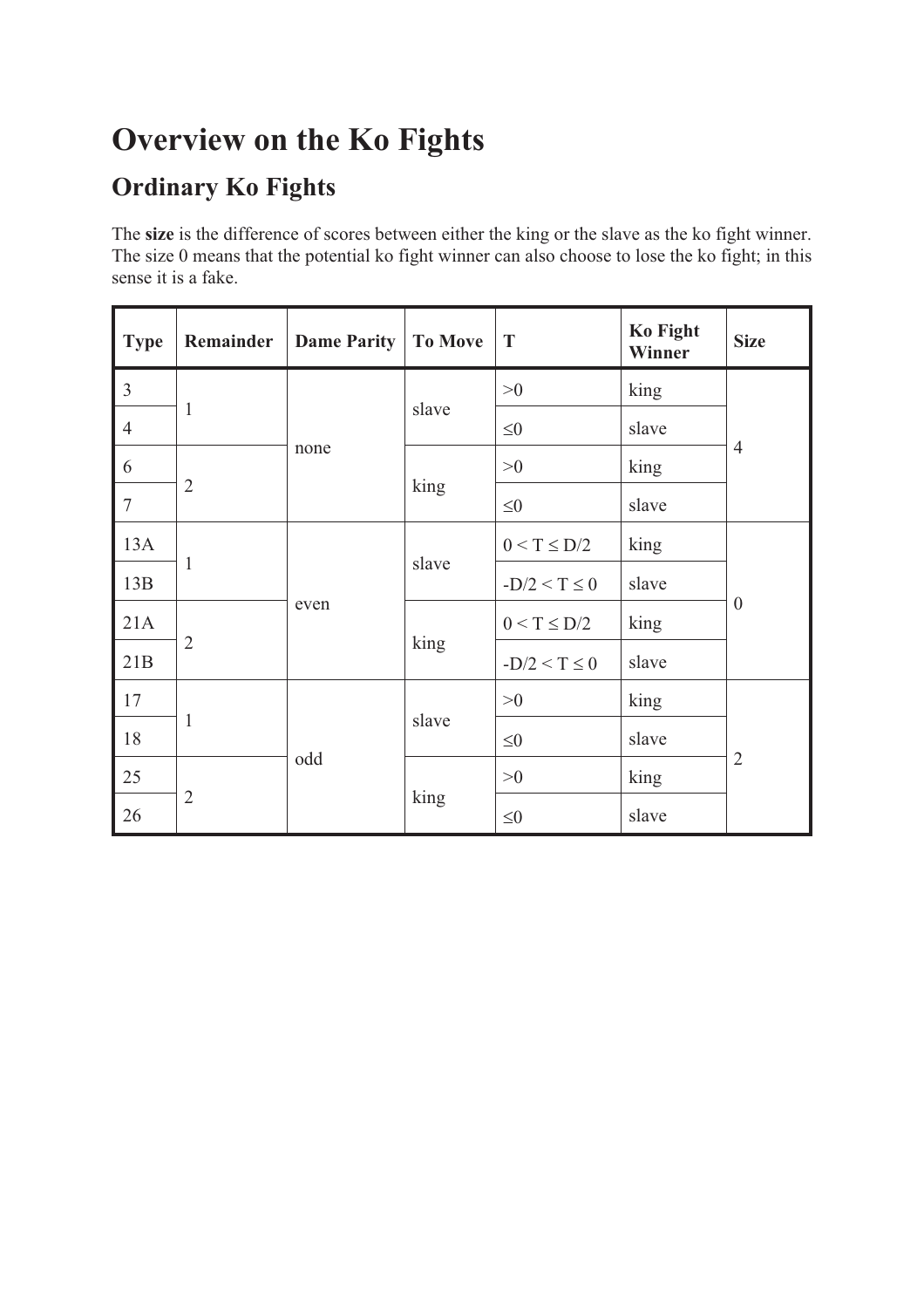# **Overview on the Ko Fights**

## **Ordinary Ko Fights**

The **size** is the difference of scores between either the king or the slave as the ko fight winner. The size 0 means that the potential ko fight winner can also choose to lose the ko fight; in this sense it is a fake.

| <b>Type</b>    | Remainder      | <b>Dame Parity</b> | <b>To Move</b> | T                 | <b>Ko Fight</b><br>Winner | <b>Size</b>    |  |
|----------------|----------------|--------------------|----------------|-------------------|---------------------------|----------------|--|
| $\overline{3}$ |                |                    |                | >0                | king                      |                |  |
| $\overline{4}$ | $\mathbf{1}$   |                    | slave          | $\leq 0$          | slave                     |                |  |
| 6              |                | none               |                | >0                | king                      | $\overline{4}$ |  |
| $\tau$         | $\overline{2}$ |                    | king           | $\leq 0$          | slave                     |                |  |
| 13A            |                |                    |                | $0 < T \leq D/2$  | king                      |                |  |
| 13B            | $\mathbf{1}$   |                    | slave          | $-D/2 < T \leq 0$ | slave                     |                |  |
| 21A            |                | even               |                | $0 < T \leq D/2$  | king                      | $\theta$       |  |
| 21B            | $\overline{2}$ |                    | king           | $-D/2 < T \leq 0$ | slave                     |                |  |
| 17             |                |                    |                | >0                | king                      |                |  |
| 18             | $\mathbf{1}$   |                    | slave          | $\leq$ 0          | slave                     |                |  |
| 25             |                | odd                |                | >0                | king                      | $\overline{2}$ |  |
| 26             | $\overline{2}$ |                    | king           | $\leq 0$          | slave                     |                |  |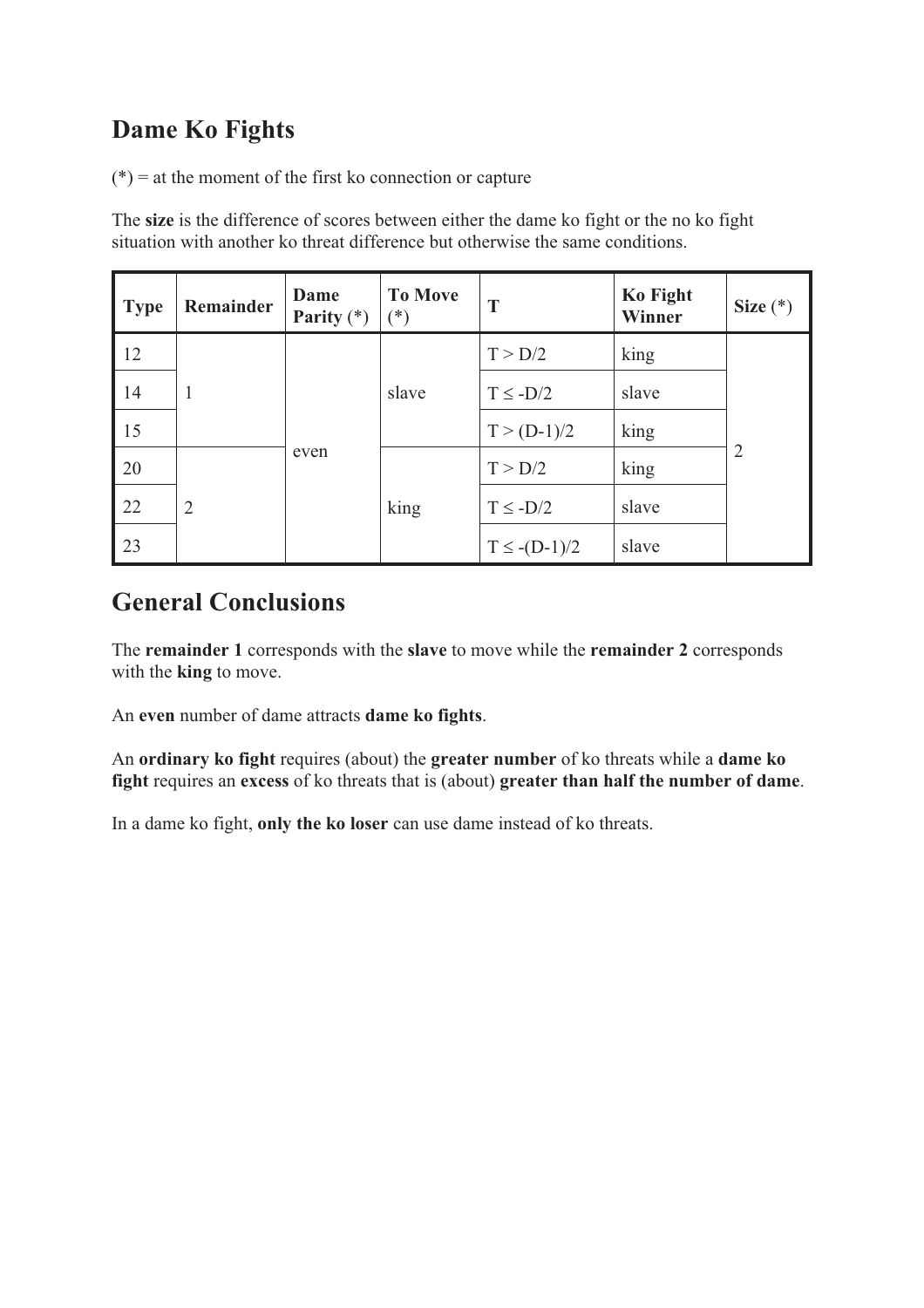## **Dame Ko Fights**

 $(*)$  = at the moment of the first ko connection or capture

The **size** is the difference of scores between either the dame ko fight or the no ko fight situation with another ko threat difference but otherwise the same conditions.

| <b>Type</b> | Remainder      | Dame<br>Parity $(*)$ | <b>To Move</b><br>$(*)$ | T                 | Ko Fight<br>Winner | Size $(*)$     |
|-------------|----------------|----------------------|-------------------------|-------------------|--------------------|----------------|
| 12          |                |                      |                         | T > D/2           | king               |                |
| 14          | 1              |                      | slave                   | $T \leq -D/2$     | slave              |                |
| 15          |                |                      |                         | $T > (D-1)/2$     | king               | $\overline{2}$ |
| 20          |                | even                 |                         | T > D/2           | king               |                |
| 22          | $\overline{2}$ |                      | king                    | $T \le -D/2$      | slave              |                |
| 23          |                |                      |                         | $T \le - (D-1)/2$ | slave              |                |

### **General Conclusions**

The **remainder 1** corresponds with the **slave** to move while the **remainder 2** corresponds with the **king** to move.

An **even** number of dame attracts **dame ko fights**.

An **ordinary ko fight** requires (about) the **greater number** of ko threats while a **dame ko fight** requires an **excess** of ko threats that is (about) **greater than half the number of dame**.

In a dame ko fight, **only the ko loser** can use dame instead of ko threats.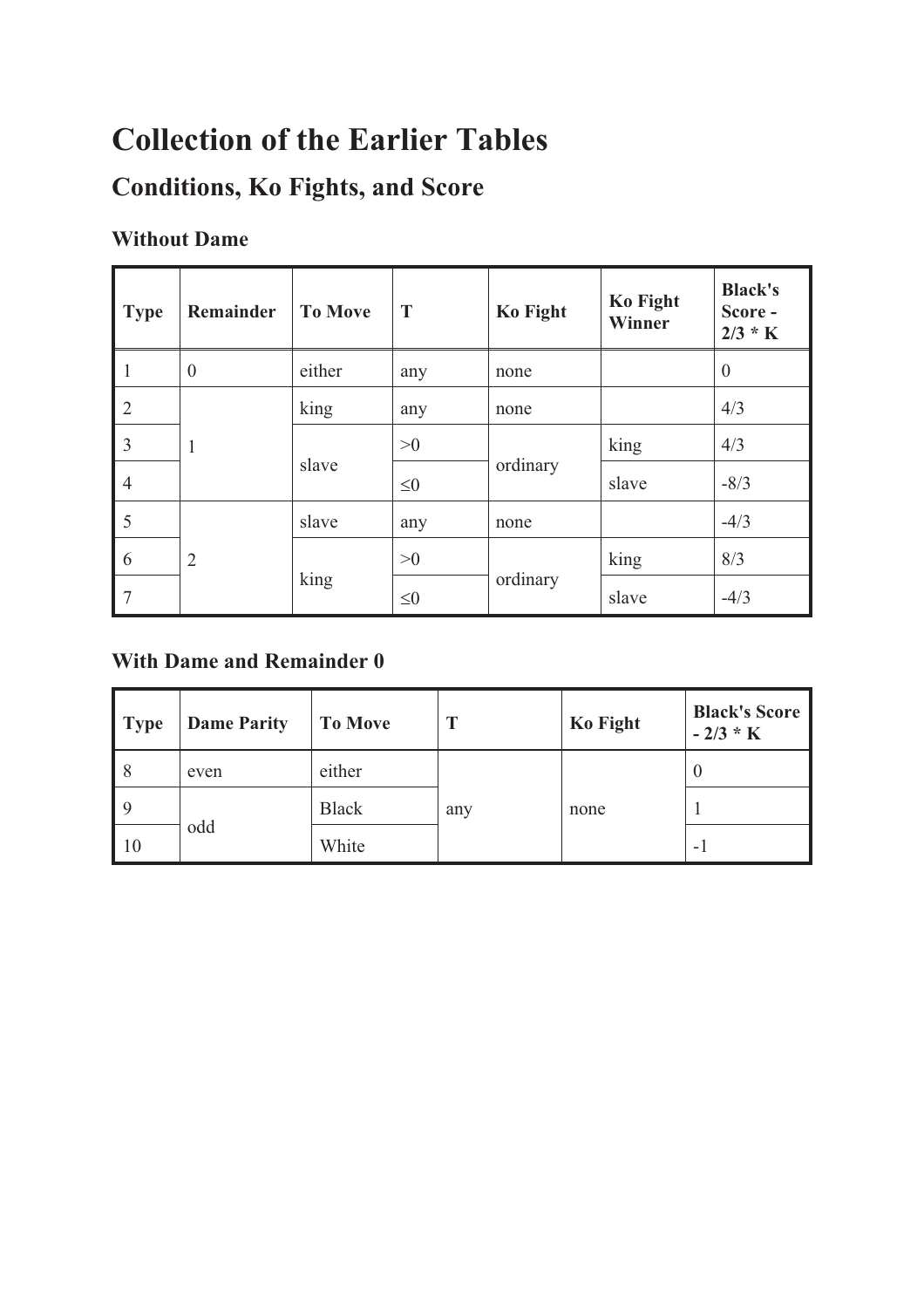# **Collection of the Earlier Tables**

# **Conditions, Ko Fights, and Score**

### **Without Dame**

| <b>Type</b>    | Remainder        | <b>To Move</b> | T        | <b>Ko Fight</b> | <b>Ko Fight</b><br>Winner | <b>Black's</b><br>Score-<br>$2/3 * K$ |
|----------------|------------------|----------------|----------|-----------------|---------------------------|---------------------------------------|
|                | $\boldsymbol{0}$ | either         | any      | none            |                           | $\overline{0}$                        |
| $\overline{2}$ |                  | king           | any      | none            |                           | 4/3                                   |
| 3              | 1                | slave          | >0       | ordinary        | king                      | 4/3                                   |
| $\overline{4}$ |                  |                | $\leq 0$ |                 | slave                     | $-8/3$                                |
| 5              |                  | slave          | any      | none            |                           | $-4/3$                                |
| 6              | $\overline{2}$   |                | >0       | ordinary        | king                      | 8/3                                   |
| 7              |                  | king           | $\leq 0$ |                 | slave                     | $-4/3$                                |

### **With Dame and Remainder 0**

| Type | <b>Dame Parity</b> | <b>To Move</b> | Т   | <b>Ko Fight</b> | <b>Black's Score</b><br>$-2/3 * K$ |
|------|--------------------|----------------|-----|-----------------|------------------------------------|
| 8    | even               | either         |     |                 | U                                  |
| -9   |                    | <b>Black</b>   | any | none            |                                    |
| 10   | odd                | White          |     |                 | $\overline{\phantom{a}}$           |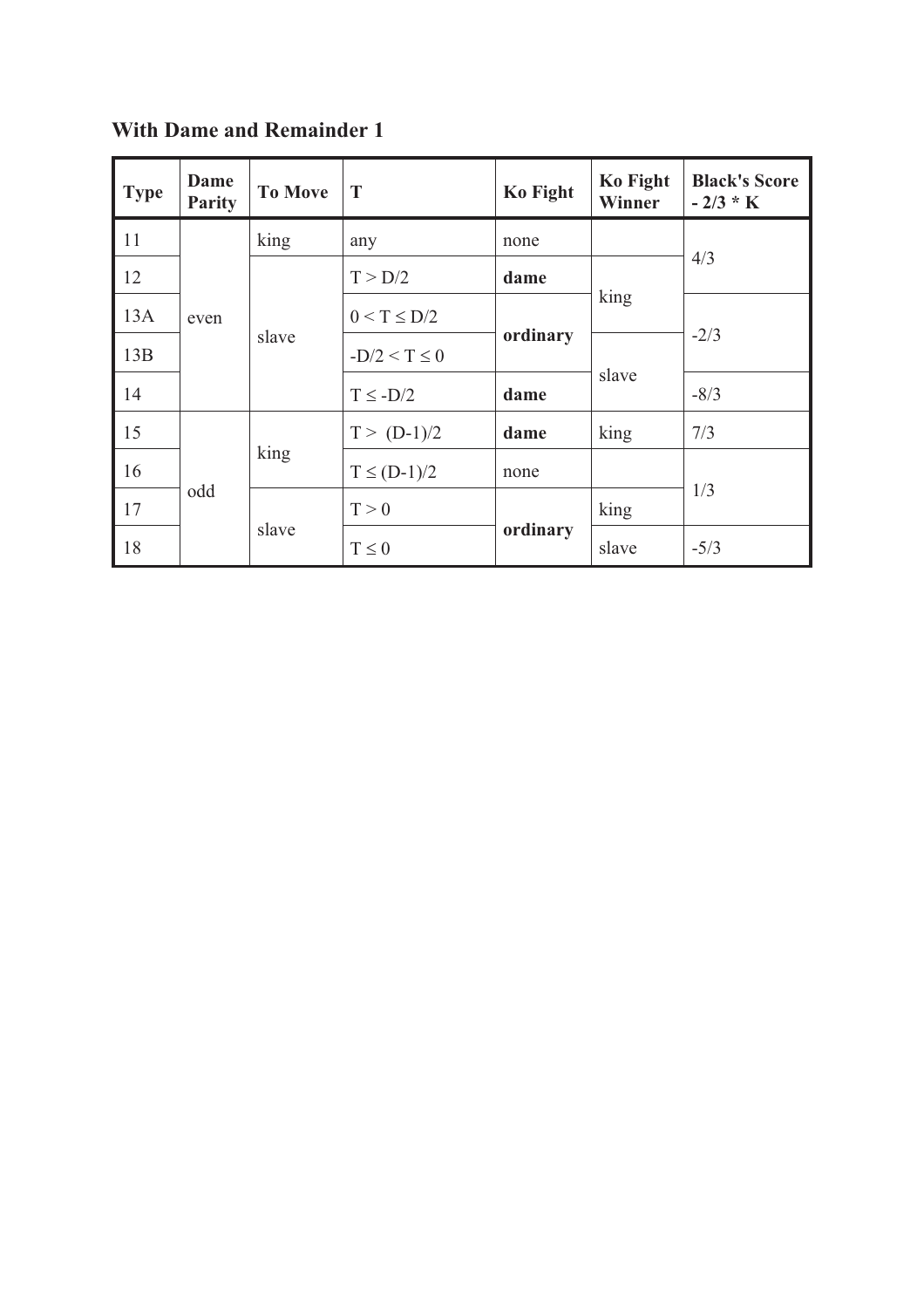| <b>Type</b> | Dame<br>Parity | <b>To Move</b> | T                 | Ko Fight | Ko Fight<br>Winner | <b>Black's Score</b><br>$-2/3 * K$ |
|-------------|----------------|----------------|-------------------|----------|--------------------|------------------------------------|
| 11          |                | king           | any               | none     |                    |                                    |
| 12          |                |                | T > D/2           | dame     |                    | 4/3                                |
| 13A         | even           | slave          | $0 < T \leq D/2$  | ordinary | king               |                                    |
| 13B         |                |                | $-D/2 < T \leq 0$ |          |                    | $-2/3$                             |
| 14          |                |                | $T \leq -D/2$     | dame     | slave              | $-8/3$                             |
| 15          | odd            |                | $T > (D-1)/2$     | dame     | king               | 7/3                                |
| 16          |                | king           | $T \leq (D-1)/2$  | none     |                    |                                    |
| 17          |                |                | T > 0             |          | king               | 1/3                                |
| 18          |                | slave          | $T \leq 0$        | ordinary | slave              | $-5/3$                             |

**With Dame and Remainder 1**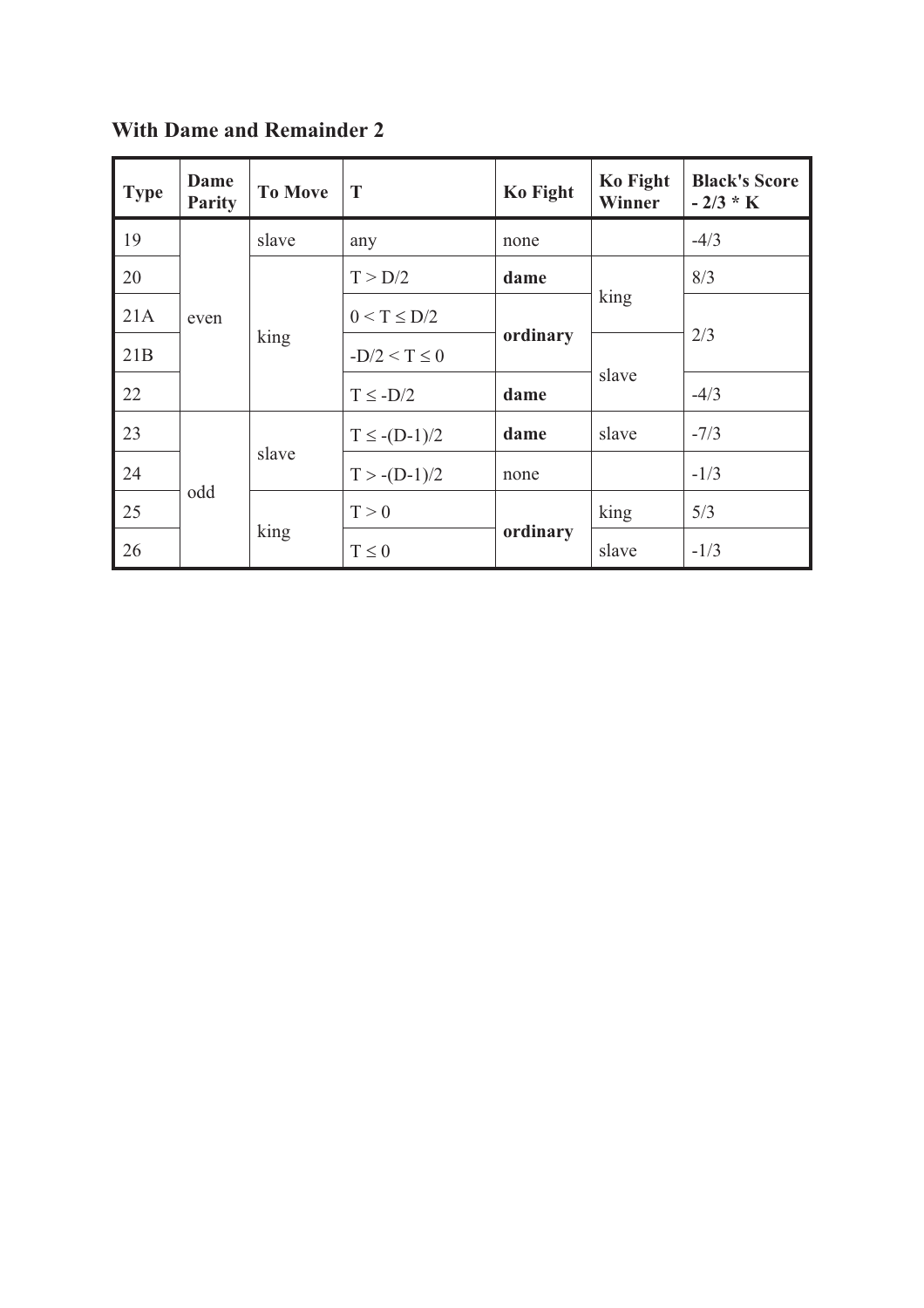| <b>Type</b> | Dame<br>Parity | <b>To Move</b> | T                 | <b>Ko Fight</b> | Ko Fight<br>Winner | <b>Black's Score</b><br>$-2/3 * K$ |
|-------------|----------------|----------------|-------------------|-----------------|--------------------|------------------------------------|
| 19          |                | slave          | any               | none            |                    | $-4/3$                             |
| 20          |                | king           | T > D/2           | dame            | king               | 8/3                                |
| 21A         | even           |                | $0 < T \leq D/2$  | ordinary        |                    |                                    |
| 21B         |                |                | $-D/2 < T \le 0$  |                 |                    | 2/3                                |
| 22          |                |                | $T \leq -D/2$     | dame            | slave              | $-4/3$                             |
| 23          |                | slave          | $T \le - (D-1)/2$ | dame            | slave              | $-7/3$                             |
| 24          |                |                | $T > -(D-1)/2$    | none            |                    | $-1/3$                             |
| 25          | odd            | king           | T > 0             |                 | king               | 5/3                                |
| 26          |                |                | $T \leq 0$        | ordinary        | slave              | $-1/3$                             |

**With Dame and Remainder 2**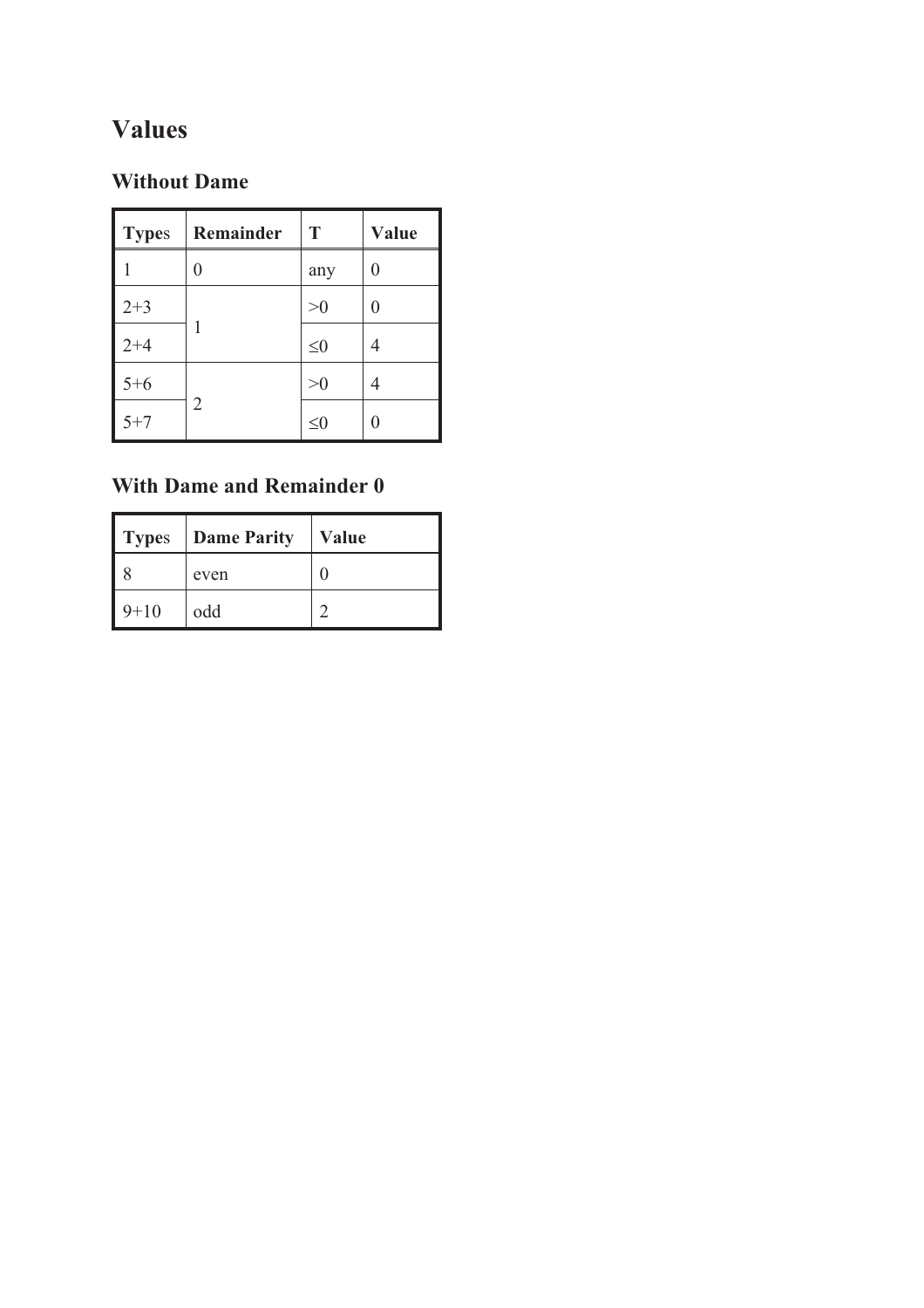## **Values**

### **Without Dame**

| <b>Types</b> | Remainder | T        | Value |
|--------------|-----------|----------|-------|
|              |           | any      | 0     |
| $2 + 3$      |           | >0       | 0     |
| $2 + 4$      |           | $\leq 0$ |       |
| $5 + 6$      |           | >0       |       |
| $5 + 7$      | 2         | $\leq$ 0 |       |

### **With Dame and Remainder 0**

| Types  | <b>Dame Parity</b> | Value |
|--------|--------------------|-------|
|        | even               |       |
| $9+10$ | odd                |       |